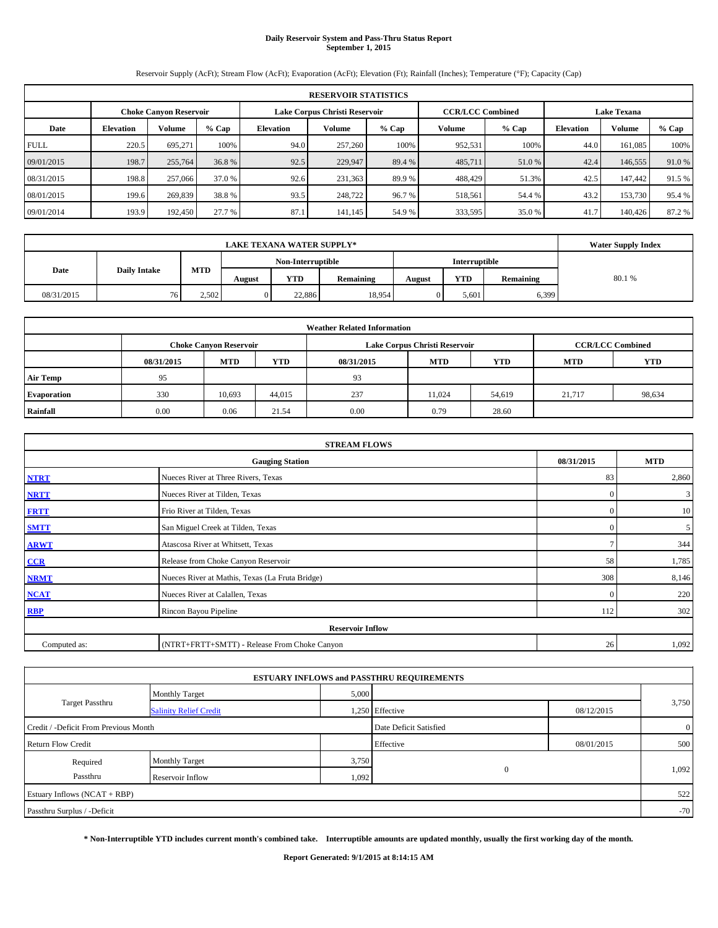## **Daily Reservoir System and Pass-Thru Status Report September 1, 2015**

Reservoir Supply (AcFt); Stream Flow (AcFt); Evaporation (AcFt); Elevation (Ft); Rainfall (Inches); Temperature (°F); Capacity (Cap)

|             | <b>RESERVOIR STATISTICS</b>                                                                                     |         |        |                  |         |         |         |        |                  |         |        |  |  |
|-------------|-----------------------------------------------------------------------------------------------------------------|---------|--------|------------------|---------|---------|---------|--------|------------------|---------|--------|--|--|
|             | <b>CCR/LCC Combined</b><br>Lake Corpus Christi Reservoir<br><b>Lake Texana</b><br><b>Choke Canyon Reservoir</b> |         |        |                  |         |         |         |        |                  |         |        |  |  |
| Date        | <b>Volume</b><br>$%$ Cap<br><b>Elevation</b>                                                                    |         |        | <b>Elevation</b> | Volume  | $%$ Cap | Volume  | % Cap  | <b>Elevation</b> | Volume  | % Cap  |  |  |
| <b>FULL</b> | 220.5                                                                                                           | 695.271 | 100%   | 94.0             | 257,260 | 100%    | 952,531 | 100%   | 44.0             | 161.085 | 100%   |  |  |
| 09/01/2015  | 198.7                                                                                                           | 255,764 | 36.8 % | 92.5             | 229,947 | 89.4 %  | 485,711 | 51.0 % | 42.4             | 146,555 | 91.0 % |  |  |
| 08/31/2015  | 198.8                                                                                                           | 257,066 | 37.0 % | 92.6             | 231,363 | 89.9%   | 488,429 | 51.3%  | 42.5             | 147,442 | 91.5 % |  |  |
| 08/01/2015  | 199.6                                                                                                           | 269,839 | 38.8 % | 93.5             | 248,722 | 96.7 %  | 518,561 | 54.4 % | 43.2             | 153,730 | 95.4 % |  |  |
| 09/01/2014  | 193.9                                                                                                           | 192,450 | 27.7 % | 87.1             | 141,145 | 54.9%   | 333,595 | 35.0 % | 41.7             | 140,426 | 87.2 % |  |  |

|                             | <b>LAKE TEXANA WATER SUPPLY*</b> |                   |        |            |           |               |            |           |       |  |  |
|-----------------------------|----------------------------------|-------------------|--------|------------|-----------|---------------|------------|-----------|-------|--|--|
|                             |                                  | Non-Interruptible |        |            |           | Interruptible |            |           |       |  |  |
| Date<br><b>Daily Intake</b> |                                  | MTD               | August | <b>YTD</b> | Remaining | August        | <b>YTD</b> | Remaining | 80.1% |  |  |
| 08/31/2015                  | 761                              | 2.502             |        | 22,886     | 18.954    |               | 5,601      | 6,399     |       |  |  |

| <b>Weather Related Information</b>                                                      |      |                               |        |      |                               |                         |        |            |  |  |  |
|-----------------------------------------------------------------------------------------|------|-------------------------------|--------|------|-------------------------------|-------------------------|--------|------------|--|--|--|
|                                                                                         |      | <b>Choke Canvon Reservoir</b> |        |      | Lake Corpus Christi Reservoir | <b>CCR/LCC Combined</b> |        |            |  |  |  |
| <b>YTD</b><br>YTD<br><b>MTD</b><br><b>MTD</b><br><b>MTD</b><br>08/31/2015<br>08/31/2015 |      |                               |        |      |                               |                         |        | <b>YTD</b> |  |  |  |
| <b>Air Temp</b>                                                                         | 95   |                               |        | 93   |                               |                         |        |            |  |  |  |
| Evaporation                                                                             | 330  | 10.693                        | 44.015 | 237  | 11.024                        | 54,619                  | 21,717 | 98,634     |  |  |  |
| Rainfall                                                                                | 0.00 | 0.06                          | 21.54  | 0.00 | 0.79                          | 28.60                   |        |            |  |  |  |

| <b>STREAM FLOWS</b>                                |                                                 |              |       |  |  |  |  |  |  |
|----------------------------------------------------|-------------------------------------------------|--------------|-------|--|--|--|--|--|--|
| 08/31/2015<br><b>MTD</b><br><b>Gauging Station</b> |                                                 |              |       |  |  |  |  |  |  |
| <b>NTRT</b>                                        | Nueces River at Three Rivers, Texas             | 83           | 2,860 |  |  |  |  |  |  |
| <b>NRTT</b>                                        | Nueces River at Tilden, Texas                   | $\mathbf{0}$ | 3     |  |  |  |  |  |  |
| <b>FRTT</b>                                        | Frio River at Tilden, Texas                     | $\mathbf{0}$ | 10    |  |  |  |  |  |  |
| <b>SMTT</b>                                        | San Miguel Creek at Tilden, Texas               | $\mathbf{0}$ | 5     |  |  |  |  |  |  |
| <b>ARWT</b>                                        | Atascosa River at Whitsett, Texas               |              | 344   |  |  |  |  |  |  |
| CCR                                                | Release from Choke Canyon Reservoir             | 58           | 1,785 |  |  |  |  |  |  |
| <b>NRMT</b>                                        | Nueces River at Mathis, Texas (La Fruta Bridge) | 308          | 8,146 |  |  |  |  |  |  |
| <b>NCAT</b>                                        | Nueces River at Calallen, Texas                 | $\mathbf{0}$ | 220   |  |  |  |  |  |  |
| <b>RBP</b>                                         | Rincon Bayou Pipeline                           | 112          | 302   |  |  |  |  |  |  |
|                                                    | <b>Reservoir Inflow</b>                         |              |       |  |  |  |  |  |  |
| Computed as:                                       | (NTRT+FRTT+SMTT) - Release From Choke Canyon    |              |       |  |  |  |  |  |  |

|                                       |                               |       | <b>ESTUARY INFLOWS and PASSTHRU REQUIREMENTS</b> |            |                |
|---------------------------------------|-------------------------------|-------|--------------------------------------------------|------------|----------------|
|                                       | <b>Monthly Target</b>         | 5,000 |                                                  |            |                |
| <b>Target Passthru</b>                | <b>Salinity Relief Credit</b> |       | 1,250 Effective                                  | 08/12/2015 | 3,750          |
| Credit / -Deficit From Previous Month |                               |       | Date Deficit Satisfied                           |            | $\overline{0}$ |
| <b>Return Flow Credit</b>             |                               |       | Effective                                        | 08/01/2015 | 500            |
| Required                              | <b>Monthly Target</b>         | 3,750 |                                                  |            |                |
| Passthru                              | Reservoir Inflow              | 1,092 | $\mathbf{0}$                                     |            | 1,092          |
| Estuary Inflows (NCAT + RBP)          |                               |       |                                                  |            | 522            |
| Passthru Surplus / -Deficit           |                               |       |                                                  |            | $-70$          |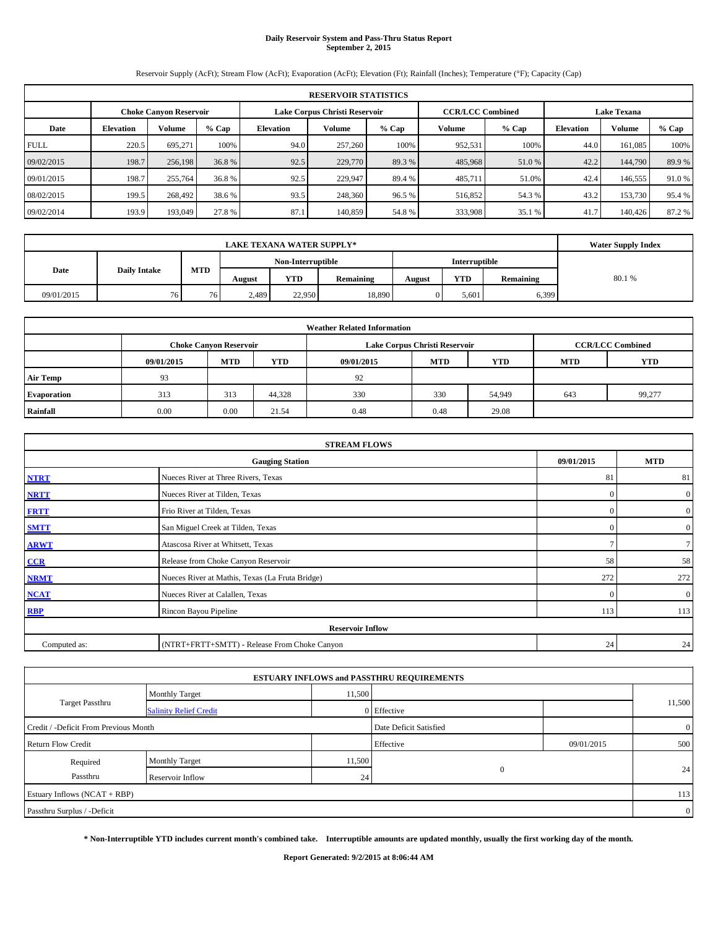## **Daily Reservoir System and Pass-Thru Status Report September 2, 2015**

Reservoir Supply (AcFt); Stream Flow (AcFt); Evaporation (AcFt); Elevation (Ft); Rainfall (Inches); Temperature (°F); Capacity (Cap)

|             | <b>RESERVOIR STATISTICS</b>                                                                                     |         |        |           |         |        |         |        |      |         |         |  |  |
|-------------|-----------------------------------------------------------------------------------------------------------------|---------|--------|-----------|---------|--------|---------|--------|------|---------|---------|--|--|
|             | Lake Corpus Christi Reservoir<br><b>CCR/LCC Combined</b><br><b>Lake Texana</b><br><b>Choke Canvon Reservoir</b> |         |        |           |         |        |         |        |      |         |         |  |  |
| Date        | <b>Volume</b><br>$%$ Cap<br><b>Elevation</b>                                                                    |         |        | Elevation | Volume  | % Cap  | Volume  | % Cap  |      | Volume  | $%$ Cap |  |  |
| <b>FULL</b> | 220.5                                                                                                           | 695.271 | 100%   | 94.0      | 257,260 | 100%   | 952,531 | 100%   | 44.0 | 161.085 | 100%    |  |  |
| 09/02/2015  | 198.7                                                                                                           | 256,198 | 36.8 % | 92.5      | 229,770 | 89.3 % | 485,968 | 51.0 % | 42.2 | 144,790 | 89.9%   |  |  |
| 09/01/2015  | 198.7                                                                                                           | 255,764 | 36.8%  | 92.5      | 229,947 | 89.4 % | 485,711 | 51.0%  | 42.4 | 146,555 | 91.0 %  |  |  |
| 08/02/2015  | 199.5                                                                                                           | 268,492 | 38.6 % | 93.5      | 248,360 | 96.5 % | 516,852 | 54.3 % | 43.2 | 153,730 | 95.4 %  |  |  |
| 09/02/2014  | 193.9                                                                                                           | 193,049 | 27.8 % | 87.1      | 140,859 | 54.8%  | 333,908 | 35.1 % | 41.7 | 140,426 | 87.2%   |  |  |

|                             | <b>LAKE TEXANA WATER SUPPLY*</b> |            |                   |            |           |                      |            |           |       |  |  |
|-----------------------------|----------------------------------|------------|-------------------|------------|-----------|----------------------|------------|-----------|-------|--|--|
|                             |                                  |            | Non-Interruptible |            |           | <b>Interruptible</b> |            |           |       |  |  |
| Date<br><b>Daily Intake</b> |                                  | <b>MTD</b> | August            | <b>YTD</b> | Remaining | August               | <b>YTD</b> | Remaining | 80.1% |  |  |
| 09/01/2015                  | 76                               | 76         | 2,489             | 22,950     | 18,890    |                      | 5,601      | 6,399     |       |  |  |

| <b>Weather Related Information</b> |            |                               |                                                                    |      |                               |                         |     |        |  |  |  |
|------------------------------------|------------|-------------------------------|--------------------------------------------------------------------|------|-------------------------------|-------------------------|-----|--------|--|--|--|
|                                    |            | <b>Choke Canyon Reservoir</b> |                                                                    |      | Lake Corpus Christi Reservoir | <b>CCR/LCC Combined</b> |     |        |  |  |  |
|                                    | 09/01/2015 | <b>MTD</b>                    | <b>YTD</b><br><b>MTD</b><br>09/01/2015<br><b>YTD</b><br><b>MTD</b> |      |                               |                         |     |        |  |  |  |
| <b>Air Temp</b>                    | 93         |                               |                                                                    | 92   |                               |                         |     |        |  |  |  |
| <b>Evaporation</b>                 | 313        | 313                           | 44,328                                                             | 330  | 330                           | 54,949                  | 643 | 99,277 |  |  |  |
| Rainfall                           | 0.00       | 0.00                          | 21.54                                                              | 0.48 | 0.48                          | 29.08                   |     |        |  |  |  |

| <b>STREAM FLOWS</b> |                                                 |                |                  |  |  |  |  |  |  |
|---------------------|-------------------------------------------------|----------------|------------------|--|--|--|--|--|--|
|                     | <b>Gauging Station</b>                          |                |                  |  |  |  |  |  |  |
| <b>NTRT</b>         | Nueces River at Three Rivers, Texas             | 81             | 81               |  |  |  |  |  |  |
| <b>NRTT</b>         | Nueces River at Tilden, Texas                   | $\mathbf{0}$   | $\boldsymbol{0}$ |  |  |  |  |  |  |
| <b>FRTT</b>         | Frio River at Tilden, Texas                     | $\mathbf{0}$   | $\boldsymbol{0}$ |  |  |  |  |  |  |
| <b>SMTT</b>         | San Miguel Creek at Tilden, Texas               | $\mathbf{0}$   | $\boldsymbol{0}$ |  |  |  |  |  |  |
| <b>ARWT</b>         |                                                 | 7 <sup>1</sup> |                  |  |  |  |  |  |  |
| CCR                 | Release from Choke Canyon Reservoir             | 58             | 58               |  |  |  |  |  |  |
| <b>NRMT</b>         | Nueces River at Mathis, Texas (La Fruta Bridge) | 272            | 272              |  |  |  |  |  |  |
| <b>NCAT</b>         | Nueces River at Calallen, Texas                 | $\Omega$       | $\mathbf{0}$     |  |  |  |  |  |  |
| <b>RBP</b>          | Rincon Bayou Pipeline                           | 113            | 113              |  |  |  |  |  |  |
|                     | <b>Reservoir Inflow</b>                         |                |                  |  |  |  |  |  |  |
| Computed as:        | (NTRT+FRTT+SMTT) - Release From Choke Canyon    |                |                  |  |  |  |  |  |  |

|                                       |                               |        | <b>ESTUARY INFLOWS and PASSTHRU REQUIREMENTS</b> |            |                |  |  |
|---------------------------------------|-------------------------------|--------|--------------------------------------------------|------------|----------------|--|--|
|                                       | <b>Monthly Target</b>         | 11,500 |                                                  |            |                |  |  |
| Target Passthru                       | <b>Salinity Relief Credit</b> |        | 0 Effective                                      |            | 11,500         |  |  |
| Credit / -Deficit From Previous Month |                               |        | Date Deficit Satisfied                           |            | $\overline{0}$ |  |  |
| <b>Return Flow Credit</b>             |                               |        | Effective                                        | 09/01/2015 | 500            |  |  |
| Required                              | <b>Monthly Target</b>         | 11,500 |                                                  |            |                |  |  |
| Passthru                              | Reservoir Inflow              | 24     | $\mathbf{0}$                                     |            | 24             |  |  |
| Estuary Inflows (NCAT + RBP)          |                               |        |                                                  |            |                |  |  |
| Passthru Surplus / -Deficit           |                               |        |                                                  |            |                |  |  |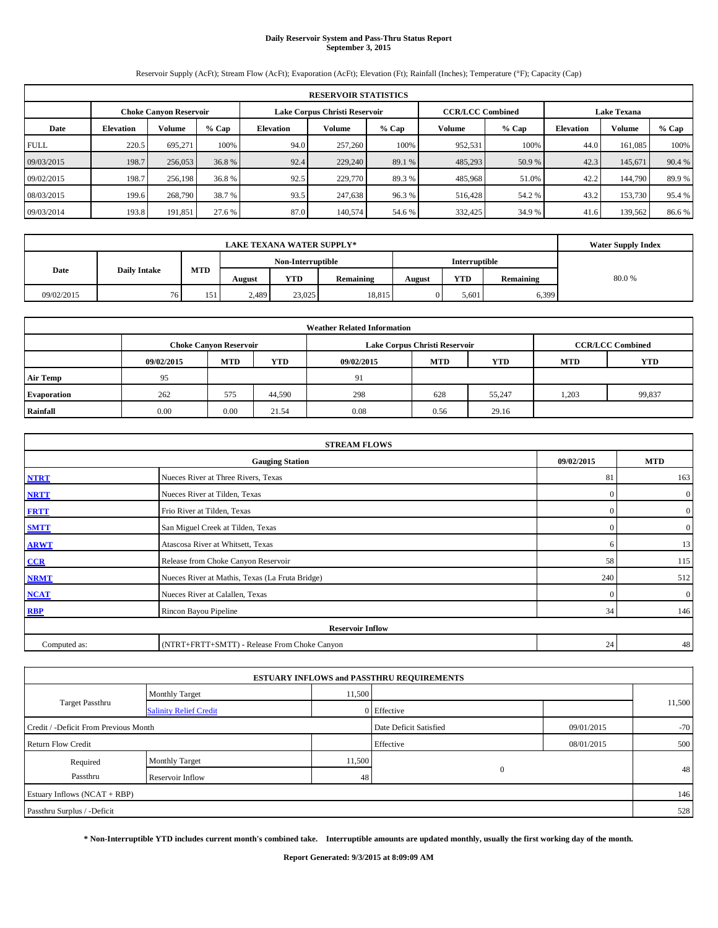## **Daily Reservoir System and Pass-Thru Status Report September 3, 2015**

Reservoir Supply (AcFt); Stream Flow (AcFt); Evaporation (AcFt); Elevation (Ft); Rainfall (Inches); Temperature (°F); Capacity (Cap)

|             | <b>RESERVOIR STATISTICS</b>                                                                                     |         |        |                  |         |         |         |         |                  |         |         |  |  |
|-------------|-----------------------------------------------------------------------------------------------------------------|---------|--------|------------------|---------|---------|---------|---------|------------------|---------|---------|--|--|
|             | Lake Corpus Christi Reservoir<br><b>CCR/LCC Combined</b><br><b>Lake Texana</b><br><b>Choke Canvon Reservoir</b> |         |        |                  |         |         |         |         |                  |         |         |  |  |
| Date        | % Cap<br>Volume<br><b>Elevation</b>                                                                             |         |        | <b>Elevation</b> | Volume  | $%$ Cap | Volume  | $%$ Cap | <b>Elevation</b> | Volume  | $%$ Cap |  |  |
| <b>FULL</b> | 220.5                                                                                                           | 695.271 | 100%   | 94.0             | 257,260 | 100%    | 952,531 | 100%    | 44.0             | 161.085 | 100%    |  |  |
| 09/03/2015  | 198.7                                                                                                           | 256,053 | 36.8%  | 92.4             | 229,240 | 89.1 %  | 485,293 | 50.9 %  | 42.3             | 145,671 | 90.4 %  |  |  |
| 09/02/2015  | 198.7                                                                                                           | 256,198 | 36.8%  | 92.5             | 229,770 | 89.3%   | 485,968 | 51.0%   | 42.2             | 144,790 | 89.9%   |  |  |
| 08/03/2015  | 199.6                                                                                                           | 268,790 | 38.7 % | 93.5             | 247,638 | 96.3%   | 516,428 | 54.2 %  | 43.2             | 153,730 | 95.4 %  |  |  |
| 09/03/2014  | 193.8                                                                                                           | 191,851 | 27.6 % | 87.0             | 140,574 | 54.6 %  | 332,425 | 34.9 %  | 41.6             | 139.562 | 86.6 %  |  |  |

|                             | <b>LAKE TEXANA WATER SUPPLY*</b> |            |        |                   |           |        |               |           |       |  |  |
|-----------------------------|----------------------------------|------------|--------|-------------------|-----------|--------|---------------|-----------|-------|--|--|
|                             |                                  |            |        | Non-Interruptible |           |        | Interruptible |           |       |  |  |
| Date<br><b>Daily Intake</b> |                                  | <b>MTD</b> | August | <b>YTD</b>        | Remaining | August | <b>YTD</b>    | Remaining | 80.0% |  |  |
| 09/02/2015                  | 76                               | 151        | 2,489  | 23,025            | 18,815    |        | 5.601         | 6,399     |       |  |  |

| <b>Weather Related Information</b> |            |                               |        |            |                               |                         |            |            |  |  |
|------------------------------------|------------|-------------------------------|--------|------------|-------------------------------|-------------------------|------------|------------|--|--|
|                                    |            | <b>Choke Canyon Reservoir</b> |        |            | Lake Corpus Christi Reservoir | <b>CCR/LCC Combined</b> |            |            |  |  |
|                                    | 09/02/2015 | <b>MTD</b>                    | YTD    | 09/02/2015 | <b>MTD</b>                    | <b>YTD</b>              | <b>MTD</b> | <b>YTD</b> |  |  |
| <b>Air Temp</b>                    | 95         |                               |        | 91         |                               |                         |            |            |  |  |
| Evaporation                        | 262        | 575                           | 44,590 | 298        | 628                           | 55.247                  | .203       | 99,837     |  |  |
| Rainfall                           | 0.00       | 0.00                          | 21.54  | 0.08       | 0.56                          | 29.16                   |            |            |  |  |

| <b>STREAM FLOWS</b> |                                                 |              |                  |  |  |  |  |  |  |
|---------------------|-------------------------------------------------|--------------|------------------|--|--|--|--|--|--|
|                     | <b>Gauging Station</b>                          |              |                  |  |  |  |  |  |  |
| <b>NTRT</b>         | Nueces River at Three Rivers, Texas             | 81           | 163              |  |  |  |  |  |  |
| <b>NRTT</b>         | Nueces River at Tilden, Texas                   | $\mathbf{0}$ | $\boldsymbol{0}$ |  |  |  |  |  |  |
| <b>FRTT</b>         | Frio River at Tilden, Texas                     | $\mathbf{0}$ | $\boldsymbol{0}$ |  |  |  |  |  |  |
| <b>SMTT</b>         | San Miguel Creek at Tilden, Texas               | $\mathbf{0}$ | $\boldsymbol{0}$ |  |  |  |  |  |  |
| <b>ARWT</b>         | Atascosa River at Whitsett, Texas               | 6            | 13               |  |  |  |  |  |  |
| $CCR$               | Release from Choke Canyon Reservoir             | 58           | 115              |  |  |  |  |  |  |
| <b>NRMT</b>         | Nueces River at Mathis, Texas (La Fruta Bridge) | 240          | 512              |  |  |  |  |  |  |
| <b>NCAT</b>         | Nueces River at Calallen, Texas                 | $\Omega$     | $\mathbf{0}$     |  |  |  |  |  |  |
| RBP                 | Rincon Bayou Pipeline                           | 34           | 146              |  |  |  |  |  |  |
|                     | <b>Reservoir Inflow</b>                         |              |                  |  |  |  |  |  |  |
| Computed as:        | (NTRT+FRTT+SMTT) - Release From Choke Canyon    | 24           | 48               |  |  |  |  |  |  |

|                                       |                               |                        | <b>ESTUARY INFLOWS and PASSTHRU REQUIREMENTS</b> |            |        |
|---------------------------------------|-------------------------------|------------------------|--------------------------------------------------|------------|--------|
|                                       | <b>Monthly Target</b>         | 11,500                 |                                                  |            |        |
| Target Passthru                       | <b>Salinity Relief Credit</b> |                        | 0 Effective                                      |            | 11,500 |
| Credit / -Deficit From Previous Month |                               | Date Deficit Satisfied | 09/01/2015                                       | $-70$      |        |
| <b>Return Flow Credit</b>             |                               |                        | Effective                                        | 08/01/2015 | 500    |
| Required                              | Monthly Target                | 11,500                 |                                                  |            |        |
| Passthru                              | Reservoir Inflow              | 48                     | $\mathbf{0}$                                     |            | 48     |
| Estuary Inflows (NCAT + RBP)          |                               |                        |                                                  |            | 146    |
| Passthru Surplus / -Deficit           |                               |                        |                                                  |            | 528    |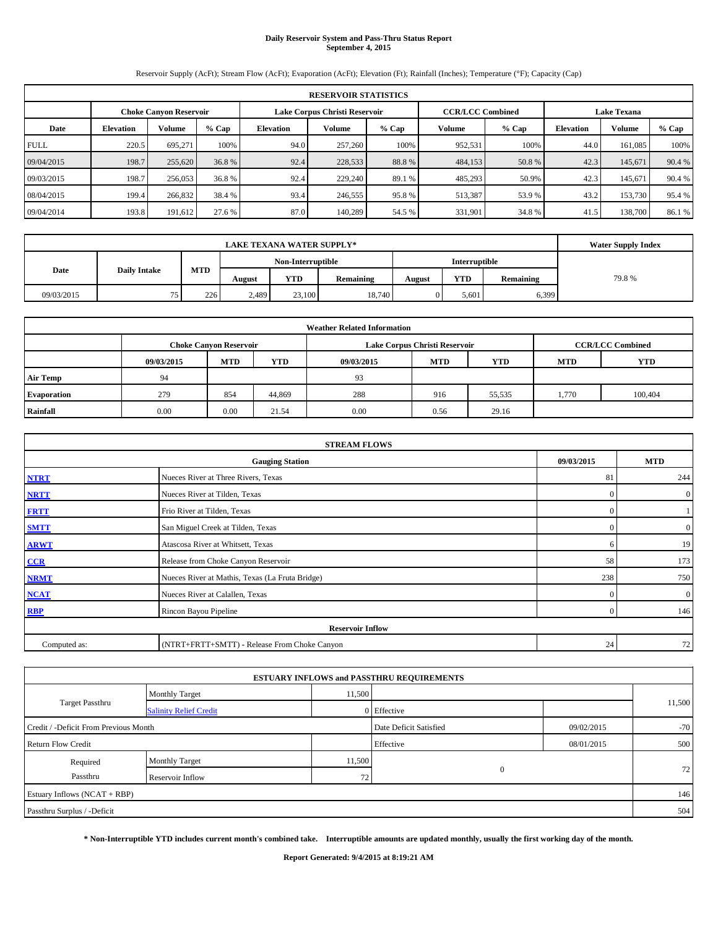## **Daily Reservoir System and Pass-Thru Status Report September 4, 2015**

Reservoir Supply (AcFt); Stream Flow (AcFt); Evaporation (AcFt); Elevation (Ft); Rainfall (Inches); Temperature (°F); Capacity (Cap)

|             | <b>RESERVOIR STATISTICS</b> |                               |         |           |                               |        |                         |        |                    |         |         |  |
|-------------|-----------------------------|-------------------------------|---------|-----------|-------------------------------|--------|-------------------------|--------|--------------------|---------|---------|--|
|             |                             | <b>Choke Canvon Reservoir</b> |         |           | Lake Corpus Christi Reservoir |        | <b>CCR/LCC Combined</b> |        | <b>Lake Texana</b> |         |         |  |
| Date        | <b>Elevation</b>            | <b>Volume</b>                 | $%$ Cap | Elevation | Volume                        | % Cap  | Volume                  | % Cap  | <b>Elevation</b>   | Volume  | $%$ Cap |  |
| <b>FULL</b> | 220.5                       | 695.271                       | 100%    | 94.0      | 257,260                       | 100%   | 952,531                 | 100%   | 44.0               | 161.085 | 100%    |  |
| 09/04/2015  | 198.7                       | 255,620                       | 36.8 %  | 92.4      | 228,533                       | 88.8%  | 484,153                 | 50.8 % | 42.3               | 145,671 | 90.4 %  |  |
| 09/03/2015  | 198.7                       | 256,053                       | 36.8%   | 92.4      | 229,240                       | 89.1 % | 485,293                 | 50.9%  | 42.3               | 145.671 | 90.4 %  |  |
| 08/04/2015  | 199.4                       | 266,832                       | 38.4 %  | 93.4      | 246,555                       | 95.8%  | 513,387                 | 53.9%  | 43.2               | 153,730 | 95.4 %  |  |
| 09/04/2014  | 193.8                       | 191,612                       | 27.6 %  | 87.0      | 140.289                       | 54.5 % | 331,901                 | 34.8%  | 41.5               | 138,700 | 86.1%   |  |

|            | <b>Water Supply Index</b> |            |        |                   |           |               |            |           |       |
|------------|---------------------------|------------|--------|-------------------|-----------|---------------|------------|-----------|-------|
|            |                           |            |        | Non-Interruptible |           | Interruptible |            |           |       |
| Date       | <b>Daily Intake</b>       | <b>MTD</b> | August | <b>YTD</b>        | Remaining | August        | <b>YTD</b> | Remaining | 79.8% |
| 09/03/2015 | 75<br>ر ر                 | 226        | 2,489  | 23,100            | 18.740    |               | 5.601      | 6,399     |       |

| <b>Weather Related Information</b> |            |                               |        |            |                               |                         |            |            |  |
|------------------------------------|------------|-------------------------------|--------|------------|-------------------------------|-------------------------|------------|------------|--|
|                                    |            | <b>Choke Canyon Reservoir</b> |        |            | Lake Corpus Christi Reservoir | <b>CCR/LCC Combined</b> |            |            |  |
|                                    | 09/03/2015 | <b>MTD</b>                    | YTD    | 09/03/2015 | <b>MTD</b>                    | <b>YTD</b>              | <b>MTD</b> | <b>YTD</b> |  |
| <b>Air Temp</b>                    | 94         |                               |        | 93         |                               |                         |            |            |  |
| Evaporation                        | 279        | 854                           | 44,869 | 288        | 916                           | 55,535                  | 1,770      | 100,404    |  |
| Rainfall                           | 0.00       | 0.00                          | 21.54  | 0.00       | 0.56                          | 29.16                   |            |            |  |

| <b>STREAM FLOWS</b> |                                                 |              |                  |  |  |  |  |  |  |
|---------------------|-------------------------------------------------|--------------|------------------|--|--|--|--|--|--|
|                     | 09/03/2015                                      | <b>MTD</b>   |                  |  |  |  |  |  |  |
| <b>NTRT</b>         | Nueces River at Three Rivers, Texas             | 81           | 244              |  |  |  |  |  |  |
| <b>NRTT</b>         | Nueces River at Tilden, Texas                   | $\mathbf{0}$ | $\boldsymbol{0}$ |  |  |  |  |  |  |
| <b>FRTT</b>         | Frio River at Tilden, Texas                     | $\mathbf{0}$ |                  |  |  |  |  |  |  |
| <b>SMTT</b>         | San Miguel Creek at Tilden, Texas               | $\mathbf{0}$ | $\boldsymbol{0}$ |  |  |  |  |  |  |
| <b>ARWT</b>         | Atascosa River at Whitsett, Texas               | 6            | 19               |  |  |  |  |  |  |
| $CCR$               | Release from Choke Canyon Reservoir             | 58           | 173              |  |  |  |  |  |  |
| <b>NRMT</b>         | Nueces River at Mathis, Texas (La Fruta Bridge) | 238          | 750              |  |  |  |  |  |  |
| <b>NCAT</b>         | Nueces River at Calallen, Texas                 | $\mathbf{0}$ | $\mathbf{0}$     |  |  |  |  |  |  |
| <b>RBP</b>          | Rincon Bayou Pipeline                           | $\Omega$     | 146              |  |  |  |  |  |  |
|                     | <b>Reservoir Inflow</b>                         |              |                  |  |  |  |  |  |  |
| Computed as:        | (NTRT+FRTT+SMTT) - Release From Choke Canyon    | 24           | 72               |  |  |  |  |  |  |

|                                       |                               |        | <b>ESTUARY INFLOWS and PASSTHRU REQUIREMENTS</b> |            |        |
|---------------------------------------|-------------------------------|--------|--------------------------------------------------|------------|--------|
|                                       | <b>Monthly Target</b>         | 11,500 |                                                  |            |        |
| <b>Target Passthru</b>                | <b>Salinity Relief Credit</b> |        | 0 Effective                                      |            | 11,500 |
| Credit / -Deficit From Previous Month |                               |        | Date Deficit Satisfied                           | 09/02/2015 | $-70$  |
| <b>Return Flow Credit</b>             |                               |        | Effective                                        | 08/01/2015 | 500    |
| Required                              | Monthly Target                | 11,500 |                                                  |            |        |
| Passthru                              | Reservoir Inflow              | 72     | $\mathbf{0}$                                     |            | 72     |
| Estuary Inflows (NCAT + RBP)          |                               |        |                                                  |            | 146    |
| Passthru Surplus / -Deficit           |                               |        |                                                  |            | 504    |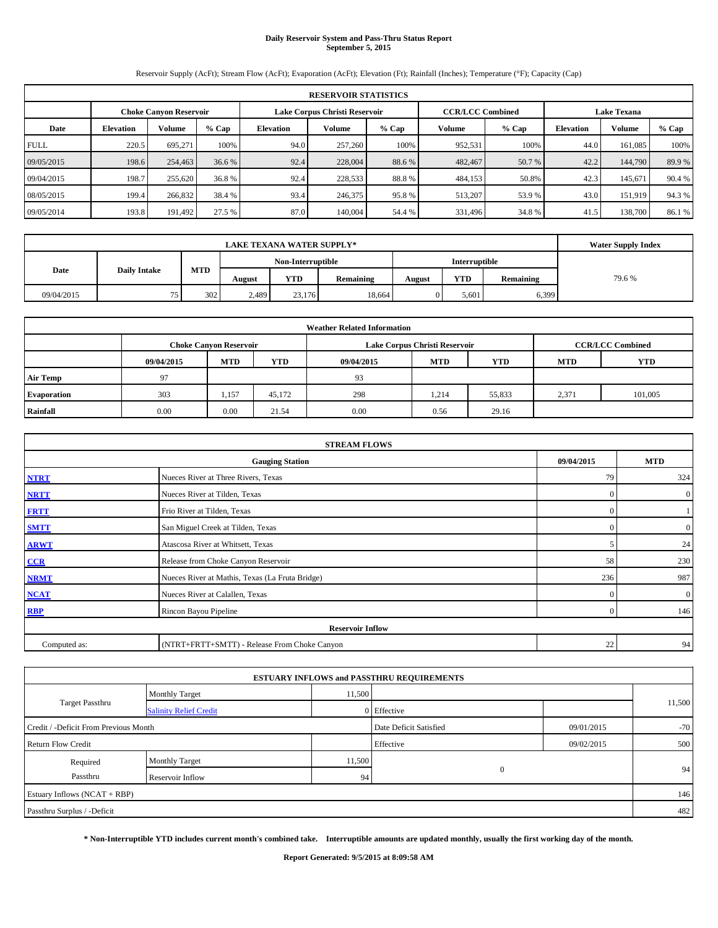## **Daily Reservoir System and Pass-Thru Status Report September 5, 2015**

Reservoir Supply (AcFt); Stream Flow (AcFt); Evaporation (AcFt); Elevation (Ft); Rainfall (Inches); Temperature (°F); Capacity (Cap)

| <b>RESERVOIR STATISTICS</b> |                  |                               |         |                  |                               |         |                         |        |                    |         |        |
|-----------------------------|------------------|-------------------------------|---------|------------------|-------------------------------|---------|-------------------------|--------|--------------------|---------|--------|
|                             |                  | <b>Choke Canyon Reservoir</b> |         |                  | Lake Corpus Christi Reservoir |         | <b>CCR/LCC Combined</b> |        | <b>Lake Texana</b> |         |        |
| Date                        | <b>Elevation</b> | <b>Volume</b>                 | $%$ Cap | <b>Elevation</b> | Volume                        | $%$ Cap | Volume                  | % Cap  | <b>Elevation</b>   | Volume  | % Cap  |
| <b>FULL</b>                 | 220.5            | 695.271                       | 100%    | 94.0             | 257,260                       | 100%    | 952,531                 | 100%   | 44.0               | 161.085 | 100%   |
| 09/05/2015                  | 198.6            | 254,463                       | 36.6 %  | 92.4             | 228,004                       | 88.6%   | 482,467                 | 50.7 % | 42.2               | 144,790 | 89.9%  |
| 09/04/2015                  | 198.7            | 255,620                       | 36.8 %  | 92.4             | 228,533                       | 88.8%   | 484,153                 | 50.8%  | 42.3               | 145,671 | 90.4 % |
| 08/05/2015                  | 199.4            | 266,832                       | 38.4 %  | 93.4             | 246,375                       | 95.8%   | 513,207                 | 53.9%  | 43.0               | 151.919 | 94.3%  |
| 09/05/2014                  | 193.8            | 191,492                       | 27.5 %  | 87.0             | 140,004                       | 54.4 %  | 331,496                 | 34.8%  | 41.5               | 138,700 | 86.1 % |

|            | <b>Water Supply Index</b> |            |                   |            |           |               |            |           |       |
|------------|---------------------------|------------|-------------------|------------|-----------|---------------|------------|-----------|-------|
|            |                           |            | Non-Interruptible |            |           | Interruptible |            |           |       |
| Date       | <b>Daily Intake</b>       | <b>MTD</b> | August            | <b>YTD</b> | Remaining | August        | <b>YTD</b> | Remaining | 79.6% |
| 09/04/2015 | 75<br>ر ر                 | 302        | 2,489             | 23,176     | 18.664    |               | 5.601      | 6,399     |       |

| <b>Weather Related Information</b> |            |                               |        |            |                               |                         |            |            |  |
|------------------------------------|------------|-------------------------------|--------|------------|-------------------------------|-------------------------|------------|------------|--|
|                                    |            | <b>Choke Canyon Reservoir</b> |        |            | Lake Corpus Christi Reservoir | <b>CCR/LCC Combined</b> |            |            |  |
|                                    | 09/04/2015 | <b>MTD</b>                    | YTD    | 09/04/2015 | <b>MTD</b>                    | <b>YTD</b>              | <b>MTD</b> | <b>YTD</b> |  |
| <b>Air Temp</b>                    | 97         |                               |        | 93         |                               |                         |            |            |  |
| Evaporation                        | 303        | 1,157                         | 45,172 | 298        | 1,214                         | 55,833                  | 2,371      | 101,005    |  |
| Rainfall                           | 0.00       | 0.00                          | 21.54  | 0.00       | 0.56                          | 29.16                   |            |            |  |

| <b>STREAM FLOWS</b>                                |                                                 |          |                |  |  |  |  |  |  |  |
|----------------------------------------------------|-------------------------------------------------|----------|----------------|--|--|--|--|--|--|--|
| 09/04/2015<br><b>MTD</b><br><b>Gauging Station</b> |                                                 |          |                |  |  |  |  |  |  |  |
| <b>NTRT</b>                                        | Nueces River at Three Rivers, Texas             | 79       | 324            |  |  |  |  |  |  |  |
| <b>NRTT</b>                                        | Nueces River at Tilden, Texas                   | $\Omega$ | $\overline{0}$ |  |  |  |  |  |  |  |
| <b>FRTT</b>                                        | Frio River at Tilden, Texas                     | $\Omega$ |                |  |  |  |  |  |  |  |
| <b>SMTT</b>                                        | San Miguel Creek at Tilden, Texas               | $\Omega$ | $\overline{0}$ |  |  |  |  |  |  |  |
| <b>ARWT</b>                                        | Atascosa River at Whitsett, Texas               |          | 24             |  |  |  |  |  |  |  |
| CCR                                                | Release from Choke Canyon Reservoir             | 58       | 230            |  |  |  |  |  |  |  |
| <b>NRMT</b>                                        | Nueces River at Mathis, Texas (La Fruta Bridge) | 236      | 987            |  |  |  |  |  |  |  |
| <b>NCAT</b>                                        | Nueces River at Calallen, Texas                 | $\Omega$ | $\overline{0}$ |  |  |  |  |  |  |  |
| <b>RBP</b>                                         | Rincon Bayou Pipeline                           | $\Omega$ | 146            |  |  |  |  |  |  |  |
|                                                    | <b>Reservoir Inflow</b>                         |          |                |  |  |  |  |  |  |  |
| Computed as:                                       | (NTRT+FRTT+SMTT) - Release From Choke Canyon    | 22       | 94             |  |  |  |  |  |  |  |

|                                       |                               |        | <b>ESTUARY INFLOWS and PASSTHRU REQUIREMENTS</b> |            |        |
|---------------------------------------|-------------------------------|--------|--------------------------------------------------|------------|--------|
|                                       | <b>Monthly Target</b>         | 11,500 |                                                  |            |        |
| <b>Target Passthru</b>                | <b>Salinity Relief Credit</b> |        | 0 Effective                                      |            | 11,500 |
| Credit / -Deficit From Previous Month |                               |        | Date Deficit Satisfied                           | 09/01/2015 | $-70$  |
| <b>Return Flow Credit</b>             |                               |        | Effective                                        | 09/02/2015 | 500    |
| Required                              | Monthly Target                | 11,500 |                                                  |            |        |
| Passthru                              | Reservoir Inflow              | 94     | $\mathbf{0}$                                     |            | 94     |
| Estuary Inflows (NCAT + RBP)          |                               |        |                                                  |            | 146    |
| Passthru Surplus / -Deficit           |                               |        |                                                  |            | 482    |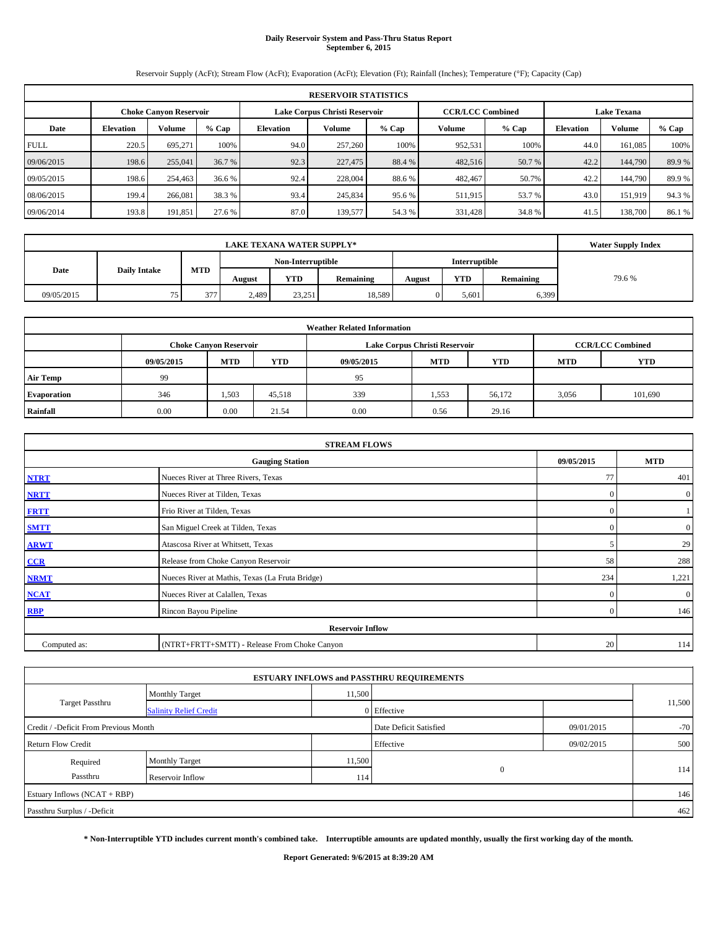## **Daily Reservoir System and Pass-Thru Status Report September 6, 2015**

Reservoir Supply (AcFt); Stream Flow (AcFt); Evaporation (AcFt); Elevation (Ft); Rainfall (Inches); Temperature (°F); Capacity (Cap)

|             | <b>RESERVOIR STATISTICS</b> |                               |        |                               |         |         |                         |         |                    |         |        |  |
|-------------|-----------------------------|-------------------------------|--------|-------------------------------|---------|---------|-------------------------|---------|--------------------|---------|--------|--|
|             |                             | <b>Choke Canvon Reservoir</b> |        | Lake Corpus Christi Reservoir |         |         | <b>CCR/LCC Combined</b> |         | <b>Lake Texana</b> |         |        |  |
| Date        | <b>Elevation</b>            | Volume                        | % Cap  | Elevation                     | Volume  | $%$ Cap | Volume                  | $%$ Cap | <b>Elevation</b>   | Volume  | % Cap  |  |
| <b>FULL</b> | 220.5                       | 695.271                       | 100%   | 94.0                          | 257,260 | 100%    | 952,531                 | 100%    | 44.0               | 161.085 | 100%   |  |
| 09/06/2015  | 198.6                       | 255,041                       | 36.7 % | 92.3                          | 227,475 | 88.4 %  | 482,516                 | 50.7 %  | 42.2               | 144,790 | 89.9%  |  |
| 09/05/2015  | 198.6                       | 254,463                       | 36.6 % | 92.4                          | 228,004 | 88.6%   | 482,467                 | 50.7%   | 42.2               | 144,790 | 89.9%  |  |
| 08/06/2015  | 199.4                       | 266.081                       | 38.3 % | 93.4                          | 245,834 | 95.6 %  | 511,915                 | 53.7 %  | 43.0               | 151.919 | 94.3%  |  |
| 09/06/2014  | 193.8                       | 191,851                       | 27.6 % | 87.0                          | 139,577 | 54.3 %  | 331,428                 | 34.8%   | 41.5               | 138,700 | 86.1 % |  |

|            | <b>Water Supply Index</b> |            |        |                   |           |        |               |           |       |
|------------|---------------------------|------------|--------|-------------------|-----------|--------|---------------|-----------|-------|
|            |                           |            |        | Non-Interruptible |           |        | Interruptible |           |       |
| Date       | <b>Daily Intake</b>       | <b>MTD</b> | August | <b>YTD</b>        | Remaining | August | <b>YTD</b>    | Remaining | 79.6% |
| 09/05/2015 | 75<br>ر ر                 | 377        | 2,489  | 23,251            | 18,589    |        | 5.601         | 6,399     |       |

| <b>Weather Related Information</b> |            |                               |        |            |                               |                         |            |         |  |  |  |
|------------------------------------|------------|-------------------------------|--------|------------|-------------------------------|-------------------------|------------|---------|--|--|--|
|                                    |            | <b>Choke Canyon Reservoir</b> |        |            | Lake Corpus Christi Reservoir | <b>CCR/LCC Combined</b> |            |         |  |  |  |
|                                    | 09/05/2015 | <b>MTD</b>                    | YTD    | 09/05/2015 | <b>YTD</b>                    | <b>MTD</b>              | <b>YTD</b> |         |  |  |  |
| <b>Air Temp</b>                    | 99         |                               |        | 95         |                               |                         |            |         |  |  |  |
| Evaporation                        | 346        | 1,503                         | 45,518 | 339        | 1,553                         | 56,172                  | 3,056      | 101,690 |  |  |  |
| Rainfall                           | 0.00       | 0.00                          | 21.54  | 0.00       | 0.56                          | 29.16                   |            |         |  |  |  |

|              | <b>STREAM FLOWS</b>                             |                  |                  |  |  |  |  |  |
|--------------|-------------------------------------------------|------------------|------------------|--|--|--|--|--|
|              | 09/05/2015                                      | <b>MTD</b>       |                  |  |  |  |  |  |
| <b>NTRT</b>  | Nueces River at Three Rivers, Texas             |                  |                  |  |  |  |  |  |
| <b>NRTT</b>  | $\mathbf{0}$                                    | $\boldsymbol{0}$ |                  |  |  |  |  |  |
| <b>FRTT</b>  | Frio River at Tilden, Texas                     | $\mathbf{0}$     |                  |  |  |  |  |  |
| <b>SMTT</b>  | San Miguel Creek at Tilden, Texas               | $\mathbf{0}$     | $\boldsymbol{0}$ |  |  |  |  |  |
| <b>ARWT</b>  | 5                                               | 29               |                  |  |  |  |  |  |
| $CCR$        | Release from Choke Canyon Reservoir             | 58               | 288              |  |  |  |  |  |
| <b>NRMT</b>  | Nueces River at Mathis, Texas (La Fruta Bridge) | 234              | 1,221            |  |  |  |  |  |
| <b>NCAT</b>  | Nueces River at Calallen, Texas                 | $\Omega$         | $\boldsymbol{0}$ |  |  |  |  |  |
| RBP          | Rincon Bayou Pipeline                           | $\mathbf{0}$     | 146              |  |  |  |  |  |
|              | <b>Reservoir Inflow</b>                         |                  |                  |  |  |  |  |  |
| Computed as: | 20                                              | 114              |                  |  |  |  |  |  |

|                                       |                               |        | <b>ESTUARY INFLOWS and PASSTHRU REQUIREMENTS</b> |            |        |
|---------------------------------------|-------------------------------|--------|--------------------------------------------------|------------|--------|
|                                       | <b>Monthly Target</b>         | 11,500 |                                                  |            |        |
| Target Passthru                       | <b>Salinity Relief Credit</b> |        | 0 Effective                                      |            | 11,500 |
| Credit / -Deficit From Previous Month |                               |        | Date Deficit Satisfied                           | 09/01/2015 | $-70$  |
| <b>Return Flow Credit</b>             |                               |        | Effective                                        | 09/02/2015 | 500    |
| Required                              | Monthly Target                | 11,500 |                                                  |            |        |
| Passthru                              | Reservoir Inflow              | 114    | $\mathbf{0}$                                     |            | 114    |
| Estuary Inflows (NCAT + RBP)          |                               |        |                                                  |            | 146    |
| Passthru Surplus / -Deficit           |                               |        |                                                  |            | 462    |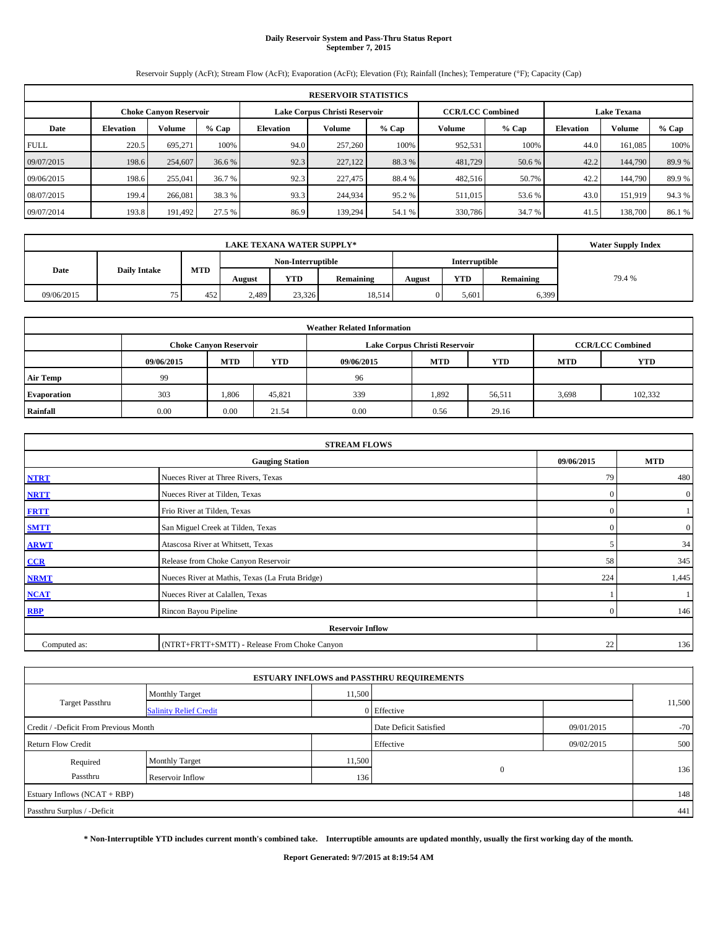### **Daily Reservoir System and Pass-Thru Status Report September 7, 2015**

Reservoir Supply (AcFt); Stream Flow (AcFt); Evaporation (AcFt); Elevation (Ft); Rainfall (Inches); Temperature (°F); Capacity (Cap)

|             | <b>RESERVOIR STATISTICS</b> |                               |        |                  |                               |         |                         |         |                    |         |        |  |  |
|-------------|-----------------------------|-------------------------------|--------|------------------|-------------------------------|---------|-------------------------|---------|--------------------|---------|--------|--|--|
|             |                             | <b>Choke Canvon Reservoir</b> |        |                  | Lake Corpus Christi Reservoir |         | <b>CCR/LCC Combined</b> |         | <b>Lake Texana</b> |         |        |  |  |
| Date        | <b>Elevation</b>            | <b>Volume</b>                 | % Cap  | <b>Elevation</b> | Volume                        | $%$ Cap | Volume                  | $%$ Cap | Elevation          | Volume  | % Cap  |  |  |
| <b>FULL</b> | 220.5                       | 695.271                       | 100%   | 94.0             | 257,260                       | 100%    | 952,531                 | 100%    | 44.0               | 161.085 | 100%   |  |  |
| 09/07/2015  | 198.6                       | 254,607                       | 36.6 % | 92.3             | 227,122                       | 88.3%   | 481,729                 | 50.6 %  | 42.2               | 144,790 | 89.9%  |  |  |
| 09/06/2015  | 198.6                       | 255,041                       | 36.7 % | 92.3             | 227,475                       | 88.4 %  | 482,516                 | 50.7%   | 42.2               | 144,790 | 89.9%  |  |  |
| 08/07/2015  | 199.4                       | 266,081                       | 38.3 % | 93.3             | 244,934                       | 95.2%   | 511,015                 | 53.6 %  | 43.0               | 151.919 | 94.3%  |  |  |
| 09/07/2014  | 193.8                       | 191.492                       | 27.5 % | 86.9             | 139.294                       | 54.1 %  | 330,786                 | 34.7 %  | 41.5               | 138,700 | 86.1 % |  |  |

|            | <b>Water Supply Index</b> |            |        |                   |           |        |               |           |       |
|------------|---------------------------|------------|--------|-------------------|-----------|--------|---------------|-----------|-------|
|            |                           |            |        | Non-Interruptible |           |        | Interruptible |           |       |
| Date       | <b>Daily Intake</b>       | <b>MTD</b> | August | <b>YTD</b>        | Remaining | August | <b>YTD</b>    | Remaining | 79.4% |
| 09/06/2015 | 75<br>ر ر                 | 452        | 2,489  | 23,326            | 18,514    |        | 5.601         | 6,399     |       |

| <b>Weather Related Information</b> |            |                               |        |            |                               |                          |       |         |  |  |  |
|------------------------------------|------------|-------------------------------|--------|------------|-------------------------------|--------------------------|-------|---------|--|--|--|
|                                    |            | <b>Choke Canyon Reservoir</b> |        |            | Lake Corpus Christi Reservoir | <b>CCR/LCC Combined</b>  |       |         |  |  |  |
|                                    | 09/06/2015 | <b>MTD</b>                    | YTD    | 09/06/2015 | <b>YTD</b>                    | <b>YTD</b><br><b>MTD</b> |       |         |  |  |  |
| <b>Air Temp</b>                    | 99         |                               |        | 96         |                               |                          |       |         |  |  |  |
| Evaporation                        | 303        | 1.806                         | 45,821 | 339        | 1,892                         | 56,511                   | 3,698 | 102,332 |  |  |  |
| Rainfall                           | 0.00       | 0.00                          | 21.54  | 0.00       | 0.56                          | 29.16                    |       |         |  |  |  |

|              | <b>STREAM FLOWS</b>                             |                  |                  |
|--------------|-------------------------------------------------|------------------|------------------|
|              | 09/06/2015                                      | <b>MTD</b>       |                  |
| <b>NTRT</b>  | 79                                              | 480              |                  |
| <b>NRTT</b>  | $\mathbf{0}$                                    | $\boldsymbol{0}$ |                  |
| <b>FRTT</b>  | Frio River at Tilden, Texas                     | $\mathbf{0}$     |                  |
| <b>SMTT</b>  | San Miguel Creek at Tilden, Texas               | $\Omega$         | $\boldsymbol{0}$ |
| <b>ARWT</b>  | Atascosa River at Whitsett, Texas               | 5                | 34               |
| CCR          | Release from Choke Canyon Reservoir             | 58               | 345              |
| <b>NRMT</b>  | Nueces River at Mathis, Texas (La Fruta Bridge) | 224              | 1,445            |
| <b>NCAT</b>  | Nueces River at Calallen, Texas                 |                  |                  |
| <b>RBP</b>   | Rincon Bayou Pipeline                           | $\mathbf{0}$     | 146              |
|              | <b>Reservoir Inflow</b>                         |                  |                  |
| Computed as: | 22                                              | 136              |                  |

|                                       |                               |        | <b>ESTUARY INFLOWS and PASSTHRU REQUIREMENTS</b> |            |        |  |
|---------------------------------------|-------------------------------|--------|--------------------------------------------------|------------|--------|--|
|                                       | <b>Monthly Target</b>         | 11,500 |                                                  |            |        |  |
| Target Passthru                       | <b>Salinity Relief Credit</b> |        | 0 Effective                                      |            | 11,500 |  |
| Credit / -Deficit From Previous Month |                               |        | Date Deficit Satisfied                           | 09/01/2015 | $-70$  |  |
| <b>Return Flow Credit</b>             |                               |        | Effective                                        | 09/02/2015 | 500    |  |
| Required                              | Monthly Target                | 11,500 |                                                  |            |        |  |
| Passthru                              | Reservoir Inflow              | 136    | $\mathbf{0}$                                     |            | 136    |  |
| Estuary Inflows (NCAT + RBP)          |                               |        |                                                  |            | 148    |  |
| Passthru Surplus / -Deficit           |                               |        |                                                  |            | 441    |  |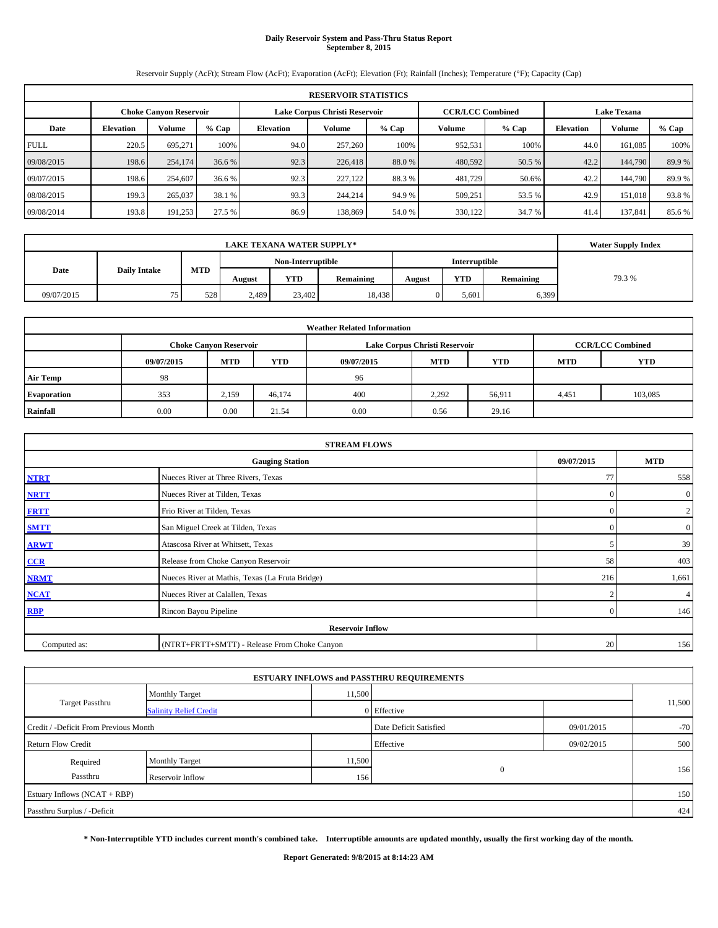## **Daily Reservoir System and Pass-Thru Status Report September 8, 2015**

Reservoir Supply (AcFt); Stream Flow (AcFt); Evaporation (AcFt); Elevation (Ft); Rainfall (Inches); Temperature (°F); Capacity (Cap)

|             | <b>RESERVOIR STATISTICS</b> |                               |         |                               |         |        |                         |        |                    |         |        |  |  |
|-------------|-----------------------------|-------------------------------|---------|-------------------------------|---------|--------|-------------------------|--------|--------------------|---------|--------|--|--|
|             |                             | <b>Choke Canyon Reservoir</b> |         | Lake Corpus Christi Reservoir |         |        | <b>CCR/LCC Combined</b> |        | <b>Lake Texana</b> |         |        |  |  |
| Date        | <b>Elevation</b>            | <b>Volume</b>                 | $%$ Cap | <b>Elevation</b>              | Volume  | % Cap  | Volume                  | % Cap  | <b>Elevation</b>   | Volume  | % Cap  |  |  |
| <b>FULL</b> | 220.5                       | 695.271                       | 100%    | 94.0                          | 257,260 | 100%   | 952,531                 | 100%   | 44.0               | 161.085 | 100%   |  |  |
| 09/08/2015  | 198.6                       | 254,174                       | 36.6 %  | 92.3                          | 226,418 | 88.0%  | 480,592                 | 50.5 % | 42.2               | 144,790 | 89.9%  |  |  |
| 09/07/2015  | 198.6                       | 254,607                       | 36.6 %  | 92.3                          | 227,122 | 88.3%  | 481,729                 | 50.6%  | 42.2               | 144,790 | 89.9%  |  |  |
| 08/08/2015  | 199.3                       | 265,037                       | 38.1 %  | 93.3                          | 244,214 | 94.9 % | 509,251                 | 53.5 % | 42.9               | 151,018 | 93.8%  |  |  |
| 09/08/2014  | 193.8                       | 191,253                       | 27.5 %  | 86.9                          | 138,869 | 54.0 % | 330,122                 | 34.7 % | 41.4               | 137.841 | 85.6 % |  |  |

|            | <b>LAKE TEXANA WATER SUPPLY*</b> |            |        |               |           |        |            |           |       |  |  |
|------------|----------------------------------|------------|--------|---------------|-----------|--------|------------|-----------|-------|--|--|
|            |                                  |            |        | Interruptible |           |        |            |           |       |  |  |
| Date       | <b>Daily Intake</b>              | <b>MTD</b> | August | <b>YTD</b>    | Remaining | August | <b>YTD</b> | Remaining | 79.3% |  |  |
| 09/07/2015 | 75<br>ر ر                        | 528        | 2,489  | 23,402        | 18,438    |        | 5.601      | 6,399     |       |  |  |

| <b>Weather Related Information</b> |            |                                                                                           |        |            |            |            |            |            |  |  |  |  |  |
|------------------------------------|------------|-------------------------------------------------------------------------------------------|--------|------------|------------|------------|------------|------------|--|--|--|--|--|
|                                    |            | <b>CCR/LCC Combined</b><br>Lake Corpus Christi Reservoir<br><b>Choke Canyon Reservoir</b> |        |            |            |            |            |            |  |  |  |  |  |
|                                    | 09/07/2015 | <b>MTD</b>                                                                                | YTD    | 09/07/2015 | <b>MTD</b> | <b>YTD</b> | <b>MTD</b> | <b>YTD</b> |  |  |  |  |  |
| <b>Air Temp</b>                    | 98         |                                                                                           |        | 96         |            |            |            |            |  |  |  |  |  |
| Evaporation                        | 353        | 2,159                                                                                     | 46,174 | 400        | 2,292      | 56,911     | 4,451      | 103,085    |  |  |  |  |  |
| Rainfall                           | 0.00       | 0.00                                                                                      | 21.54  | 0.00       | 0.56       | 29.16      |            |            |  |  |  |  |  |

|              | <b>STREAM FLOWS</b>                                |                |                  |  |  |  |  |  |  |  |
|--------------|----------------------------------------------------|----------------|------------------|--|--|--|--|--|--|--|
|              | 09/07/2015<br><b>MTD</b><br><b>Gauging Station</b> |                |                  |  |  |  |  |  |  |  |
| <b>NTRT</b>  | Nueces River at Three Rivers, Texas                | 77             | 558              |  |  |  |  |  |  |  |
| <b>NRTT</b>  | Nueces River at Tilden, Texas                      | $\mathbf{0}$   | $\boldsymbol{0}$ |  |  |  |  |  |  |  |
| <b>FRTT</b>  | Frio River at Tilden, Texas                        | $\mathbf{0}$   | 2                |  |  |  |  |  |  |  |
| <b>SMTT</b>  | San Miguel Creek at Tilden, Texas                  | $\mathbf{0}$   | $\boldsymbol{0}$ |  |  |  |  |  |  |  |
| <b>ARWT</b>  | Atascosa River at Whitsett, Texas                  |                | 39               |  |  |  |  |  |  |  |
| $CCR$        | Release from Choke Canyon Reservoir                | 58             | 403              |  |  |  |  |  |  |  |
| <b>NRMT</b>  | Nueces River at Mathis, Texas (La Fruta Bridge)    | 216            | 1,661            |  |  |  |  |  |  |  |
| <b>NCAT</b>  | Nueces River at Calallen, Texas                    | $\overline{2}$ | $\overline{4}$   |  |  |  |  |  |  |  |
| <b>RBP</b>   | Rincon Bayou Pipeline                              | $\Omega$       | 146              |  |  |  |  |  |  |  |
|              | <b>Reservoir Inflow</b>                            |                |                  |  |  |  |  |  |  |  |
| Computed as: | (NTRT+FRTT+SMTT) - Release From Choke Canyon       | 20             | 156              |  |  |  |  |  |  |  |

|                                       |                               |        | <b>ESTUARY INFLOWS and PASSTHRU REQUIREMENTS</b> |            |        |
|---------------------------------------|-------------------------------|--------|--------------------------------------------------|------------|--------|
|                                       | <b>Monthly Target</b>         | 11,500 |                                                  |            |        |
| <b>Target Passthru</b>                | <b>Salinity Relief Credit</b> |        | 0 Effective                                      |            | 11,500 |
| Credit / -Deficit From Previous Month |                               |        | Date Deficit Satisfied                           | 09/01/2015 | $-70$  |
| <b>Return Flow Credit</b>             |                               |        | Effective                                        | 09/02/2015 | 500    |
| Required                              | Monthly Target                | 11,500 |                                                  |            |        |
| Passthru                              | Reservoir Inflow              | 156    | $\mathbf{0}$                                     |            | 156    |
| Estuary Inflows (NCAT + RBP)          |                               |        |                                                  |            | 150    |
| Passthru Surplus / -Deficit           |                               |        |                                                  |            | 424    |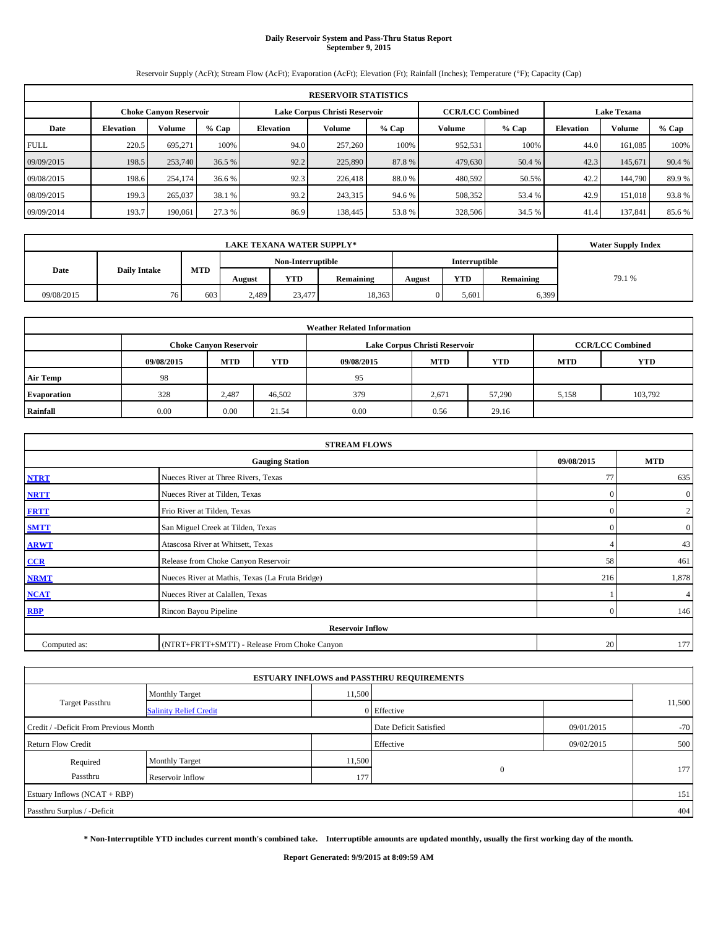## **Daily Reservoir System and Pass-Thru Status Report September 9, 2015**

Reservoir Supply (AcFt); Stream Flow (AcFt); Evaporation (AcFt); Elevation (Ft); Rainfall (Inches); Temperature (°F); Capacity (Cap)

|             | <b>RESERVOIR STATISTICS</b>                                                                                     |         |        |                  |         |         |         |         |                  |         |         |  |  |  |  |
|-------------|-----------------------------------------------------------------------------------------------------------------|---------|--------|------------------|---------|---------|---------|---------|------------------|---------|---------|--|--|--|--|
|             | Lake Corpus Christi Reservoir<br><b>CCR/LCC Combined</b><br><b>Lake Texana</b><br><b>Choke Canvon Reservoir</b> |         |        |                  |         |         |         |         |                  |         |         |  |  |  |  |
| Date        | <b>Elevation</b>                                                                                                | Volume  | % Cap  | <b>Elevation</b> | Volume  | $%$ Cap | Volume  | $%$ Cap | <b>Elevation</b> | Volume  | $%$ Cap |  |  |  |  |
| <b>FULL</b> | 220.5                                                                                                           | 695.271 | 100%   | 94.0             | 257,260 | 100%    | 952,531 | 100%    | 44.0             | 161.085 | 100%    |  |  |  |  |
| 09/09/2015  | 198.5                                                                                                           | 253,740 | 36.5 % | 92.2             | 225,890 | 87.8%   | 479,630 | 50.4 %  | 42.3             | 145,671 | 90.4 %  |  |  |  |  |
| 09/08/2015  | 198.6                                                                                                           | 254,174 | 36.6 % | 92.3             | 226,418 | 88.0 %  | 480,592 | 50.5%   | 42.2             | 144,790 | 89.9%   |  |  |  |  |
| 08/09/2015  | 199.3                                                                                                           | 265,037 | 38.1 % | 93.2             | 243,315 | 94.6 %  | 508,352 | 53.4 %  | 42.9             | 151,018 | 93.8%   |  |  |  |  |
| 09/09/2014  | 193.7                                                                                                           | 190,061 | 27.3 % | 86.9             | 138,445 | 53.8%   | 328,506 | 34.5 %  | 41.4             | 137.841 | 85.6%   |  |  |  |  |

|            | <b>LAKE TEXANA WATER SUPPLY*</b> |            |                   |            |           |        |               |           |        |  |  |
|------------|----------------------------------|------------|-------------------|------------|-----------|--------|---------------|-----------|--------|--|--|
|            |                                  |            | Non-Interruptible |            |           |        | Interruptible |           |        |  |  |
| Date       | <b>Daily Intake</b>              | <b>MTD</b> | August            | <b>YTD</b> | Remaining | August | <b>YTD</b>    | Remaining | 79.1 % |  |  |
| 09/08/2015 | 76                               | 603        | 2,489             | 23,477     | 18,363    |        | 5.601         | 6,399     |        |  |  |

| <b>Weather Related Information</b> |            |                                                                                           |        |            |            |            |            |            |  |  |  |  |  |
|------------------------------------|------------|-------------------------------------------------------------------------------------------|--------|------------|------------|------------|------------|------------|--|--|--|--|--|
|                                    |            | <b>CCR/LCC Combined</b><br>Lake Corpus Christi Reservoir<br><b>Choke Canyon Reservoir</b> |        |            |            |            |            |            |  |  |  |  |  |
|                                    | 09/08/2015 | <b>MTD</b>                                                                                | YTD    | 09/08/2015 | <b>MTD</b> | <b>YTD</b> | <b>MTD</b> | <b>YTD</b> |  |  |  |  |  |
| <b>Air Temp</b>                    | 98         |                                                                                           |        | 95         |            |            |            |            |  |  |  |  |  |
| Evaporation                        | 328        | 2,487                                                                                     | 46,502 | 379        | 2,671      | 57,290     | 5,158      | 103,792    |  |  |  |  |  |
| Rainfall                           | 0.00       | 0.00                                                                                      | 21.54  | 0.00       | 0.56       | 29.16      |            |            |  |  |  |  |  |

|              | <b>STREAM FLOWS</b>                                |              |                  |  |  |  |  |  |  |
|--------------|----------------------------------------------------|--------------|------------------|--|--|--|--|--|--|
|              | 09/08/2015<br><b>MTD</b><br><b>Gauging Station</b> |              |                  |  |  |  |  |  |  |
| <b>NTRT</b>  | Nueces River at Three Rivers, Texas                | 77           | 635              |  |  |  |  |  |  |
| <b>NRTT</b>  | Nueces River at Tilden, Texas                      | $\mathbf{0}$ | $\boldsymbol{0}$ |  |  |  |  |  |  |
| <b>FRTT</b>  | Frio River at Tilden, Texas                        | $\mathbf{0}$ | $\mathbf{2}$     |  |  |  |  |  |  |
| <b>SMTT</b>  | San Miguel Creek at Tilden, Texas                  | $\mathbf{0}$ | $\boldsymbol{0}$ |  |  |  |  |  |  |
| <b>ARWT</b>  | Atascosa River at Whitsett, Texas                  |              | 43               |  |  |  |  |  |  |
| $CCR$        | Release from Choke Canyon Reservoir                | 58           | 461              |  |  |  |  |  |  |
| <b>NRMT</b>  | Nueces River at Mathis, Texas (La Fruta Bridge)    | 216          | 1,878            |  |  |  |  |  |  |
| <b>NCAT</b>  | Nueces River at Calallen, Texas                    |              | 4                |  |  |  |  |  |  |
| RBP          | Rincon Bayou Pipeline                              | $\mathbf{0}$ | 146              |  |  |  |  |  |  |
|              | <b>Reservoir Inflow</b>                            |              |                  |  |  |  |  |  |  |
| Computed as: | (NTRT+FRTT+SMTT) - Release From Choke Canyon       | 20           | 177              |  |  |  |  |  |  |

|                                       |                               |        | <b>ESTUARY INFLOWS and PASSTHRU REQUIREMENTS</b> |            |        |
|---------------------------------------|-------------------------------|--------|--------------------------------------------------|------------|--------|
|                                       | <b>Monthly Target</b>         | 11,500 |                                                  |            |        |
| Target Passthru                       | <b>Salinity Relief Credit</b> |        | 0 Effective                                      |            | 11,500 |
| Credit / -Deficit From Previous Month |                               |        | Date Deficit Satisfied                           | 09/01/2015 | $-70$  |
| <b>Return Flow Credit</b>             |                               |        | Effective                                        | 09/02/2015 | 500    |
| Required                              | Monthly Target                | 11,500 |                                                  |            |        |
| Passthru                              | Reservoir Inflow              | 177    | $\mathbf{0}$                                     |            | 177    |
| Estuary Inflows (NCAT + RBP)          |                               |        |                                                  |            | 151    |
| Passthru Surplus / -Deficit           |                               |        |                                                  |            | 404    |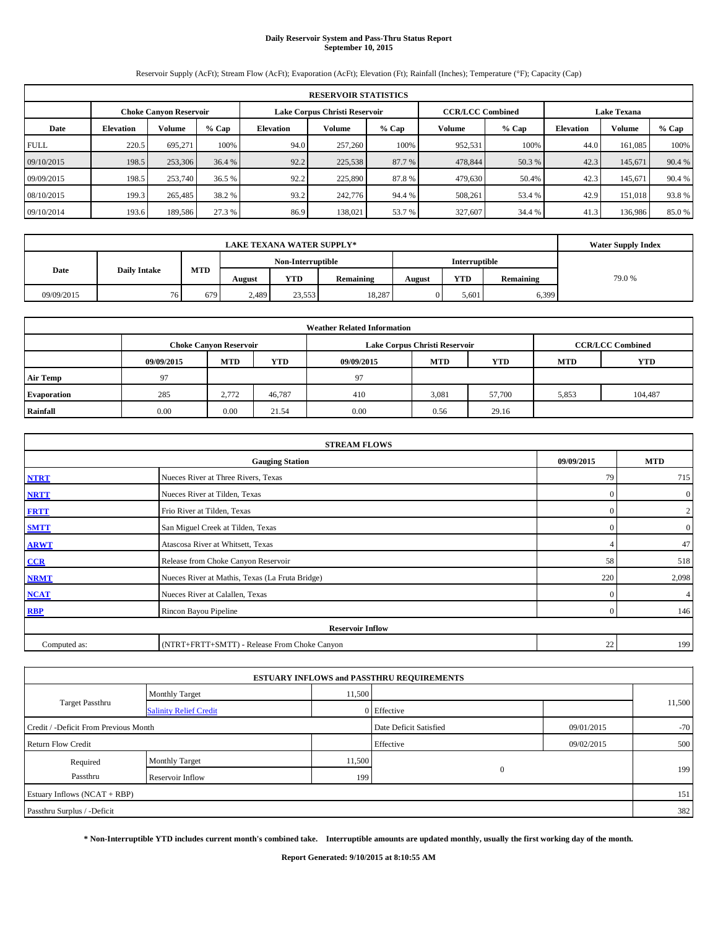# **Daily Reservoir System and Pass-Thru Status Report September 10, 2015**

Reservoir Supply (AcFt); Stream Flow (AcFt); Evaporation (AcFt); Elevation (Ft); Rainfall (Inches); Temperature (°F); Capacity (Cap)

|             | <b>RESERVOIR STATISTICS</b>                                                                                     |         |        |           |         |         |         |         |                  |         |         |  |  |  |  |
|-------------|-----------------------------------------------------------------------------------------------------------------|---------|--------|-----------|---------|---------|---------|---------|------------------|---------|---------|--|--|--|--|
|             | Lake Corpus Christi Reservoir<br><b>CCR/LCC Combined</b><br><b>Lake Texana</b><br><b>Choke Canvon Reservoir</b> |         |        |           |         |         |         |         |                  |         |         |  |  |  |  |
| Date        | <b>Elevation</b>                                                                                                | Volume  | % Cap  | Elevation | Volume  | $%$ Cap | Volume  | $%$ Cap | <b>Elevation</b> | Volume  | $%$ Cap |  |  |  |  |
| <b>FULL</b> | 220.5                                                                                                           | 695,271 | 100%   | 94.0      | 257,260 | 100%    | 952,531 | 100%    | 44.0             | 161.085 | 100%    |  |  |  |  |
| 09/10/2015  | 198.5                                                                                                           | 253,306 | 36.4 % | 92.2      | 225,538 | 87.7 %  | 478,844 | 50.3 %  | 42.3             | 145,671 | 90.4 %  |  |  |  |  |
| 09/09/2015  | 198.5                                                                                                           | 253,740 | 36.5 % | 92.2      | 225,890 | 87.8%   | 479,630 | 50.4%   | 42.3             | 145.671 | 90.4 %  |  |  |  |  |
| 08/10/2015  | 199.3                                                                                                           | 265,485 | 38.2 % | 93.2      | 242,776 | 94.4 %  | 508,261 | 53.4 %  | 42.9             | 151,018 | 93.8%   |  |  |  |  |
| 09/10/2014  | 193.6                                                                                                           | 189,586 | 27.3 % | 86.9      | 138,021 | 53.7 %  | 327,607 | 34.4 %  | 41.3             | 136,986 | 85.0%   |  |  |  |  |

|            | <b>LAKE TEXANA WATER SUPPLY*</b> |            |        |                   |           |        |               |           |       |  |  |
|------------|----------------------------------|------------|--------|-------------------|-----------|--------|---------------|-----------|-------|--|--|
|            |                                  |            |        | Non-Interruptible |           |        | Interruptible |           |       |  |  |
| Date       | <b>Daily Intake</b>              | <b>MTD</b> | August | <b>YTD</b>        | Remaining | August | <b>YTD</b>    | Remaining | 79.0% |  |  |
| 09/09/2015 | 76                               | 679        | 2,489  | 23,553            | 18,287    |        | 5.601         | 6,399     |       |  |  |

| <b>Weather Related Information</b> |            |                                                                                           |        |            |            |            |            |            |  |  |  |  |  |
|------------------------------------|------------|-------------------------------------------------------------------------------------------|--------|------------|------------|------------|------------|------------|--|--|--|--|--|
|                                    |            | <b>CCR/LCC Combined</b><br>Lake Corpus Christi Reservoir<br><b>Choke Canyon Reservoir</b> |        |            |            |            |            |            |  |  |  |  |  |
|                                    | 09/09/2015 | <b>MTD</b>                                                                                | YTD    | 09/09/2015 | <b>MTD</b> | <b>YTD</b> | <b>MTD</b> | <b>YTD</b> |  |  |  |  |  |
| <b>Air Temp</b>                    | 97         |                                                                                           |        | 97         |            |            |            |            |  |  |  |  |  |
| Evaporation                        | 285        | 2,772                                                                                     | 46,787 | 410        | 3,081      | 57,700     | 5,853      | 104,487    |  |  |  |  |  |
| Rainfall                           | 0.00       | 0.00                                                                                      | 21.54  | 0.00       | 0.56       | 29.16      |            |            |  |  |  |  |  |

|              | <b>STREAM FLOWS</b>                             |            |                |  |  |  |  |  |  |  |
|--------------|-------------------------------------------------|------------|----------------|--|--|--|--|--|--|--|
|              | <b>Gauging Station</b>                          | 09/09/2015 | <b>MTD</b>     |  |  |  |  |  |  |  |
| <b>NTRT</b>  | Nueces River at Three Rivers, Texas             | 79         | 715            |  |  |  |  |  |  |  |
| <b>NRTT</b>  | Nueces River at Tilden, Texas                   | $\Omega$   | $\overline{0}$ |  |  |  |  |  |  |  |
| <b>FRTT</b>  | Frio River at Tilden, Texas                     | $\Omega$   | $\overline{2}$ |  |  |  |  |  |  |  |
| <b>SMTT</b>  | San Miguel Creek at Tilden, Texas               | $\Omega$   | $\overline{0}$ |  |  |  |  |  |  |  |
| <b>ARWT</b>  | Atascosa River at Whitsett, Texas               |            | 47             |  |  |  |  |  |  |  |
| CCR          | Release from Choke Canyon Reservoir             | 58         | 518            |  |  |  |  |  |  |  |
| <b>NRMT</b>  | Nueces River at Mathis, Texas (La Fruta Bridge) | 220        | 2,098          |  |  |  |  |  |  |  |
| <b>NCAT</b>  | Nueces River at Calallen, Texas                 | $\Omega$   | $\overline{4}$ |  |  |  |  |  |  |  |
| <b>RBP</b>   | Rincon Bayou Pipeline                           | $\Omega$   | 146            |  |  |  |  |  |  |  |
|              | <b>Reservoir Inflow</b>                         |            |                |  |  |  |  |  |  |  |
| Computed as: | (NTRT+FRTT+SMTT) - Release From Choke Canyon    | 22         | 199            |  |  |  |  |  |  |  |

|                                       |                               |                        | <b>ESTUARY INFLOWS and PASSTHRU REQUIREMENTS</b> |            |        |  |
|---------------------------------------|-------------------------------|------------------------|--------------------------------------------------|------------|--------|--|
|                                       | <b>Monthly Target</b>         | 11,500                 |                                                  |            |        |  |
| <b>Target Passthru</b>                | <b>Salinity Relief Credit</b> |                        | 0 Effective                                      |            | 11,500 |  |
| Credit / -Deficit From Previous Month |                               | Date Deficit Satisfied | 09/01/2015                                       | $-70$      |        |  |
| <b>Return Flow Credit</b>             |                               |                        | Effective                                        | 09/02/2015 | 500    |  |
| Required                              | Monthly Target                | 11,500                 |                                                  |            |        |  |
| Passthru                              | Reservoir Inflow              | 199                    | $\mathbf{0}$                                     |            | 199    |  |
| Estuary Inflows (NCAT + RBP)          |                               |                        |                                                  |            | 151    |  |
| Passthru Surplus / -Deficit           |                               |                        |                                                  |            | 382    |  |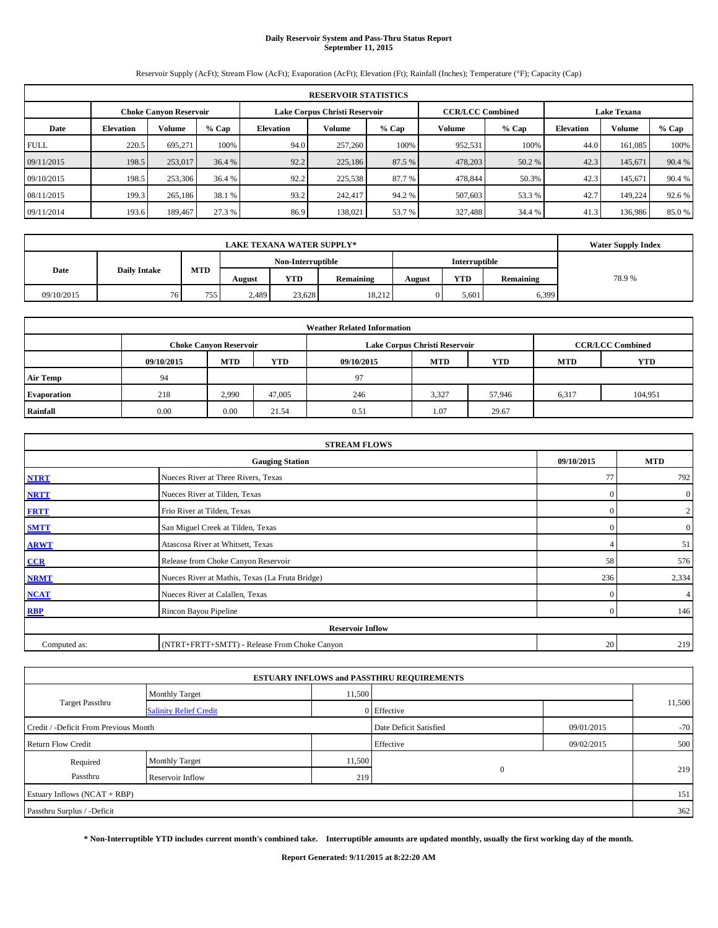# **Daily Reservoir System and Pass-Thru Status Report September 11, 2015**

Reservoir Supply (AcFt); Stream Flow (AcFt); Evaporation (AcFt); Elevation (Ft); Rainfall (Inches); Temperature (°F); Capacity (Cap)

|             | <b>RESERVOIR STATISTICS</b> |                        |         |           |                               |         |                         |         |                    |         |         |  |  |
|-------------|-----------------------------|------------------------|---------|-----------|-------------------------------|---------|-------------------------|---------|--------------------|---------|---------|--|--|
|             |                             | Choke Canvon Reservoir |         |           | Lake Corpus Christi Reservoir |         | <b>CCR/LCC Combined</b> |         | <b>Lake Texana</b> |         |         |  |  |
| Date        | <b>Elevation</b>            | <b>Volume</b>          | $%$ Cap | Elevation | Volume                        | $%$ Cap | Volume                  | $%$ Cap | <b>Elevation</b>   | Volume  | $%$ Cap |  |  |
| <b>FULL</b> | 220.5                       | 695.271                | 100%    | 94.0      | 257,260                       | 100%    | 952,531                 | 100%    | 44.0               | 161.085 | 100%    |  |  |
| 09/11/2015  | 198.5                       | 253,017                | 36.4 %  | 92.2      | 225,186                       | 87.5 %  | 478,203                 | 50.2 %  | 42.3               | 145.671 | 90.4 %  |  |  |
| 09/10/2015  | 198.5                       | 253,306                | 36.4 %  | 92.2      | 225,538                       | 87.7%   | 478,844                 | 50.3%   | 42.3               | 145.671 | 90.4 %  |  |  |
| 08/11/2015  | 199.3                       | 265,186                | 38.1 %  | 93.2      | 242,417                       | 94.2 %  | 507,603                 | 53.3 %  | 42.7               | 149.224 | 92.6 %  |  |  |
| 09/11/2014  | 193.6                       | 189.467                | 27.3 %  | 86.9      | 138,021                       | 53.7 %  | 327,488                 | 34.4 %  | 41.3               | 136,986 | 85.0%   |  |  |

| <b>LAKE TEXANA WATER SUPPLY*</b> |                     |                  |                   |            |           |        |                      |           | <b>Water Supply Index</b> |
|----------------------------------|---------------------|------------------|-------------------|------------|-----------|--------|----------------------|-----------|---------------------------|
|                                  |                     |                  | Non-Interruptible |            |           |        | <b>Interruptible</b> |           |                           |
| Date                             | <b>Daily Intake</b> | <b>MTD</b>       | August            | <b>YTD</b> | Remaining | August | <b>YTD</b>           | Remaining | 78.9%                     |
| 09/10/2015                       | 76                  | 755 <sub>1</sub> | 2,489             | 23,628     | 18,212    |        | 5.601                | 6,399     |                           |

|                 | <b>Weather Related Information</b> |                               |        |            |                               |                         |            |            |  |  |  |  |
|-----------------|------------------------------------|-------------------------------|--------|------------|-------------------------------|-------------------------|------------|------------|--|--|--|--|
|                 |                                    | <b>Choke Canyon Reservoir</b> |        |            | Lake Corpus Christi Reservoir | <b>CCR/LCC Combined</b> |            |            |  |  |  |  |
|                 | 09/10/2015                         | <b>MTD</b>                    | YTD    | 09/10/2015 | <b>MTD</b>                    | <b>YTD</b>              | <b>MTD</b> | <b>YTD</b> |  |  |  |  |
| <b>Air Temp</b> | 94                                 |                               |        | 97         |                               |                         |            |            |  |  |  |  |
| Evaporation     | 218                                | 2,990                         | 47,005 | 246        | 3,327                         | 57,946                  | 6,317      | 104,951    |  |  |  |  |
| Rainfall        | 0.00                               | 0.00                          | 21.54  | 0.51       | 1.07                          | 29.67                   |            |            |  |  |  |  |

|              | <b>STREAM FLOWS</b>                             |              |                  |  |  |  |  |  |  |  |
|--------------|-------------------------------------------------|--------------|------------------|--|--|--|--|--|--|--|
|              | <b>Gauging Station</b>                          | 09/10/2015   | <b>MTD</b>       |  |  |  |  |  |  |  |
| <b>NTRT</b>  | Nueces River at Three Rivers, Texas             | 77           | 792              |  |  |  |  |  |  |  |
| <b>NRTT</b>  | Nueces River at Tilden, Texas                   | $\mathbf{0}$ | $\boldsymbol{0}$ |  |  |  |  |  |  |  |
| <b>FRTT</b>  | Frio River at Tilden, Texas                     | $\mathbf{0}$ | 2                |  |  |  |  |  |  |  |
| <b>SMTT</b>  | San Miguel Creek at Tilden, Texas               | $\mathbf{0}$ | $\boldsymbol{0}$ |  |  |  |  |  |  |  |
| <b>ARWT</b>  | Atascosa River at Whitsett, Texas               |              | 51               |  |  |  |  |  |  |  |
| $CCR$        | Release from Choke Canyon Reservoir             | 58           | 576              |  |  |  |  |  |  |  |
| <b>NRMT</b>  | Nueces River at Mathis, Texas (La Fruta Bridge) | 236          | 2,334            |  |  |  |  |  |  |  |
| <b>NCAT</b>  | Nueces River at Calallen, Texas                 | $\mathbf{0}$ | $\overline{4}$   |  |  |  |  |  |  |  |
| <b>RBP</b>   | Rincon Bayou Pipeline                           | $\Omega$     | 146              |  |  |  |  |  |  |  |
|              | <b>Reservoir Inflow</b>                         |              |                  |  |  |  |  |  |  |  |
| Computed as: | (NTRT+FRTT+SMTT) - Release From Choke Canyon    | 20           | 219              |  |  |  |  |  |  |  |

|                                       |                               |        | <b>ESTUARY INFLOWS and PASSTHRU REQUIREMENTS</b> |            |        |  |
|---------------------------------------|-------------------------------|--------|--------------------------------------------------|------------|--------|--|
|                                       | <b>Monthly Target</b>         | 11,500 |                                                  |            |        |  |
| Target Passthru                       | <b>Salinity Relief Credit</b> |        | Effective                                        |            | 11,500 |  |
| Credit / -Deficit From Previous Month |                               |        | Date Deficit Satisfied                           | 09/01/2015 | $-70$  |  |
| <b>Return Flow Credit</b>             |                               |        | Effective                                        | 09/02/2015 | 500    |  |
| Required                              | Monthly Target                | 11,500 |                                                  |            |        |  |
| Passthru                              | Reservoir Inflow              | 219    | $\mathbf{0}$                                     |            | 219    |  |
| Estuary Inflows (NCAT + RBP)          |                               |        |                                                  |            | 151    |  |
| Passthru Surplus / -Deficit           |                               |        |                                                  |            | 362    |  |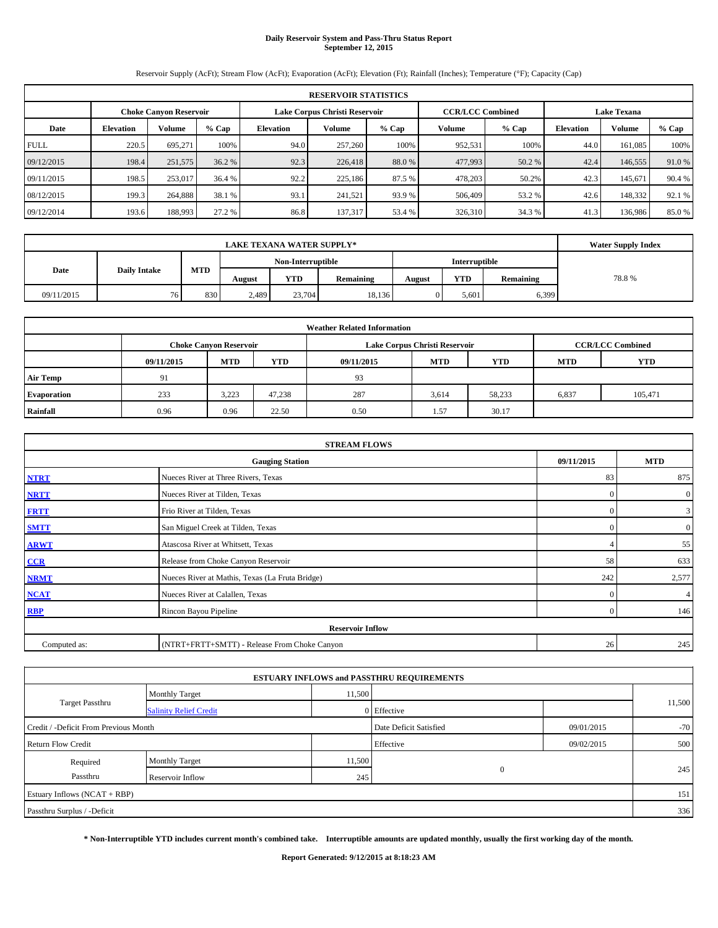# **Daily Reservoir System and Pass-Thru Status Report September 12, 2015**

Reservoir Supply (AcFt); Stream Flow (AcFt); Evaporation (AcFt); Elevation (Ft); Rainfall (Inches); Temperature (°F); Capacity (Cap)

|             | <b>RESERVOIR STATISTICS</b> |                               |        |           |                               |         |                         |         |                    |         |         |  |  |
|-------------|-----------------------------|-------------------------------|--------|-----------|-------------------------------|---------|-------------------------|---------|--------------------|---------|---------|--|--|
|             |                             | <b>Choke Canvon Reservoir</b> |        |           | Lake Corpus Christi Reservoir |         | <b>CCR/LCC Combined</b> |         | <b>Lake Texana</b> |         |         |  |  |
| Date        | <b>Elevation</b>            | Volume                        | % Cap  | Elevation | Volume                        | $%$ Cap | Volume                  | $%$ Cap | <b>Elevation</b>   | Volume  | $%$ Cap |  |  |
| <b>FULL</b> | 220.5                       | 695,271                       | 100%   | 94.0      | 257,260                       | 100%    | 952,531                 | 100%    | 44.0               | 161.085 | 100%    |  |  |
| 09/12/2015  | 198.4                       | 251,575                       | 36.2 % | 92.3      | 226,418                       | 88.0%   | 477,993                 | 50.2 %  | 42.4               | 146,555 | 91.0 %  |  |  |
| 09/11/2015  | 198.5                       | 253,017                       | 36.4 % | 92.2      | 225,186                       | 87.5 %  | 478,203                 | 50.2%   | 42.3               | 145.671 | 90.4 %  |  |  |
| 08/12/2015  | 199.3                       | 264,888                       | 38.1 % | 93.1      | 241,521                       | 93.9 %  | 506,409                 | 53.2 %  | 42.6               | 148,332 | 92.1 %  |  |  |
| 09/12/2014  | 193.6                       | 188,993                       | 27.2 % | 86.8      | 137,317                       | 53.4 %  | 326,310                 | 34.3 %  | 41.3               | 136,986 | 85.0%   |  |  |

| <b>LAKE TEXANA WATER SUPPLY*</b> |                     |            |                   |            |           |        |               |           | <b>Water Supply Index</b> |
|----------------------------------|---------------------|------------|-------------------|------------|-----------|--------|---------------|-----------|---------------------------|
|                                  |                     |            | Non-Interruptible |            |           |        | Interruptible |           |                           |
| Date                             | <b>Daily Intake</b> | <b>MTD</b> | August            | <b>YTD</b> | Remaining | August | <b>YTD</b>    | Remaining | 78.8%                     |
| 09/11/2015                       | 76                  | 830        | 2,489             | 23,704     | 18,136    |        | 5.601         | 6,399     |                           |

|                 | <b>Weather Related Information</b> |                               |        |            |                               |                         |            |            |  |  |  |  |
|-----------------|------------------------------------|-------------------------------|--------|------------|-------------------------------|-------------------------|------------|------------|--|--|--|--|
|                 |                                    | <b>Choke Canyon Reservoir</b> |        |            | Lake Corpus Christi Reservoir | <b>CCR/LCC Combined</b> |            |            |  |  |  |  |
|                 | 09/11/2015                         | <b>MTD</b>                    | YTD    | 09/11/2015 | <b>MTD</b>                    | <b>YTD</b>              | <b>MTD</b> | <b>YTD</b> |  |  |  |  |
| <b>Air Temp</b> | 91                                 |                               |        | 93         |                               |                         |            |            |  |  |  |  |
| Evaporation     | 233                                | 3,223                         | 47,238 | 287        | 3,614                         | 58,233                  | 6,837      | 105,471    |  |  |  |  |
| Rainfall        | 0.96                               | 0.96                          | 22.50  | 0.50       | 1.57                          | 30.17                   |            |            |  |  |  |  |

|              | <b>STREAM FLOWS</b>                             |            |                |  |  |  |  |  |  |  |
|--------------|-------------------------------------------------|------------|----------------|--|--|--|--|--|--|--|
|              | <b>Gauging Station</b>                          | 09/11/2015 | <b>MTD</b>     |  |  |  |  |  |  |  |
| <b>NTRT</b>  | Nueces River at Three Rivers, Texas             | 83         | 875            |  |  |  |  |  |  |  |
| <b>NRTT</b>  | Nueces River at Tilden, Texas                   | $\Omega$   | $\overline{0}$ |  |  |  |  |  |  |  |
| <b>FRTT</b>  | Frio River at Tilden, Texas                     | $\Omega$   | $\mathbf{3}$   |  |  |  |  |  |  |  |
| <b>SMTT</b>  | San Miguel Creek at Tilden, Texas               | $\Omega$   | $\overline{0}$ |  |  |  |  |  |  |  |
| <b>ARWT</b>  | Atascosa River at Whitsett, Texas               |            | 55             |  |  |  |  |  |  |  |
| $CCR$        | Release from Choke Canyon Reservoir             | 58         | 633            |  |  |  |  |  |  |  |
| <b>NRMT</b>  | Nueces River at Mathis, Texas (La Fruta Bridge) | 242        | 2,577          |  |  |  |  |  |  |  |
| <b>NCAT</b>  | Nueces River at Calallen, Texas                 | $\Omega$   | $\overline{4}$ |  |  |  |  |  |  |  |
| <b>RBP</b>   | Rincon Bayou Pipeline                           | $\Omega$   | 146            |  |  |  |  |  |  |  |
|              | <b>Reservoir Inflow</b>                         |            |                |  |  |  |  |  |  |  |
| Computed as: | (NTRT+FRTT+SMTT) - Release From Choke Canyon    | 26         | 245            |  |  |  |  |  |  |  |

|                                       |                               |        | <b>ESTUARY INFLOWS and PASSTHRU REQUIREMENTS</b> |            |        |  |
|---------------------------------------|-------------------------------|--------|--------------------------------------------------|------------|--------|--|
|                                       | <b>Monthly Target</b>         | 11,500 |                                                  |            |        |  |
| Target Passthru                       | <b>Salinity Relief Credit</b> |        | 0 Effective                                      |            | 11,500 |  |
| Credit / -Deficit From Previous Month |                               |        | Date Deficit Satisfied                           | 09/01/2015 | $-70$  |  |
| <b>Return Flow Credit</b>             |                               |        | Effective                                        | 09/02/2015 | 500    |  |
| Required                              | <b>Monthly Target</b>         | 11,500 |                                                  |            |        |  |
| Passthru                              | Reservoir Inflow              | 245    | $\mathbf{0}$                                     |            | 245    |  |
| Estuary Inflows (NCAT + RBP)          |                               |        |                                                  |            | 151    |  |
| Passthru Surplus / -Deficit           |                               |        |                                                  |            | 336    |  |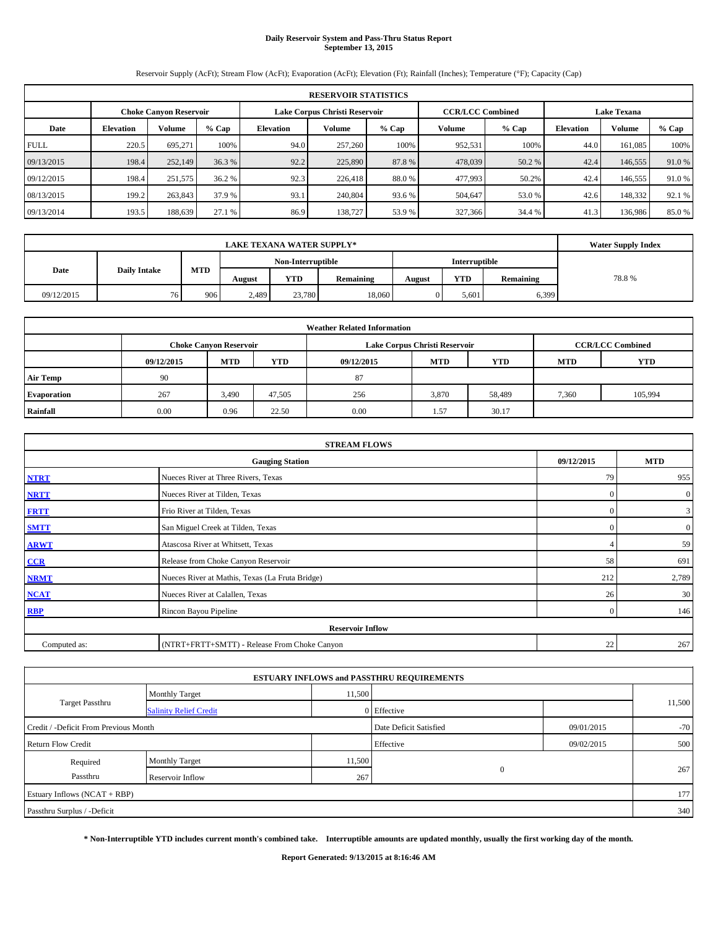# **Daily Reservoir System and Pass-Thru Status Report September 13, 2015**

Reservoir Supply (AcFt); Stream Flow (AcFt); Evaporation (AcFt); Elevation (Ft); Rainfall (Inches); Temperature (°F); Capacity (Cap)

| <b>RESERVOIR STATISTICS</b> |                                                                                                                 |         |        |                  |         |         |         |        |                  |         |         |  |  |
|-----------------------------|-----------------------------------------------------------------------------------------------------------------|---------|--------|------------------|---------|---------|---------|--------|------------------|---------|---------|--|--|
|                             | <b>CCR/LCC Combined</b><br>Lake Corpus Christi Reservoir<br><b>Lake Texana</b><br><b>Choke Canvon Reservoir</b> |         |        |                  |         |         |         |        |                  |         |         |  |  |
| Date                        | % Cap<br>Volume<br><b>Elevation</b>                                                                             |         |        | <b>Elevation</b> | Volume  | $%$ Cap | Volume  | % Cap  | <b>Elevation</b> | Volume  | $%$ Cap |  |  |
| <b>FULL</b>                 | 220.5                                                                                                           | 695.271 | 100%   | 94.0             | 257,260 | 100%    | 952,531 | 100%   | 44.0             | 161.085 | 100%    |  |  |
| 09/13/2015                  | 198.4                                                                                                           | 252,149 | 36.3 % | 92.2             | 225,890 | 87.8%   | 478,039 | 50.2 % | 42.4             | 146,555 | 91.0 %  |  |  |
| 09/12/2015                  | 198.4                                                                                                           | 251,575 | 36.2 % | 92.3             | 226,418 | 88.0%   | 477,993 | 50.2%  | 42.4             | 146,555 | 91.0 %  |  |  |
| 08/13/2015                  | 199.2                                                                                                           | 263,843 | 37.9 % | 93.1             | 240,804 | 93.6 %  | 504,647 | 53.0 % | 42.6             | 148,332 | 92.1 %  |  |  |
| 09/13/2014                  | 193.5                                                                                                           | 188,639 | 27.1 % | 86.9             | 138,727 | 53.9%   | 327,366 | 34.4 % | 41.3             | 136,986 | 85.0%   |  |  |

|            | <b>LAKE TEXANA WATER SUPPLY*</b> |        |                   |           |        |            |           |       |  |  |  |
|------------|----------------------------------|--------|-------------------|-----------|--------|------------|-----------|-------|--|--|--|
|            | <b>Daily Intake</b>              |        | Non-Interruptible |           |        |            |           |       |  |  |  |
| Date       | <b>MTD</b>                       | August | <b>YTD</b>        | Remaining | August | <b>YTD</b> | Remaining | 78.8% |  |  |  |
| 09/12/2015 | 76                               | 906    | 2,489             | 23,780    | 18,060 |            | 5.601     | 6,399 |  |  |  |

| <b>Weather Related Information</b> |            |                               |        |                                                      |                               |                         |       |         |  |  |  |
|------------------------------------|------------|-------------------------------|--------|------------------------------------------------------|-------------------------------|-------------------------|-------|---------|--|--|--|
|                                    |            | <b>Choke Canyon Reservoir</b> |        |                                                      | Lake Corpus Christi Reservoir | <b>CCR/LCC Combined</b> |       |         |  |  |  |
|                                    | 09/12/2015 | <b>MTD</b>                    | YTD    | <b>MTD</b><br><b>YTD</b><br><b>MTD</b><br>09/12/2015 |                               |                         |       |         |  |  |  |
| <b>Air Temp</b>                    | 90         |                               |        | 87                                                   |                               |                         |       |         |  |  |  |
| Evaporation                        | 267        | 3,490                         | 47,505 | 256                                                  | 3,870                         | 58,489                  | 7,360 | 105,994 |  |  |  |
| Rainfall                           | 0.00       | 0.96                          | 22.50  | 0.00                                                 | 1.57                          | 30.17                   |       |         |  |  |  |

| <b>STREAM FLOWS</b> |                                                    |              |                  |  |  |  |  |  |  |  |
|---------------------|----------------------------------------------------|--------------|------------------|--|--|--|--|--|--|--|
|                     | 09/12/2015<br><b>MTD</b><br><b>Gauging Station</b> |              |                  |  |  |  |  |  |  |  |
| <b>NTRT</b>         | Nueces River at Three Rivers, Texas                | 79           | 955              |  |  |  |  |  |  |  |
| <b>NRTT</b>         | Nueces River at Tilden, Texas                      | $\mathbf{0}$ | $\boldsymbol{0}$ |  |  |  |  |  |  |  |
| <b>FRTT</b>         | Frio River at Tilden, Texas                        | $\mathbf{0}$ | 3                |  |  |  |  |  |  |  |
| <b>SMTT</b>         | San Miguel Creek at Tilden, Texas                  | $\mathbf{0}$ | $\boldsymbol{0}$ |  |  |  |  |  |  |  |
| <b>ARWT</b>         | Atascosa River at Whitsett, Texas                  |              | 59               |  |  |  |  |  |  |  |
| $CCR$               | Release from Choke Canyon Reservoir                | 58           | 691              |  |  |  |  |  |  |  |
| <b>NRMT</b>         | Nueces River at Mathis, Texas (La Fruta Bridge)    | 212          | 2,789            |  |  |  |  |  |  |  |
| <b>NCAT</b>         | Nueces River at Calallen, Texas                    | 26           | 30               |  |  |  |  |  |  |  |
| <b>RBP</b>          | Rincon Bayou Pipeline                              |              |                  |  |  |  |  |  |  |  |
|                     | <b>Reservoir Inflow</b>                            |              |                  |  |  |  |  |  |  |  |
| Computed as:        | (NTRT+FRTT+SMTT) - Release From Choke Canyon       |              |                  |  |  |  |  |  |  |  |

|                                       |                               |        | <b>ESTUARY INFLOWS and PASSTHRU REQUIREMENTS</b> |            |        |  |
|---------------------------------------|-------------------------------|--------|--------------------------------------------------|------------|--------|--|
|                                       | <b>Monthly Target</b>         | 11,500 |                                                  |            |        |  |
| <b>Target Passthru</b>                | <b>Salinity Relief Credit</b> |        | 0 Effective                                      |            | 11,500 |  |
| Credit / -Deficit From Previous Month |                               |        | Date Deficit Satisfied                           | 09/01/2015 | $-70$  |  |
| <b>Return Flow Credit</b>             |                               |        | Effective                                        | 09/02/2015 | 500    |  |
| Required                              | Monthly Target                | 11,500 |                                                  |            |        |  |
| Passthru                              | Reservoir Inflow              | 267    | $\mathbf{0}$                                     |            | 267    |  |
| Estuary Inflows (NCAT + RBP)          |                               |        |                                                  |            | 177    |  |
| Passthru Surplus / -Deficit           |                               |        |                                                  |            | 340    |  |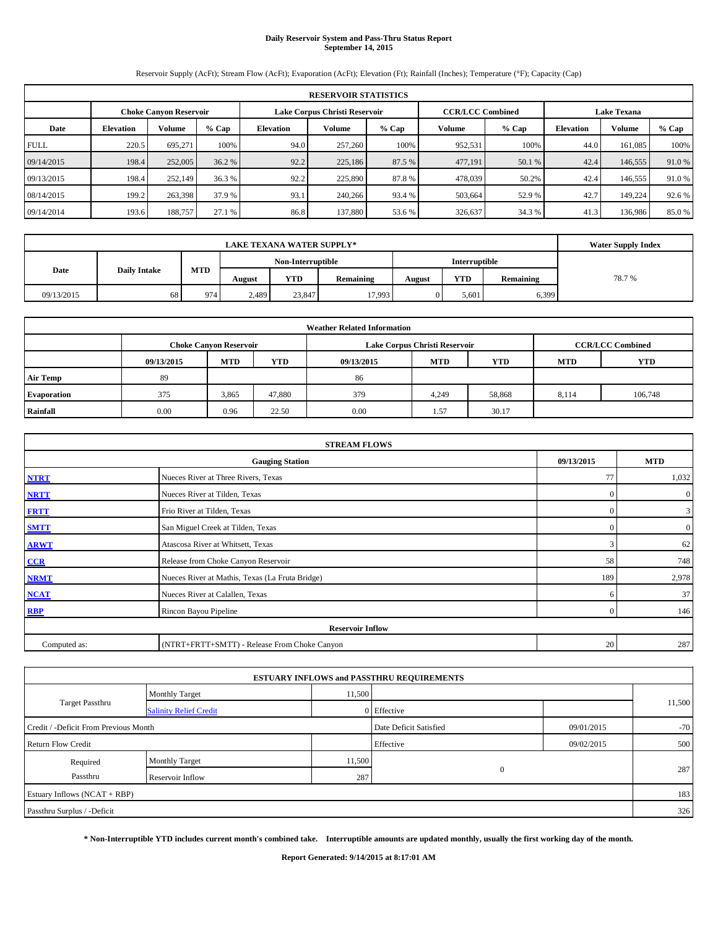# **Daily Reservoir System and Pass-Thru Status Report September 14, 2015**

Reservoir Supply (AcFt); Stream Flow (AcFt); Evaporation (AcFt); Elevation (Ft); Rainfall (Inches); Temperature (°F); Capacity (Cap)

| <b>RESERVOIR STATISTICS</b> |                                                                                                                 |         |        |           |         |        |         |         |      |         |         |  |  |
|-----------------------------|-----------------------------------------------------------------------------------------------------------------|---------|--------|-----------|---------|--------|---------|---------|------|---------|---------|--|--|
|                             | Lake Corpus Christi Reservoir<br><b>CCR/LCC Combined</b><br><b>Lake Texana</b><br><b>Choke Canvon Reservoir</b> |         |        |           |         |        |         |         |      |         |         |  |  |
| Date                        | <b>Volume</b><br>$%$ Cap<br><b>Elevation</b>                                                                    |         |        | Elevation | Volume  | % Cap  | Volume  | $%$ Cap |      | Volume  | $%$ Cap |  |  |
| <b>FULL</b>                 | 220.5                                                                                                           | 695.271 | 100%   | 94.0      | 257,260 | 100%   | 952,531 | 100%    | 44.0 | 161.085 | 100%    |  |  |
| 09/14/2015                  | 198.4                                                                                                           | 252,005 | 36.2 % | 92.2      | 225,186 | 87.5 % | 477,191 | 50.1 %  | 42.4 | 146,555 | 91.0%   |  |  |
| 09/13/2015                  | 198.4                                                                                                           | 252,149 | 36.3%  | 92.2      | 225,890 | 87.8%  | 478,039 | 50.2%   | 42.4 | 146,555 | 91.0 %  |  |  |
| 08/14/2015                  | 199.2                                                                                                           | 263,398 | 37.9 % | 93.1      | 240,266 | 93.4 % | 503,664 | 52.9 %  | 42.7 | 149.224 | 92.6 %  |  |  |
| 09/14/2014                  | 193.6                                                                                                           | 188,757 | 27.1 % | 86.8      | 137,880 | 53.6 % | 326,637 | 34.3 %  | 41.3 | 136,986 | 85.0%   |  |  |

|            | <b>LAKE TEXANA WATER SUPPLY*</b> |                   |            |           |        |            |           |       |  |  |  |
|------------|----------------------------------|-------------------|------------|-----------|--------|------------|-----------|-------|--|--|--|
|            |                                  | Non-Interruptible |            |           |        |            |           |       |  |  |  |
| Date       | <b>MTD</b>                       | August            | <b>YTD</b> | Remaining | August | <b>YTD</b> | Remaining | 78.7% |  |  |  |
| 09/13/2015 | 68                               | 974               | 2,489      | 23,847    | 17.993 |            | 5,601     | 6,399 |  |  |  |

| <b>Weather Related Information</b> |            |                                                                                         |        |      |                               |                         |       |         |  |  |  |
|------------------------------------|------------|-----------------------------------------------------------------------------------------|--------|------|-------------------------------|-------------------------|-------|---------|--|--|--|
|                                    |            | <b>Choke Canyon Reservoir</b>                                                           |        |      | Lake Corpus Christi Reservoir | <b>CCR/LCC Combined</b> |       |         |  |  |  |
|                                    | 09/13/2015 | YTD<br><b>YTD</b><br><b>MTD</b><br><b>MTD</b><br><b>YTD</b><br>09/13/2015<br><b>MTD</b> |        |      |                               |                         |       |         |  |  |  |
| <b>Air Temp</b>                    | 89         |                                                                                         |        | 86   |                               |                         |       |         |  |  |  |
| <b>Evaporation</b>                 | 375        | 3,865                                                                                   | 47,880 | 379  | 4,249                         | 58,868                  | 8,114 | 106,748 |  |  |  |
| Rainfall                           | 0.00       | 0.96                                                                                    | 22.50  | 0.00 | 1.57                          | 30.17                   |       |         |  |  |  |

| <b>STREAM FLOWS</b> |                                                 |              |                  |  |  |  |  |  |  |
|---------------------|-------------------------------------------------|--------------|------------------|--|--|--|--|--|--|
|                     | <b>Gauging Station</b>                          | 09/13/2015   | <b>MTD</b>       |  |  |  |  |  |  |
| <b>NTRT</b>         | Nueces River at Three Rivers, Texas             | 77           | 1,032            |  |  |  |  |  |  |
| <b>NRTT</b>         | Nueces River at Tilden, Texas                   | $\mathbf{0}$ | $\mathbf{0}$     |  |  |  |  |  |  |
| <b>FRTT</b>         | Frio River at Tilden, Texas                     | $\mathbf{0}$ | 3                |  |  |  |  |  |  |
| <b>SMTT</b>         | San Miguel Creek at Tilden, Texas               | $\Omega$     | $\boldsymbol{0}$ |  |  |  |  |  |  |
| <b>ARWT</b>         | Atascosa River at Whitsett, Texas               | 3            | 62               |  |  |  |  |  |  |
| CCR                 | Release from Choke Canyon Reservoir             | 58           | 748              |  |  |  |  |  |  |
| <b>NRMT</b>         | Nueces River at Mathis, Texas (La Fruta Bridge) | 189          | 2,978            |  |  |  |  |  |  |
| <b>NCAT</b>         | Nueces River at Calallen, Texas                 | 6            | 37               |  |  |  |  |  |  |
| <b>RBP</b>          | Rincon Bayou Pipeline                           | $\mathbf{0}$ | 146              |  |  |  |  |  |  |
|                     | <b>Reservoir Inflow</b>                         |              |                  |  |  |  |  |  |  |
| Computed as:        | (NTRT+FRTT+SMTT) - Release From Choke Canyon    |              |                  |  |  |  |  |  |  |

|                                       |                               |        | <b>ESTUARY INFLOWS and PASSTHRU REQUIREMENTS</b> |            |        |  |
|---------------------------------------|-------------------------------|--------|--------------------------------------------------|------------|--------|--|
|                                       | <b>Monthly Target</b>         | 11,500 |                                                  |            |        |  |
| Target Passthru                       | <b>Salinity Relief Credit</b> |        | 0 Effective                                      |            | 11,500 |  |
| Credit / -Deficit From Previous Month |                               |        | Date Deficit Satisfied                           | 09/01/2015 | $-70$  |  |
| <b>Return Flow Credit</b>             |                               |        | Effective                                        | 09/02/2015 | 500    |  |
| Required                              | Monthly Target                | 11,500 |                                                  |            |        |  |
| Passthru                              | Reservoir Inflow              | 287    | $\mathbf{0}$                                     |            | 287    |  |
| Estuary Inflows (NCAT + RBP)          |                               |        |                                                  |            | 183    |  |
| Passthru Surplus / -Deficit           |                               |        |                                                  |            | 326    |  |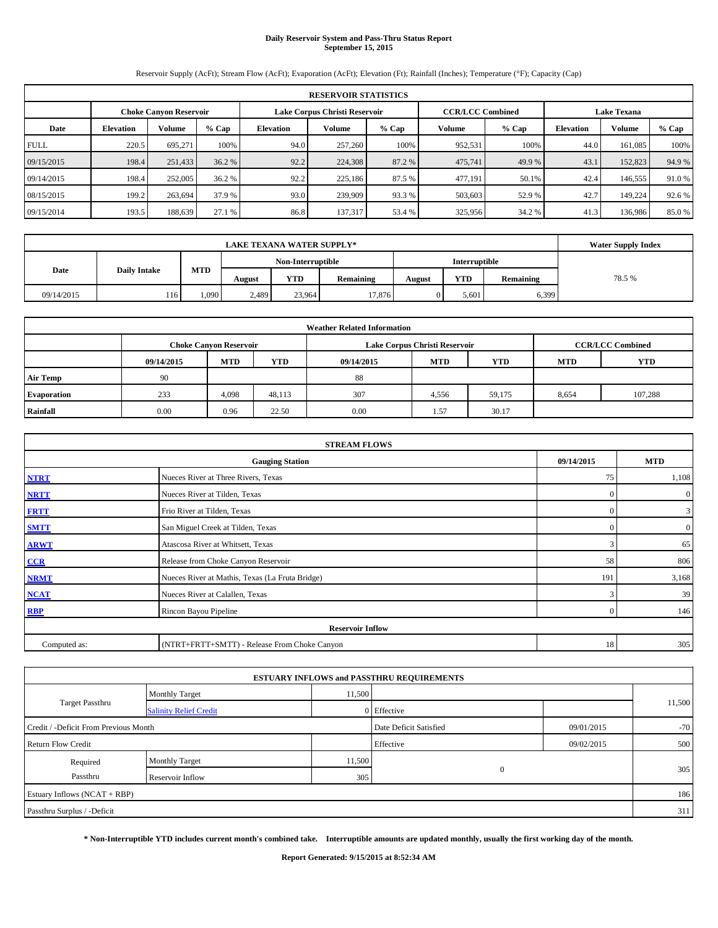# **Daily Reservoir System and Pass-Thru Status Report September 15, 2015**

Reservoir Supply (AcFt); Stream Flow (AcFt); Evaporation (AcFt); Elevation (Ft); Rainfall (Inches); Temperature (°F); Capacity (Cap)

| <b>RESERVOIR STATISTICS</b> |                                                                                                          |         |        |           |         |         |         |         |           |         |         |  |  |
|-----------------------------|----------------------------------------------------------------------------------------------------------|---------|--------|-----------|---------|---------|---------|---------|-----------|---------|---------|--|--|
|                             | Lake Corpus Christi Reservoir<br><b>CCR/LCC Combined</b><br><b>Lake Texana</b><br>Choke Canvon Reservoir |         |        |           |         |         |         |         |           |         |         |  |  |
| Date                        | <b>Volume</b><br>$%$ Cap<br><b>Elevation</b>                                                             |         |        | Elevation | Volume  | $%$ Cap | Volume  | $%$ Cap | Elevation | Volume  | $%$ Cap |  |  |
| <b>FULL</b>                 | 220.5                                                                                                    | 695.271 | 100%   | 94.0      | 257,260 | 100%    | 952,531 | 100%    | 44.0      | 161.085 | 100%    |  |  |
| 09/15/2015                  | 198.4                                                                                                    | 251,433 | 36.2 % | 92.2      | 224,308 | 87.2 %  | 475,741 | 49.9 %  | 43.1      | 152,823 | 94.9 %  |  |  |
| 09/14/2015                  | 198.4                                                                                                    | 252,005 | 36.2 % | 92.2      | 225,186 | 87.5 %  | 477,191 | 50.1%   | 42.4      | 146,555 | 91.0 %  |  |  |
| 08/15/2015                  | 199.2                                                                                                    | 263.694 | 37.9 % | 93.0      | 239,909 | 93.3%   | 503,603 | 52.9 %  | 42.7      | 149.224 | 92.6 %  |  |  |
| 09/15/2014                  | 193.5                                                                                                    | 188,639 | 27.1 % | 86.8      | 137,317 | 53.4 %  | 325,956 | 34.2 %  | 41.3      | 136,986 | 85.0%   |  |  |

|                             | <b>LAKE TEXANA WATER SUPPLY*</b> |       |                   |            |           |               |            |           |        |  |  |
|-----------------------------|----------------------------------|-------|-------------------|------------|-----------|---------------|------------|-----------|--------|--|--|
|                             |                                  |       | Non-Interruptible |            |           | Interruptible |            |           |        |  |  |
| Date<br><b>Daily Intake</b> |                                  | MTD   | August            | <b>YTD</b> | Remaining | August        | <b>YTD</b> | Remaining | 78.5 % |  |  |
| 09/14/2015                  | 116                              | 1.090 | 2,489             | 23.964     | 17,876    |               | 5,601      | 6,399     |        |  |  |

| <b>Weather Related Information</b> |            |                               |        |            |                               |                         |            |            |  |  |
|------------------------------------|------------|-------------------------------|--------|------------|-------------------------------|-------------------------|------------|------------|--|--|
|                                    |            | <b>Choke Canyon Reservoir</b> |        |            | Lake Corpus Christi Reservoir | <b>CCR/LCC Combined</b> |            |            |  |  |
|                                    | 09/14/2015 | <b>MTD</b>                    | YTD    | 09/14/2015 | <b>MTD</b>                    | <b>YTD</b>              | <b>MTD</b> | <b>YTD</b> |  |  |
| <b>Air Temp</b>                    | 90         |                               |        | 88         |                               |                         |            |            |  |  |
| Evaporation                        | 233        | 4,098                         | 48,113 | 307        | 4,556                         | 59,175                  | 8,654      | 107,288    |  |  |
| Rainfall                           | 0.00       | 0.96                          | 22.50  | 0.00       | 1.57                          | 30.17                   |            |            |  |  |

| <b>STREAM FLOWS</b> |                                                 |               |                |  |  |  |  |  |  |
|---------------------|-------------------------------------------------|---------------|----------------|--|--|--|--|--|--|
|                     | <b>Gauging Station</b>                          |               |                |  |  |  |  |  |  |
| <b>NTRT</b>         | Nueces River at Three Rivers, Texas             | 75            | 1,108          |  |  |  |  |  |  |
| <b>NRTT</b>         | Nueces River at Tilden, Texas                   | $\Omega$      | $\overline{0}$ |  |  |  |  |  |  |
| <b>FRTT</b>         | Frio River at Tilden, Texas                     | $\Omega$      | $\mathbf{3}$   |  |  |  |  |  |  |
| <b>SMTT</b>         | San Miguel Creek at Tilden, Texas               | $\Omega$      | $\overline{0}$ |  |  |  |  |  |  |
| <b>ARWT</b>         | Atascosa River at Whitsett, Texas               | 3             | 65             |  |  |  |  |  |  |
| $CCR$               | Release from Choke Canyon Reservoir             | 58            | 806            |  |  |  |  |  |  |
| <b>NRMT</b>         | Nueces River at Mathis, Texas (La Fruta Bridge) | 191           | 3,168          |  |  |  |  |  |  |
| <b>NCAT</b>         | Nueces River at Calallen, Texas                 | $\mathcal{R}$ | 39             |  |  |  |  |  |  |
| RBP                 | Rincon Bayou Pipeline                           | $\Omega$      | 146            |  |  |  |  |  |  |
|                     | <b>Reservoir Inflow</b>                         |               |                |  |  |  |  |  |  |
| Computed as:        | (NTRT+FRTT+SMTT) - Release From Choke Canyon    | 18            | 305            |  |  |  |  |  |  |

|                                       |                               |        | <b>ESTUARY INFLOWS and PASSTHRU REQUIREMENTS</b> |            |        |
|---------------------------------------|-------------------------------|--------|--------------------------------------------------|------------|--------|
|                                       | <b>Monthly Target</b>         | 11,500 |                                                  |            |        |
| <b>Target Passthru</b>                | <b>Salinity Relief Credit</b> |        | 0 Effective                                      |            | 11,500 |
| Credit / -Deficit From Previous Month |                               |        | Date Deficit Satisfied                           | 09/01/2015 | $-70$  |
| <b>Return Flow Credit</b>             |                               |        | Effective                                        | 09/02/2015 | 500    |
| Required                              | Monthly Target                | 11,500 |                                                  |            |        |
| Passthru                              | Reservoir Inflow              | 305    | $\mathbf{0}$                                     |            | 305    |
| Estuary Inflows (NCAT + RBP)          |                               |        |                                                  |            | 186    |
| Passthru Surplus / -Deficit           |                               |        |                                                  |            | 311    |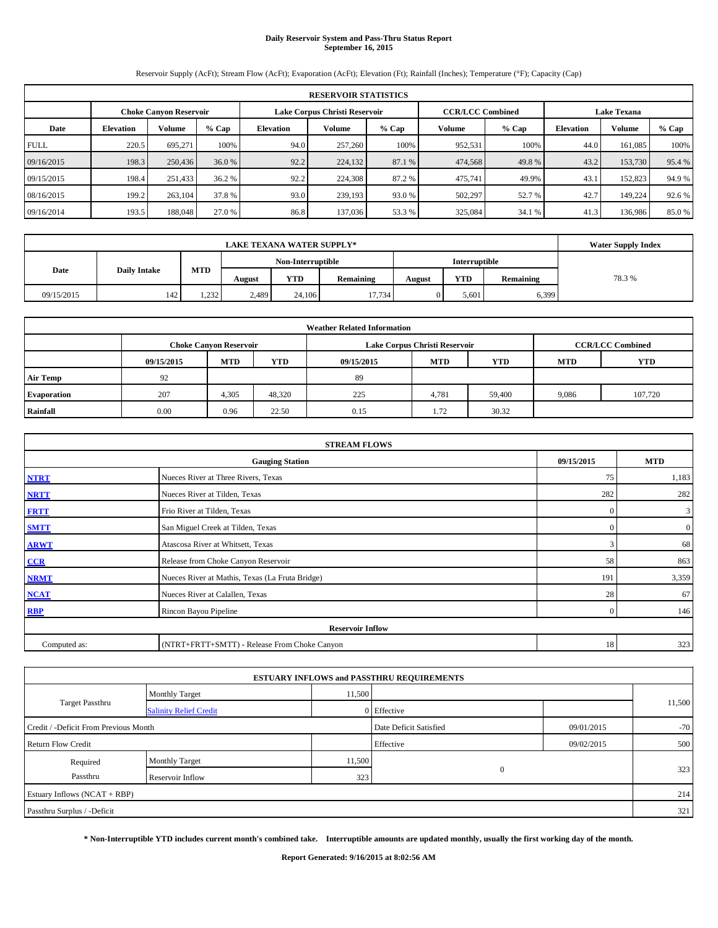# **Daily Reservoir System and Pass-Thru Status Report September 16, 2015**

Reservoir Supply (AcFt); Stream Flow (AcFt); Evaporation (AcFt); Elevation (Ft); Rainfall (Inches); Temperature (°F); Capacity (Cap)

| <b>RESERVOIR STATISTICS</b> |                  |                        |         |           |                               |         |         |                         |                    |         |         |
|-----------------------------|------------------|------------------------|---------|-----------|-------------------------------|---------|---------|-------------------------|--------------------|---------|---------|
|                             |                  | Choke Canvon Reservoir |         |           | Lake Corpus Christi Reservoir |         |         | <b>CCR/LCC Combined</b> | <b>Lake Texana</b> |         |         |
| Date                        | <b>Elevation</b> | <b>Volume</b>          | $%$ Cap | Elevation | Volume                        | $%$ Cap | Volume  | $%$ Cap                 | Elevation          | Volume  | $%$ Cap |
| <b>FULL</b>                 | 220.5            | 695.271                | 100%    | 94.0      | 257,260                       | 100%    | 952,531 | 100%                    | 44.0               | 161.085 | 100%    |
| 09/16/2015                  | 198.3            | 250,436                | 36.0%   | 92.2      | 224,132                       | 87.1 %  | 474,568 | 49.8%                   | 43.2               | 153,730 | 95.4 %  |
| 09/15/2015                  | 198.4            | 251,433                | 36.2 %  | 92.2      | 224,308                       | 87.2%   | 475,741 | 49.9%                   | 43.1               | 152,823 | 94.9 %  |
| 08/16/2015                  | 199.2            | 263,104                | 37.8 %  | 93.0      | 239,193                       | 93.0 %  | 502,297 | 52.7 %                  | 42.7               | 149.224 | 92.6 %  |
| 09/16/2014                  | 193.5            | 188,048                | 27.0 %  | 86.8      | 137,036                       | 53.3 %  | 325,084 | 34.1 %                  | 41.3               | 136,986 | 85.0%   |

|            | <b>Water Supply Index</b> |       |        |                   |           |        |               |           |       |
|------------|---------------------------|-------|--------|-------------------|-----------|--------|---------------|-----------|-------|
|            |                           |       |        | Non-Interruptible |           |        | Interruptible |           |       |
| Date       | <b>Daily Intake</b>       | MTD   | August | <b>YTD</b>        | Remaining | August | <b>YTD</b>    | Remaining | 78.3% |
| 09/15/2015 | 142                       | 1,232 | 2,489  | 24,106            | 17.734    |        | 5,601         | 6,399     |       |

| <b>Weather Related Information</b> |            |                               |        |            |                               |                         |            |            |  |  |
|------------------------------------|------------|-------------------------------|--------|------------|-------------------------------|-------------------------|------------|------------|--|--|
|                                    |            | <b>Choke Canyon Reservoir</b> |        |            | Lake Corpus Christi Reservoir | <b>CCR/LCC Combined</b> |            |            |  |  |
|                                    | 09/15/2015 | <b>MTD</b>                    | YTD    | 09/15/2015 | <b>MTD</b>                    | <b>YTD</b>              | <b>MTD</b> | <b>YTD</b> |  |  |
| <b>Air Temp</b>                    | 92         |                               |        | 89         |                               |                         |            |            |  |  |
| Evaporation                        | 207        | 4,305                         | 48,320 | 225        | 4,781                         | 59,400                  | 9,086      | 107,720    |  |  |
| Rainfall                           | 0.00       | 0.96                          | 22.50  | 0.15       | 1.72                          | 30.32                   |            |            |  |  |

| <b>STREAM FLOWS</b>                  |                                                 |                |                  |  |  |  |  |  |  |
|--------------------------------------|-------------------------------------------------|----------------|------------------|--|--|--|--|--|--|
| 09/15/2015<br><b>Gauging Station</b> |                                                 |                |                  |  |  |  |  |  |  |
| <b>NTRT</b>                          | Nueces River at Three Rivers, Texas             | 75             | 1,183            |  |  |  |  |  |  |
| <b>NRTT</b>                          | Nueces River at Tilden, Texas                   | 282            | 282              |  |  |  |  |  |  |
| <b>FRTT</b>                          | Frio River at Tilden, Texas                     | $\mathbf{0}$   | 3                |  |  |  |  |  |  |
| <b>SMTT</b>                          | San Miguel Creek at Tilden, Texas               | $\Omega$       | $\boldsymbol{0}$ |  |  |  |  |  |  |
| <b>ARWT</b>                          | Atascosa River at Whitsett, Texas               | 3              | 68               |  |  |  |  |  |  |
| CCR                                  | Release from Choke Canyon Reservoir             | 58             | 863              |  |  |  |  |  |  |
| <b>NRMT</b>                          | Nueces River at Mathis, Texas (La Fruta Bridge) | 191            | 3,359            |  |  |  |  |  |  |
| <b>NCAT</b>                          | Nueces River at Calallen, Texas                 | 28             | 67               |  |  |  |  |  |  |
| <b>RBP</b>                           | Rincon Bayou Pipeline                           | $\overline{0}$ | 146              |  |  |  |  |  |  |
|                                      | <b>Reservoir Inflow</b>                         |                |                  |  |  |  |  |  |  |
| Computed as:                         | (NTRT+FRTT+SMTT) - Release From Choke Canyon    | 18             | 323              |  |  |  |  |  |  |

|                                       |                               |        | <b>ESTUARY INFLOWS and PASSTHRU REQUIREMENTS</b> |            |        |  |
|---------------------------------------|-------------------------------|--------|--------------------------------------------------|------------|--------|--|
|                                       | <b>Monthly Target</b>         | 11,500 |                                                  |            |        |  |
| <b>Target Passthru</b>                | <b>Salinity Relief Credit</b> |        | 0 Effective                                      |            | 11,500 |  |
| Credit / -Deficit From Previous Month |                               |        | Date Deficit Satisfied                           | 09/01/2015 | $-70$  |  |
| <b>Return Flow Credit</b>             |                               |        | Effective                                        | 09/02/2015 | 500    |  |
| Required                              | Monthly Target                | 11,500 |                                                  |            |        |  |
| Passthru                              | Reservoir Inflow              | 323    | $\mathbf{0}$                                     |            | 323    |  |
| Estuary Inflows (NCAT + RBP)          |                               |        |                                                  |            | 214    |  |
| Passthru Surplus / -Deficit           |                               |        |                                                  |            | 321    |  |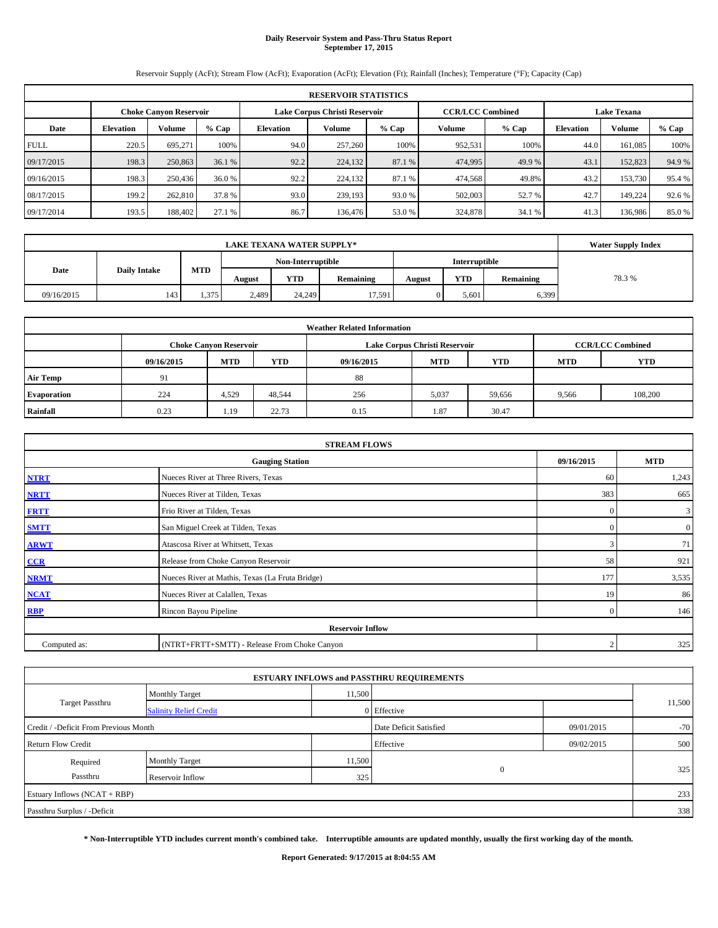# **Daily Reservoir System and Pass-Thru Status Report September 17, 2015**

Reservoir Supply (AcFt); Stream Flow (AcFt); Evaporation (AcFt); Elevation (Ft); Rainfall (Inches); Temperature (°F); Capacity (Cap)

|             | <b>RESERVOIR STATISTICS</b> |                               |         |                               |         |        |                         |         |                    |         |         |  |
|-------------|-----------------------------|-------------------------------|---------|-------------------------------|---------|--------|-------------------------|---------|--------------------|---------|---------|--|
|             |                             | <b>Choke Canvon Reservoir</b> |         | Lake Corpus Christi Reservoir |         |        | <b>CCR/LCC Combined</b> |         | <b>Lake Texana</b> |         |         |  |
| Date        | <b>Elevation</b>            | <b>Volume</b>                 | $%$ Cap | Elevation                     | Volume  | % Cap  | Volume                  | $%$ Cap | <b>Elevation</b>   | Volume  | $%$ Cap |  |
| <b>FULL</b> | 220.5                       | 695.271                       | 100%    | 94.0                          | 257,260 | 100%   | 952,531                 | 100%    | 44.0               | 161.085 | 100%    |  |
| 09/17/2015  | 198.3                       | 250,863                       | 36.1%   | 92.2                          | 224,132 | 87.1 % | 474,995                 | 49.9 %  | 43.1               | 152,823 | 94.9 %  |  |
| 09/16/2015  | 198.3                       | 250,436                       | 36.0 %  | 92.2                          | 224,132 | 87.1 % | 474,568                 | 49.8%   | 43.2               | 153,730 | 95.4 %  |  |
| 08/17/2015  | 199.2                       | 262,810                       | 37.8 %  | 93.0                          | 239,193 | 93.0 % | 502,003                 | 52.7 %  | 42.7               | 149.224 | 92.6 %  |  |
| 09/17/2014  | 193.5                       | 188,402                       | 27.1 %  | 86.7                          | 136,476 | 53.0 % | 324,878                 | 34.1 %  | 41.3               | 136,986 | 85.0%   |  |

|            | <b>Water Supply Index</b> |       |        |                   |           |        |               |           |       |
|------------|---------------------------|-------|--------|-------------------|-----------|--------|---------------|-----------|-------|
|            |                           |       |        | Non-Interruptible |           |        | Interruptible |           |       |
| Date       | <b>Daily Intake</b>       | MTD   | August | <b>YTD</b>        | Remaining | August | <b>YTD</b>    | Remaining | 78.3% |
| 09/16/2015 | 143                       | 1.375 | 2,489  | 24,249            | 17.591    |        | 5,601         | 6,399     |       |

| <b>Weather Related Information</b> |            |                               |            |            |                               |                         |            |            |  |  |
|------------------------------------|------------|-------------------------------|------------|------------|-------------------------------|-------------------------|------------|------------|--|--|
|                                    |            | <b>Choke Canyon Reservoir</b> |            |            | Lake Corpus Christi Reservoir | <b>CCR/LCC Combined</b> |            |            |  |  |
|                                    | 09/16/2015 | <b>MTD</b>                    | <b>YTD</b> | 09/16/2015 | <b>MTD</b>                    | <b>YTD</b>              | <b>MTD</b> | <b>YTD</b> |  |  |
| <b>Air Temp</b>                    | 91         |                               |            | 88         |                               |                         |            |            |  |  |
| <b>Evaporation</b>                 | 224        | 4,529                         | 48,544     | 256        | 5,037                         | 59,656                  | 9,566      | 108,200    |  |  |
| Rainfall                           | 0.23       | 1.19                          | 22.73      | 0.15       | 1.87                          | 30.47                   |            |            |  |  |

| <b>STREAM FLOWS</b> |                                                 |                |                  |  |  |  |  |  |  |
|---------------------|-------------------------------------------------|----------------|------------------|--|--|--|--|--|--|
|                     | 09/16/2015                                      | <b>MTD</b>     |                  |  |  |  |  |  |  |
| <b>NTRT</b>         | Nueces River at Three Rivers, Texas             | 60             | 1,243            |  |  |  |  |  |  |
| <b>NRTT</b>         | Nueces River at Tilden, Texas                   | 383            | 665              |  |  |  |  |  |  |
| <b>FRTT</b>         | Frio River at Tilden, Texas                     | $\mathbf{0}$   | 3                |  |  |  |  |  |  |
| <b>SMTT</b>         | San Miguel Creek at Tilden, Texas               | $\Omega$       | $\boldsymbol{0}$ |  |  |  |  |  |  |
| <b>ARWT</b>         | Atascosa River at Whitsett, Texas               | 3              | 71               |  |  |  |  |  |  |
| CCR                 | Release from Choke Canyon Reservoir             | 58             | 921              |  |  |  |  |  |  |
| <b>NRMT</b>         | Nueces River at Mathis, Texas (La Fruta Bridge) | 177            | 3,535            |  |  |  |  |  |  |
| <b>NCAT</b>         | Nueces River at Calallen, Texas                 | 19             | 86               |  |  |  |  |  |  |
| <b>RBP</b>          | Rincon Bayou Pipeline                           | $\overline{0}$ | 146              |  |  |  |  |  |  |
|                     | <b>Reservoir Inflow</b>                         |                |                  |  |  |  |  |  |  |
| Computed as:        | (NTRT+FRTT+SMTT) - Release From Choke Canyon    |                | 325              |  |  |  |  |  |  |

|                                       |                               |        | <b>ESTUARY INFLOWS and PASSTHRU REQUIREMENTS</b> |            |        |
|---------------------------------------|-------------------------------|--------|--------------------------------------------------|------------|--------|
|                                       | <b>Monthly Target</b>         | 11,500 |                                                  |            |        |
| Target Passthru                       | <b>Salinity Relief Credit</b> |        | 0 Effective                                      |            | 11,500 |
| Credit / -Deficit From Previous Month |                               |        | Date Deficit Satisfied                           | 09/01/2015 | $-70$  |
| <b>Return Flow Credit</b>             |                               |        | Effective                                        | 09/02/2015 | 500    |
| Required                              | Monthly Target                | 11,500 |                                                  |            |        |
| Passthru                              | Reservoir Inflow              | 325    | $\mathbf{0}$                                     |            | 325    |
| Estuary Inflows (NCAT + RBP)          |                               |        |                                                  |            | 233    |
| Passthru Surplus / -Deficit           |                               |        |                                                  |            | 338    |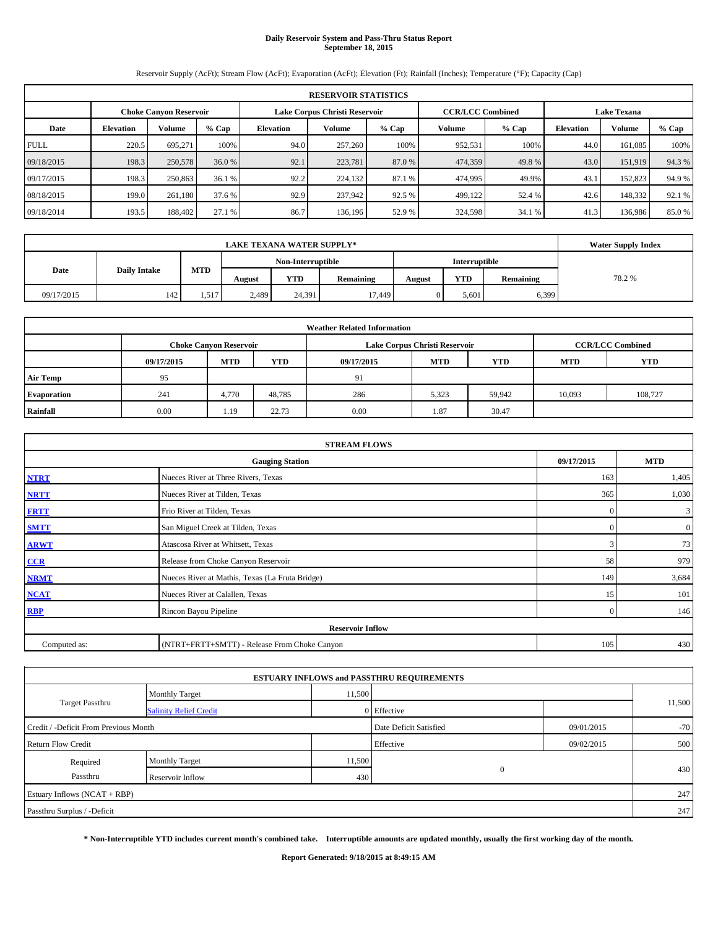# **Daily Reservoir System and Pass-Thru Status Report September 18, 2015**

Reservoir Supply (AcFt); Stream Flow (AcFt); Evaporation (AcFt); Elevation (Ft); Rainfall (Inches); Temperature (°F); Capacity (Cap)

|             | <b>RESERVOIR STATISTICS</b> |                               |        |                               |         |         |                         |         |                    |         |         |  |
|-------------|-----------------------------|-------------------------------|--------|-------------------------------|---------|---------|-------------------------|---------|--------------------|---------|---------|--|
|             |                             | <b>Choke Canvon Reservoir</b> |        | Lake Corpus Christi Reservoir |         |         | <b>CCR/LCC Combined</b> |         | <b>Lake Texana</b> |         |         |  |
| Date        | <b>Elevation</b>            | Volume                        | % Cap  | Elevation                     | Volume  | $%$ Cap | Volume                  | $%$ Cap | <b>Elevation</b>   | Volume  | $%$ Cap |  |
| <b>FULL</b> | 220.5                       | 695,271                       | 100%   | 94.0                          | 257,260 | 100%    | 952,531                 | 100%    | 44.0               | 161.085 | 100%    |  |
| 09/18/2015  | 198.3                       | 250,578                       | 36.0 % | 92.1                          | 223,781 | 87.0 %  | 474,359                 | 49.8%   | 43.0               | 151,919 | 94.3%   |  |
| 09/17/2015  | 198.3                       | 250,863                       | 36.1 % | 92.2                          | 224,132 | 87.1 %  | 474,995                 | 49.9%   | 43.1               | 152,823 | 94.9 %  |  |
| 08/18/2015  | 199.0                       | 261,180                       | 37.6 % | 92.9                          | 237,942 | 92.5 %  | 499,122                 | 52.4 %  | 42.6               | 148,332 | 92.1 %  |  |
| 09/18/2014  | 193.5                       | 188,402                       | 27.1 % | 86.7                          | 136,196 | 52.9%   | 324,598                 | 34.1 %  | 41.3               | 136,986 | 85.0%   |  |

|            | <b>Water Supply Index</b> |       |        |                   |           |        |               |           |       |
|------------|---------------------------|-------|--------|-------------------|-----------|--------|---------------|-----------|-------|
|            |                           |       |        | Non-Interruptible |           |        | Interruptible |           |       |
| Date       | <b>Daily Intake</b>       | MTD   | August | <b>YTD</b>        | Remaining | August | <b>YTD</b>    | Remaining | 78.2% |
| 09/17/2015 | 142                       | 1.517 | 2,489  | 24.391            | 17.449    |        | 5,601         | 6,399     |       |

| <b>Weather Related Information</b> |            |                               |        |            |                               |                         |        |         |  |  |  |
|------------------------------------|------------|-------------------------------|--------|------------|-------------------------------|-------------------------|--------|---------|--|--|--|
|                                    |            | <b>Choke Canyon Reservoir</b> |        |            | Lake Corpus Christi Reservoir | <b>CCR/LCC Combined</b> |        |         |  |  |  |
|                                    | 09/17/2015 | <b>MTD</b>                    | YTD    | 09/17/2015 | <b>YTD</b><br><b>MTD</b>      |                         |        |         |  |  |  |
| <b>Air Temp</b>                    | 95         |                               |        | 91         |                               |                         |        |         |  |  |  |
| Evaporation                        | 241        | 4,770                         | 48,785 | 286        | 5,323                         | 59,942                  | 10,093 | 108,727 |  |  |  |
| Rainfall                           | 0.00       | 1.19                          | 22.73  | 0.00       | 1.87                          | 30.47                   |        |         |  |  |  |

|              | <b>STREAM FLOWS</b>                             |                |                  |  |  |  |  |  |
|--------------|-------------------------------------------------|----------------|------------------|--|--|--|--|--|
|              | <b>Gauging Station</b>                          |                |                  |  |  |  |  |  |
| <b>NTRT</b>  | Nueces River at Three Rivers, Texas             | 163            | 1,405            |  |  |  |  |  |
| <b>NRTT</b>  | Nueces River at Tilden, Texas                   | 365            | 1,030            |  |  |  |  |  |
| <b>FRTT</b>  | Frio River at Tilden, Texas                     | $\mathbf{0}$   | 3                |  |  |  |  |  |
| <b>SMTT</b>  | San Miguel Creek at Tilden, Texas               | $\Omega$       | $\boldsymbol{0}$ |  |  |  |  |  |
| <b>ARWT</b>  | Atascosa River at Whitsett, Texas               | 3              | 73               |  |  |  |  |  |
| CCR          | Release from Choke Canyon Reservoir             | 58             | 979              |  |  |  |  |  |
| <b>NRMT</b>  | Nueces River at Mathis, Texas (La Fruta Bridge) | 149            | 3,684            |  |  |  |  |  |
| <b>NCAT</b>  | Nueces River at Calallen, Texas                 | 15             | 101              |  |  |  |  |  |
| <b>RBP</b>   | Rincon Bayou Pipeline                           | $\overline{0}$ | 146              |  |  |  |  |  |
|              | <b>Reservoir Inflow</b>                         |                |                  |  |  |  |  |  |
| Computed as: | (NTRT+FRTT+SMTT) - Release From Choke Canyon    | 105            | 430              |  |  |  |  |  |

|                                       |                               |        | <b>ESTUARY INFLOWS and PASSTHRU REQUIREMENTS</b> |            |        |
|---------------------------------------|-------------------------------|--------|--------------------------------------------------|------------|--------|
|                                       | <b>Monthly Target</b>         | 11,500 |                                                  |            |        |
| <b>Target Passthru</b>                | <b>Salinity Relief Credit</b> |        | 0 Effective                                      |            | 11,500 |
| Credit / -Deficit From Previous Month |                               |        | Date Deficit Satisfied                           | 09/01/2015 | $-70$  |
| <b>Return Flow Credit</b>             |                               |        | Effective                                        | 09/02/2015 | 500    |
| Required                              | Monthly Target                | 11,500 |                                                  |            |        |
| Passthru                              | Reservoir Inflow              | 430    | $\mathbf{0}$                                     |            | 430    |
| Estuary Inflows (NCAT + RBP)          |                               |        |                                                  |            | 247    |
| Passthru Surplus / -Deficit           |                               |        |                                                  |            | 247    |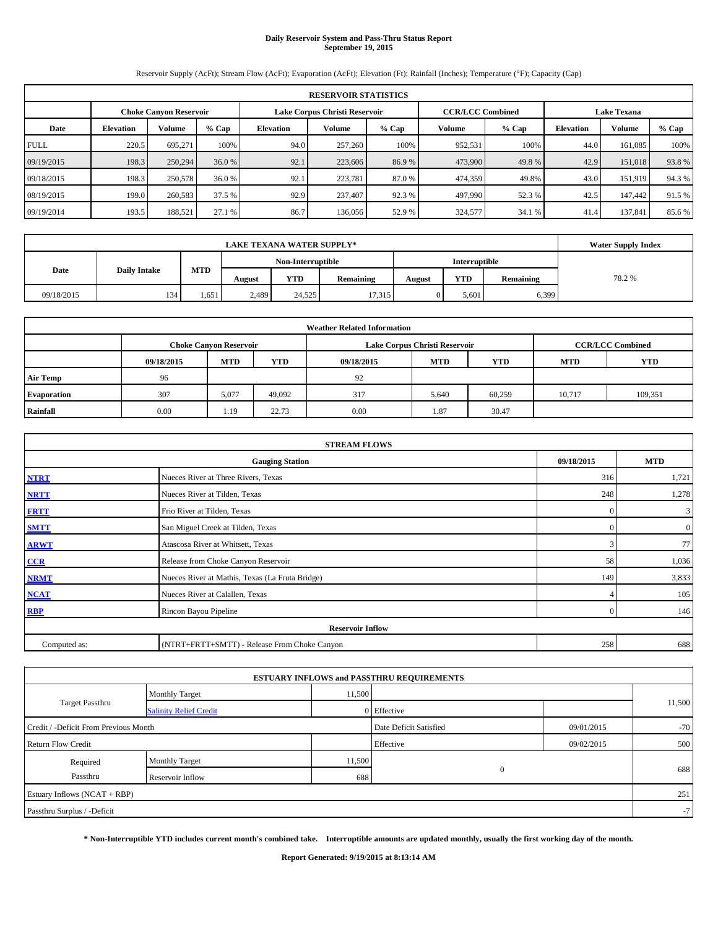# **Daily Reservoir System and Pass-Thru Status Report September 19, 2015**

Reservoir Supply (AcFt); Stream Flow (AcFt); Evaporation (AcFt); Elevation (Ft); Rainfall (Inches); Temperature (°F); Capacity (Cap)

|             | <b>RESERVOIR STATISTICS</b> |                               |        |                               |         |         |                         |         |                    |         |         |  |
|-------------|-----------------------------|-------------------------------|--------|-------------------------------|---------|---------|-------------------------|---------|--------------------|---------|---------|--|
|             |                             | <b>Choke Canvon Reservoir</b> |        | Lake Corpus Christi Reservoir |         |         | <b>CCR/LCC Combined</b> |         | <b>Lake Texana</b> |         |         |  |
| Date        | <b>Elevation</b>            | Volume                        | % Cap  | Elevation                     | Volume  | $%$ Cap | Volume                  | $%$ Cap | <b>Elevation</b>   | Volume  | $%$ Cap |  |
| <b>FULL</b> | 220.5                       | 695,271                       | 100%   | 94.0                          | 257,260 | 100%    | 952,531                 | 100%    | 44.0               | 161.085 | 100%    |  |
| 09/19/2015  | 198.3                       | 250,294                       | 36.0 % | 92.1                          | 223,606 | 86.9%   | 473,900                 | 49.8%   | 42.9               | 151,018 | 93.8%   |  |
| 09/18/2015  | 198.3                       | 250,578                       | 36.0 % | 92.1                          | 223.781 | 87.0 %  | 474,359                 | 49.8%   | 43.0               | 151.919 | 94.3%   |  |
| 08/19/2015  | 199.0                       | 260,583                       | 37.5 % | 92.9                          | 237,407 | 92.3%   | 497,990                 | 52.3 %  | 42.5               | 147,442 | 91.5 %  |  |
| 09/19/2014  | 193.5                       | 188,521                       | 27.1 % | 86.7                          | 136,056 | 52.9%   | 324,577                 | 34.1 %  | 41.4               | 137,841 | 85.6%   |  |

|            | <b>Water Supply Index</b> |       |        |                   |                  |        |               |           |       |
|------------|---------------------------|-------|--------|-------------------|------------------|--------|---------------|-----------|-------|
|            |                           |       |        | Non-Interruptible |                  |        | Interruptible |           |       |
| Date       | <b>Daily Intake</b>       | MTD   | August | <b>YTD</b>        | <b>Remaining</b> | August | <b>YTD</b>    | Remaining | 78.2% |
| 09/18/2015 | 134                       | 1,651 | 2,489  | 24,525            | 17,315           |        | 5,601         | 6,399     |       |

| <b>Weather Related Information</b> |            |                               |            |            |                               |                         |            |            |  |  |
|------------------------------------|------------|-------------------------------|------------|------------|-------------------------------|-------------------------|------------|------------|--|--|
|                                    |            | <b>Choke Canyon Reservoir</b> |            |            | Lake Corpus Christi Reservoir | <b>CCR/LCC Combined</b> |            |            |  |  |
|                                    | 09/18/2015 | <b>MTD</b>                    | <b>YTD</b> | 09/18/2015 | <b>MTD</b>                    | <b>YTD</b>              | <b>MTD</b> | <b>YTD</b> |  |  |
| <b>Air Temp</b>                    | 96         |                               |            | 92         |                               |                         |            |            |  |  |
| Evaporation                        | 307        | 5,077                         | 49,092     | 317        | 5,640                         | 60,259                  | 10,717     | 109,351    |  |  |
| Rainfall                           | 0.00       | 1.19                          | 22.73      | 0.00       | 1.87                          | 30.47                   |            |            |  |  |

|              | <b>STREAM FLOWS</b>                             |                |                  |  |  |  |  |  |
|--------------|-------------------------------------------------|----------------|------------------|--|--|--|--|--|
|              | <b>Gauging Station</b>                          |                |                  |  |  |  |  |  |
| <b>NTRT</b>  | Nueces River at Three Rivers, Texas             |                |                  |  |  |  |  |  |
| <b>NRTT</b>  | Nueces River at Tilden, Texas                   | 248            | 1,278            |  |  |  |  |  |
| <b>FRTT</b>  | Frio River at Tilden, Texas                     | $\mathbf{0}$   | 3                |  |  |  |  |  |
| <b>SMTT</b>  | San Miguel Creek at Tilden, Texas               | $\mathbf{0}$   | $\boldsymbol{0}$ |  |  |  |  |  |
| <b>ARWT</b>  | Atascosa River at Whitsett, Texas               | 3              | 77               |  |  |  |  |  |
| CCR          | Release from Choke Canyon Reservoir             | 58             | 1,036            |  |  |  |  |  |
| <b>NRMT</b>  | Nueces River at Mathis, Texas (La Fruta Bridge) | 149            | 3,833            |  |  |  |  |  |
| <b>NCAT</b>  | Nueces River at Calallen, Texas                 |                | 105              |  |  |  |  |  |
| <b>RBP</b>   | Rincon Bayou Pipeline                           | $\overline{0}$ | 146              |  |  |  |  |  |
|              | <b>Reservoir Inflow</b>                         |                |                  |  |  |  |  |  |
| Computed as: | (NTRT+FRTT+SMTT) - Release From Choke Canyon    |                |                  |  |  |  |  |  |

|                                       |                               |        | <b>ESTUARY INFLOWS and PASSTHRU REQUIREMENTS</b> |            |        |
|---------------------------------------|-------------------------------|--------|--------------------------------------------------|------------|--------|
|                                       | <b>Monthly Target</b>         | 11,500 |                                                  |            |        |
| <b>Target Passthru</b>                | <b>Salinity Relief Credit</b> |        | 0 Effective                                      |            | 11,500 |
| Credit / -Deficit From Previous Month |                               |        | Date Deficit Satisfied                           | 09/01/2015 | $-70$  |
| <b>Return Flow Credit</b>             |                               |        | Effective                                        | 09/02/2015 | 500    |
| Required                              | Monthly Target                | 11,500 |                                                  |            |        |
| Passthru                              | Reservoir Inflow              | 688    | $\mathbf{0}$                                     |            | 688    |
| Estuary Inflows (NCAT + RBP)          |                               |        |                                                  |            | 251    |
| Passthru Surplus / -Deficit           |                               |        |                                                  |            | $-7$   |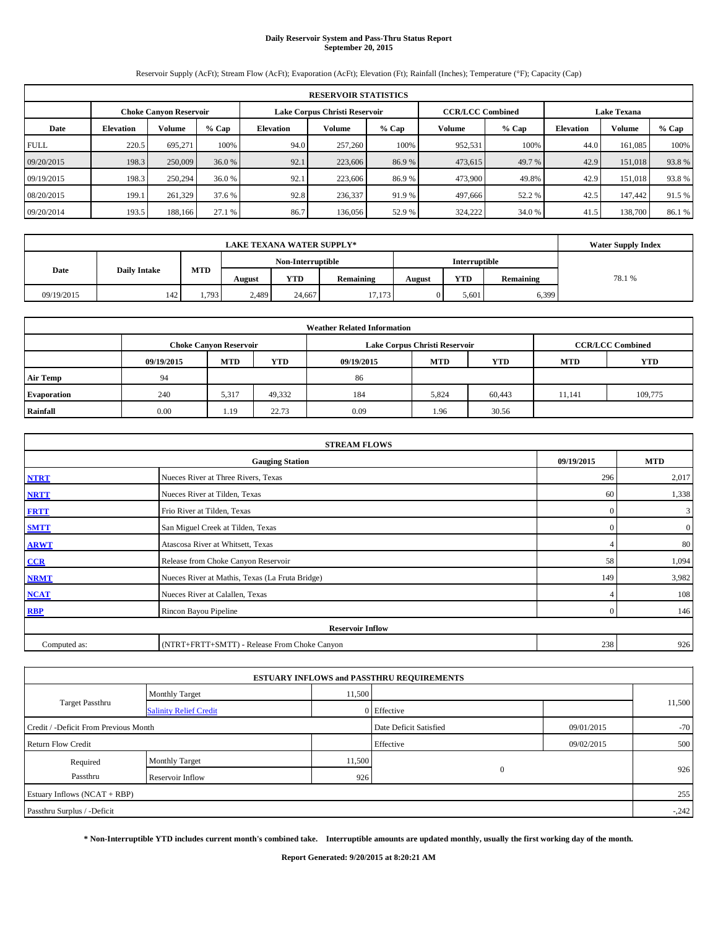# **Daily Reservoir System and Pass-Thru Status Report September 20, 2015**

Reservoir Supply (AcFt); Stream Flow (AcFt); Evaporation (AcFt); Elevation (Ft); Rainfall (Inches); Temperature (°F); Capacity (Cap)

|             | <b>RESERVOIR STATISTICS</b> |                               |        |                               |         |         |                         |         |                    |         |         |  |
|-------------|-----------------------------|-------------------------------|--------|-------------------------------|---------|---------|-------------------------|---------|--------------------|---------|---------|--|
|             |                             | <b>Choke Canvon Reservoir</b> |        | Lake Corpus Christi Reservoir |         |         | <b>CCR/LCC Combined</b> |         | <b>Lake Texana</b> |         |         |  |
| Date        | <b>Elevation</b>            | Volume                        | % Cap  | Elevation                     | Volume  | $%$ Cap | Volume                  | $%$ Cap | <b>Elevation</b>   | Volume  | $%$ Cap |  |
| <b>FULL</b> | 220.5                       | 695,271                       | 100%   | 94.0                          | 257,260 | 100%    | 952,531                 | 100%    | 44.0               | 161.085 | 100%    |  |
| 09/20/2015  | 198.3                       | 250,009                       | 36.0 % | 92.1                          | 223,606 | 86.9%   | 473,615                 | 49.7 %  | 42.9               | 151,018 | 93.8%   |  |
| 09/19/2015  | 198.3                       | 250,294                       | 36.0 % | 92.1                          | 223,606 | 86.9%   | 473,900                 | 49.8%   | 42.9               | 151,018 | 93.8%   |  |
| 08/20/2015  | 199.1                       | 261,329                       | 37.6 % | 92.8                          | 236,337 | 91.9 %  | 497,666                 | 52.2 %  | 42.5               | 147,442 | 91.5 %  |  |
| 09/20/2014  | 193.5                       | 188,166                       | 27.1 % | 86.7                          | 136,056 | 52.9%   | 324,222                 | 34.0 %  | 41.5               | 138,700 | 86.1%   |  |

|                                    | <b>LAKE TEXANA WATER SUPPLY*</b> |       |        |            |                  |        |            |           |        |  |  |  |
|------------------------------------|----------------------------------|-------|--------|------------|------------------|--------|------------|-----------|--------|--|--|--|
| Non-Interruptible<br>Interruptible |                                  |       |        |            |                  |        |            |           |        |  |  |  |
| MTD<br>Date<br><b>Daily Intake</b> |                                  |       | August | <b>YTD</b> | <b>Remaining</b> | August | <b>YTD</b> | Remaining | 78.1 % |  |  |  |
| 09/19/2015                         | 142                              | 1,793 | 2,489  | 24,667     | 17,173           |        | 5,601      | 6,399     |        |  |  |  |

| <b>Weather Related Information</b> |            |                                                                                           |            |            |            |            |            |            |  |  |  |  |
|------------------------------------|------------|-------------------------------------------------------------------------------------------|------------|------------|------------|------------|------------|------------|--|--|--|--|
|                                    |            | <b>CCR/LCC Combined</b><br>Lake Corpus Christi Reservoir<br><b>Choke Canyon Reservoir</b> |            |            |            |            |            |            |  |  |  |  |
|                                    | 09/19/2015 | <b>MTD</b>                                                                                | <b>YTD</b> | 09/19/2015 | <b>MTD</b> | <b>YTD</b> | <b>MTD</b> | <b>YTD</b> |  |  |  |  |
| <b>Air Temp</b>                    | 94         |                                                                                           |            | 86         |            |            |            |            |  |  |  |  |
| Evaporation                        | 240        | 5,317                                                                                     | 49,332     | 184        | 5,824      | 60,443     | 11.141     | 109,775    |  |  |  |  |
| Rainfall                           | 0.00       | 1.19                                                                                      | 22.73      | 0.09       | 1.96       | 30.56      |            |            |  |  |  |  |

|              | <b>STREAM FLOWS</b>                                |              |                  |  |  |  |  |  |  |  |
|--------------|----------------------------------------------------|--------------|------------------|--|--|--|--|--|--|--|
|              | 09/19/2015<br><b>MTD</b><br><b>Gauging Station</b> |              |                  |  |  |  |  |  |  |  |
| <b>NTRT</b>  | Nueces River at Three Rivers, Texas                | 296          | 2,017            |  |  |  |  |  |  |  |
| <b>NRTT</b>  | Nueces River at Tilden, Texas                      | 60           | 1,338            |  |  |  |  |  |  |  |
| <b>FRTT</b>  | Frio River at Tilden, Texas                        | $\mathbf{0}$ | 3                |  |  |  |  |  |  |  |
| <b>SMTT</b>  | San Miguel Creek at Tilden, Texas                  | $\Omega$     | $\boldsymbol{0}$ |  |  |  |  |  |  |  |
| <b>ARWT</b>  | Atascosa River at Whitsett, Texas                  | 4            | 80               |  |  |  |  |  |  |  |
| CCR          | Release from Choke Canyon Reservoir                | 58           | 1,094            |  |  |  |  |  |  |  |
| <b>NRMT</b>  | Nueces River at Mathis, Texas (La Fruta Bridge)    | 149          | 3,982            |  |  |  |  |  |  |  |
| <b>NCAT</b>  | Nueces River at Calallen, Texas                    |              | 108              |  |  |  |  |  |  |  |
| <b>RBP</b>   | Rincon Bayou Pipeline                              | $\Omega$     | 146              |  |  |  |  |  |  |  |
|              | <b>Reservoir Inflow</b>                            |              |                  |  |  |  |  |  |  |  |
| Computed as: | (NTRT+FRTT+SMTT) - Release From Choke Canyon       | 238          | 926              |  |  |  |  |  |  |  |

|                                       |                               |        | <b>ESTUARY INFLOWS and PASSTHRU REQUIREMENTS</b> |            |         |
|---------------------------------------|-------------------------------|--------|--------------------------------------------------|------------|---------|
|                                       | <b>Monthly Target</b>         | 11,500 |                                                  |            |         |
| <b>Target Passthru</b>                | <b>Salinity Relief Credit</b> |        | 0 Effective                                      |            | 11,500  |
| Credit / -Deficit From Previous Month |                               |        | Date Deficit Satisfied                           | 09/01/2015 | $-70$   |
| <b>Return Flow Credit</b>             |                               |        | Effective                                        | 09/02/2015 | 500     |
| Required                              | Monthly Target                | 11,500 |                                                  |            |         |
| Passthru                              | Reservoir Inflow              | 926    | $\mathbf{0}$                                     |            | 926     |
| Estuary Inflows (NCAT + RBP)          |                               |        |                                                  |            | 255     |
| Passthru Surplus / -Deficit           |                               |        |                                                  |            | $-.242$ |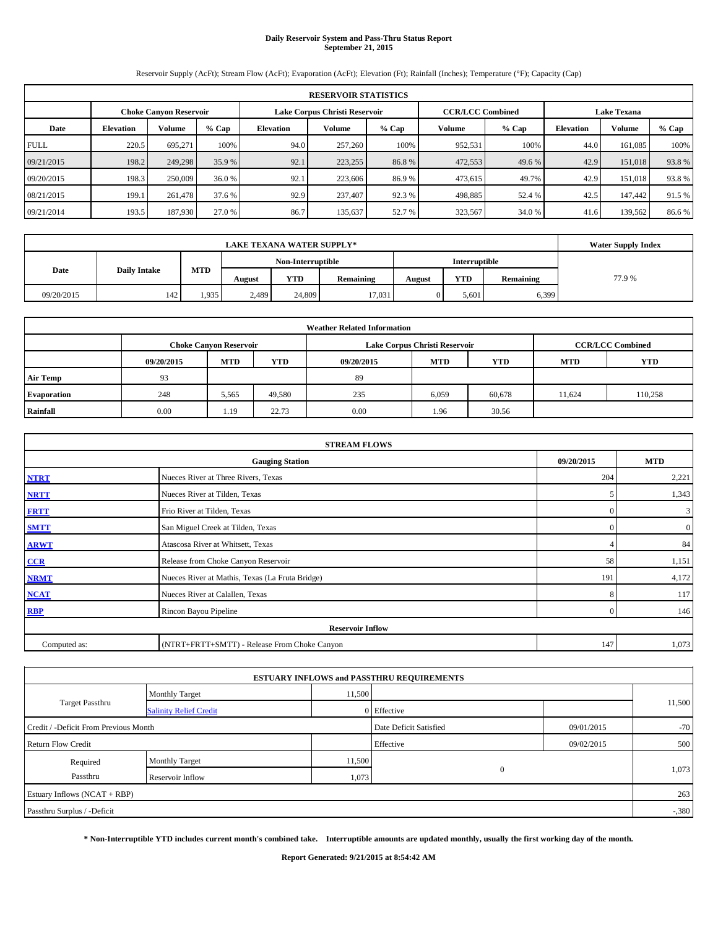# **Daily Reservoir System and Pass-Thru Status Report September 21, 2015**

Reservoir Supply (AcFt); Stream Flow (AcFt); Evaporation (AcFt); Elevation (Ft); Rainfall (Inches); Temperature (°F); Capacity (Cap)

|             | <b>RESERVOIR STATISTICS</b>                                                                                     |         |        |           |         |         |         |         |                  |         |        |  |  |  |  |
|-------------|-----------------------------------------------------------------------------------------------------------------|---------|--------|-----------|---------|---------|---------|---------|------------------|---------|--------|--|--|--|--|
|             | <b>CCR/LCC Combined</b><br>Lake Corpus Christi Reservoir<br><b>Lake Texana</b><br><b>Choke Canvon Reservoir</b> |         |        |           |         |         |         |         |                  |         |        |  |  |  |  |
| Date        | <b>Elevation</b>                                                                                                | Volume  | % Cap  | Elevation | Volume  | $%$ Cap | Volume  | $%$ Cap | <b>Elevation</b> | Volume  | % Cap  |  |  |  |  |
| <b>FULL</b> | 220.5                                                                                                           | 695.271 | 100%   | 94.0      | 257,260 | 100%    | 952,531 | 100%    | 44.0             | 161.085 | 100%   |  |  |  |  |
| 09/21/2015  | 198.2                                                                                                           | 249,298 | 35.9 % | 92.1      | 223,255 | 86.8%   | 472,553 | 49.6 %  | 42.9             | 151,018 | 93.8%  |  |  |  |  |
| 09/20/2015  | 198.3                                                                                                           | 250,009 | 36.0 % | 92.1      | 223,606 | 86.9%   | 473,615 | 49.7%   | 42.9             | 151.018 | 93.8%  |  |  |  |  |
| 08/21/2015  | 199.1                                                                                                           | 261,478 | 37.6 % | 92.9      | 237,407 | 92.3%   | 498,885 | 52.4 %  | 42.5             | 147,442 | 91.5 % |  |  |  |  |
| 09/21/2014  | 193.5                                                                                                           | 187,930 | 27.0 % | 86.7      | 135,637 | 52.7 %  | 323,567 | 34.0 %  | 41.6             | 139.562 | 86.6 % |  |  |  |  |

|                                    | <b>LAKE TEXANA WATER SUPPLY*</b> |       |        |            |                  |        |            |           |       |  |  |  |
|------------------------------------|----------------------------------|-------|--------|------------|------------------|--------|------------|-----------|-------|--|--|--|
| Non-Interruptible<br>Interruptible |                                  |       |        |            |                  |        |            |           |       |  |  |  |
| MTD<br>Date<br><b>Daily Intake</b> |                                  |       | August | <b>YTD</b> | <b>Remaining</b> | August | <b>YTD</b> | Remaining | 77.9% |  |  |  |
| 09/20/2015                         | 142                              | 1,935 | 2,489  | 24,809     | 17.031           |        | 5,601      | 6,399     |       |  |  |  |

| <b>Weather Related Information</b> |                                                                                                |                               |        |      |                               |                         |        |         |  |  |  |  |
|------------------------------------|------------------------------------------------------------------------------------------------|-------------------------------|--------|------|-------------------------------|-------------------------|--------|---------|--|--|--|--|
|                                    |                                                                                                | <b>Choke Canyon Reservoir</b> |        |      | Lake Corpus Christi Reservoir | <b>CCR/LCC Combined</b> |        |         |  |  |  |  |
|                                    | <b>YTD</b><br><b>MTD</b><br><b>MTD</b><br>09/20/2015<br><b>YTD</b><br><b>MTD</b><br>09/20/2015 |                               |        |      |                               |                         |        |         |  |  |  |  |
| <b>Air Temp</b>                    | 93                                                                                             |                               |        | 89   |                               |                         |        |         |  |  |  |  |
| <b>Evaporation</b>                 | 248                                                                                            | 5,565                         | 49,580 | 235  | 6,059                         | 60,678                  | 11,624 | 110,258 |  |  |  |  |
| Rainfall                           | 0.00                                                                                           | 1.19                          | 22.73  | 0.00 | 1.96                          | 30.56                   |        |         |  |  |  |  |

|              | <b>STREAM FLOWS</b>                             |                |                  |
|--------------|-------------------------------------------------|----------------|------------------|
|              | <b>Gauging Station</b>                          | 09/20/2015     | <b>MTD</b>       |
| <b>NTRT</b>  | Nueces River at Three Rivers, Texas             | 204            | 2,221            |
| <b>NRTT</b>  | Nueces River at Tilden, Texas                   | 5              | 1,343            |
| <b>FRTT</b>  | Frio River at Tilden, Texas                     | $\mathbf{0}$   | 3                |
| <b>SMTT</b>  | San Miguel Creek at Tilden, Texas               | $\Omega$       | $\boldsymbol{0}$ |
| <b>ARWT</b>  | Atascosa River at Whitsett, Texas               |                | 84               |
| CCR          | Release from Choke Canyon Reservoir             | 58             | 1,151            |
| <b>NRMT</b>  | Nueces River at Mathis, Texas (La Fruta Bridge) | 191            | 4,172            |
| <b>NCAT</b>  | Nueces River at Calallen, Texas                 | 8              | 117              |
| <b>RBP</b>   | Rincon Bayou Pipeline                           | $\overline{0}$ | 146              |
|              | <b>Reservoir Inflow</b>                         |                |                  |
| Computed as: | (NTRT+FRTT+SMTT) - Release From Choke Canyon    | 147            | 1,073            |

|                                       |                               |        | <b>ESTUARY INFLOWS and PASSTHRU REQUIREMENTS</b> |            |        |
|---------------------------------------|-------------------------------|--------|--------------------------------------------------|------------|--------|
|                                       | <b>Monthly Target</b>         | 11,500 |                                                  |            |        |
| Target Passthru                       | <b>Salinity Relief Credit</b> |        | Effective                                        |            | 11,500 |
| Credit / -Deficit From Previous Month |                               |        | Date Deficit Satisfied                           | 09/01/2015 | $-70$  |
| <b>Return Flow Credit</b>             |                               |        | Effective                                        | 09/02/2015 | 500    |
| Required                              | Monthly Target                | 11,500 |                                                  |            |        |
| Passthru                              | Reservoir Inflow              | 1,073  | $\mathbf{0}$                                     |            | 1,073  |
| Estuary Inflows (NCAT + RBP)          |                               |        |                                                  |            | 263    |
| Passthru Surplus / -Deficit           |                               |        |                                                  |            | $-380$ |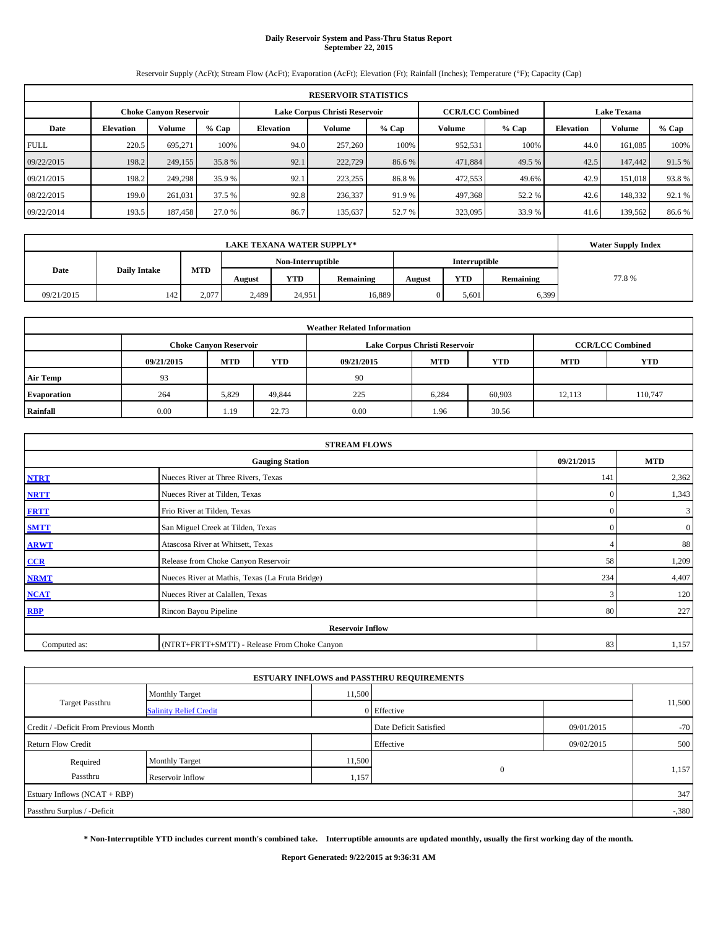# **Daily Reservoir System and Pass-Thru Status Report September 22, 2015**

Reservoir Supply (AcFt); Stream Flow (AcFt); Evaporation (AcFt); Elevation (Ft); Rainfall (Inches); Temperature (°F); Capacity (Cap)

|             | <b>RESERVOIR STATISTICS</b>                                                                                     |         |        |           |         |         |         |         |                  |         |         |  |  |  |  |
|-------------|-----------------------------------------------------------------------------------------------------------------|---------|--------|-----------|---------|---------|---------|---------|------------------|---------|---------|--|--|--|--|
|             | Lake Corpus Christi Reservoir<br><b>CCR/LCC Combined</b><br><b>Lake Texana</b><br><b>Choke Canvon Reservoir</b> |         |        |           |         |         |         |         |                  |         |         |  |  |  |  |
| Date        | <b>Elevation</b>                                                                                                | Volume  | % Cap  | Elevation | Volume  | $%$ Cap | Volume  | $%$ Cap | <b>Elevation</b> | Volume  | $%$ Cap |  |  |  |  |
| <b>FULL</b> | 220.5                                                                                                           | 695,271 | 100%   | 94.0      | 257,260 | 100%    | 952,531 | 100%    | 44.0             | 161.085 | 100%    |  |  |  |  |
| 09/22/2015  | 198.2                                                                                                           | 249,155 | 35.8%  | 92.1      | 222,729 | 86.6%   | 471,884 | 49.5 %  | 42.5             | 147,442 | 91.5 %  |  |  |  |  |
| 09/21/2015  | 198.2                                                                                                           | 249,298 | 35.9 % | 92.1      | 223,255 | 86.8%   | 472,553 | 49.6%   | 42.9             | 151,018 | 93.8%   |  |  |  |  |
| 08/22/2015  | 199.0                                                                                                           | 261,031 | 37.5 % | 92.8      | 236,337 | 91.9 %  | 497,368 | 52.2 %  | 42.6             | 148,332 | 92.1 %  |  |  |  |  |
| 09/22/2014  | 193.5                                                                                                           | 187,458 | 27.0 % | 86.7      | 135,637 | 52.7 %  | 323,095 | 33.9 %  | 41.6             | 139,562 | 86.6%   |  |  |  |  |

|                                    | <b>LAKE TEXANA WATER SUPPLY*</b> |       |        |            |           |        |            |               |       |  |  |  |
|------------------------------------|----------------------------------|-------|--------|------------|-----------|--------|------------|---------------|-------|--|--|--|
| Non-Interruptible                  |                                  |       |        |            |           |        |            | Interruptible |       |  |  |  |
| MTD<br>Date<br><b>Daily Intake</b> |                                  |       | August | <b>YTD</b> | Remaining | August | <b>YTD</b> | Remaining     | 77.8% |  |  |  |
| 09/21/2015                         | 142                              | 2,077 | 2,489  | 24,951     | 16,889    |        | 5,601      | 6,399         |       |  |  |  |

| <b>Weather Related Information</b> |            |                               |            |            |                               |                         |            |            |  |  |  |  |
|------------------------------------|------------|-------------------------------|------------|------------|-------------------------------|-------------------------|------------|------------|--|--|--|--|
|                                    |            | <b>Choke Canyon Reservoir</b> |            |            | Lake Corpus Christi Reservoir | <b>CCR/LCC Combined</b> |            |            |  |  |  |  |
|                                    | 09/21/2015 | <b>MTD</b>                    | <b>YTD</b> | 09/21/2015 | <b>MTD</b>                    | <b>YTD</b>              | <b>MTD</b> | <b>YTD</b> |  |  |  |  |
| <b>Air Temp</b>                    | 93         |                               |            | 90         |                               |                         |            |            |  |  |  |  |
| <b>Evaporation</b>                 | 264        | 5,829                         | 49,844     | 225        | 6,284                         | 60,903                  | 12,113     | 110,747    |  |  |  |  |
| Rainfall                           | 0.00       | 1.19                          | 22.73      | 0.00       | 1.96                          | 30.56                   |            |            |  |  |  |  |

|              | <b>STREAM FLOWS</b>                             |              |                  |  |  |  |  |  |  |  |  |
|--------------|-------------------------------------------------|--------------|------------------|--|--|--|--|--|--|--|--|
|              | <b>Gauging Station</b>                          | 09/21/2015   | <b>MTD</b>       |  |  |  |  |  |  |  |  |
| <b>NTRT</b>  | Nueces River at Three Rivers, Texas             | 141          | 2,362            |  |  |  |  |  |  |  |  |
| <b>NRTT</b>  | Nueces River at Tilden, Texas                   | $\mathbf{0}$ | 1,343            |  |  |  |  |  |  |  |  |
| <b>FRTT</b>  | Frio River at Tilden, Texas                     | $\mathbf{0}$ | 3                |  |  |  |  |  |  |  |  |
| <b>SMTT</b>  | San Miguel Creek at Tilden, Texas               | $\Omega$     | $\boldsymbol{0}$ |  |  |  |  |  |  |  |  |
| <b>ARWT</b>  | Atascosa River at Whitsett, Texas               |              | 88               |  |  |  |  |  |  |  |  |
| CCR          | Release from Choke Canyon Reservoir             | 58           | 1,209            |  |  |  |  |  |  |  |  |
| <b>NRMT</b>  | Nueces River at Mathis, Texas (La Fruta Bridge) | 234          | 4,407            |  |  |  |  |  |  |  |  |
| <b>NCAT</b>  | Nueces River at Calallen, Texas                 | 3            | 120              |  |  |  |  |  |  |  |  |
| <b>RBP</b>   | Rincon Bayou Pipeline                           | 80           | 227              |  |  |  |  |  |  |  |  |
|              | <b>Reservoir Inflow</b>                         |              |                  |  |  |  |  |  |  |  |  |
| Computed as: | (NTRT+FRTT+SMTT) - Release From Choke Canyon    | 83           | 1,157            |  |  |  |  |  |  |  |  |

|                                       |                               |                        | <b>ESTUARY INFLOWS and PASSTHRU REQUIREMENTS</b> |            |        |  |
|---------------------------------------|-------------------------------|------------------------|--------------------------------------------------|------------|--------|--|
|                                       | <b>Monthly Target</b>         | 11,500                 |                                                  |            |        |  |
| <b>Target Passthru</b>                | <b>Salinity Relief Credit</b> |                        | 0 Effective                                      |            | 11,500 |  |
| Credit / -Deficit From Previous Month |                               | Date Deficit Satisfied | 09/01/2015                                       | $-70$      |        |  |
| <b>Return Flow Credit</b>             |                               |                        | Effective                                        | 09/02/2015 | 500    |  |
| Required                              | Monthly Target                | 11,500                 |                                                  |            | 1,157  |  |
| Passthru                              | Reservoir Inflow              | 1,157                  | $\mathbf{0}$                                     |            |        |  |
| Estuary Inflows (NCAT + RBP)          |                               |                        |                                                  |            | 347    |  |
| Passthru Surplus / -Deficit           |                               |                        |                                                  |            | $-380$ |  |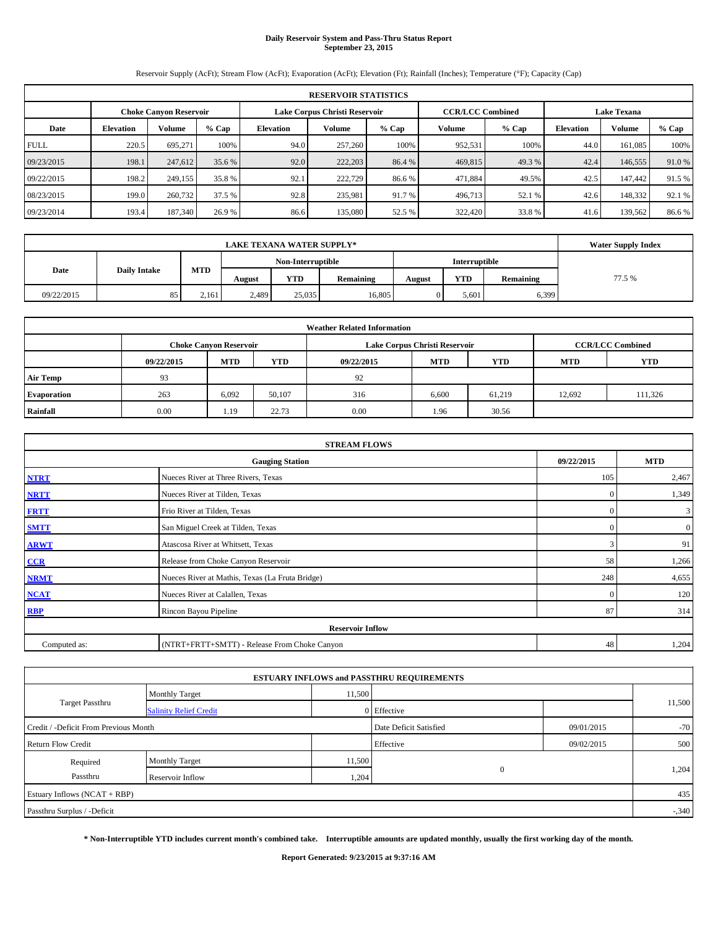# **Daily Reservoir System and Pass-Thru Status Report September 23, 2015**

Reservoir Supply (AcFt); Stream Flow (AcFt); Evaporation (AcFt); Elevation (Ft); Rainfall (Inches); Temperature (°F); Capacity (Cap)

|             | <b>RESERVOIR STATISTICS</b> |                        |         |                               |         |         |                         |        |                    |         |        |  |  |
|-------------|-----------------------------|------------------------|---------|-------------------------------|---------|---------|-------------------------|--------|--------------------|---------|--------|--|--|
|             |                             | Choke Canvon Reservoir |         | Lake Corpus Christi Reservoir |         |         | <b>CCR/LCC Combined</b> |        | <b>Lake Texana</b> |         |        |  |  |
| Date        | <b>Elevation</b>            | <b>Volume</b>          | $%$ Cap | <b>Elevation</b>              | Volume  | $%$ Cap | Volume                  | % Cap  | <b>Elevation</b>   | Volume  | % Cap  |  |  |
| <b>FULL</b> | 220.5                       | 695.271                | 100%    | 94.0                          | 257,260 | 100%    | 952,531                 | 100%   | 44.0               | 161.085 | 100%   |  |  |
| 09/23/2015  | 198.1                       | 247,612                | 35.6 %  | 92.0                          | 222,203 | 86.4 %  | 469,815                 | 49.3 % | 42.4               | 146,555 | 91.0%  |  |  |
| 09/22/2015  | 198.2                       | 249,155                | 35.8%   | 92.1                          | 222,729 | 86.6 %  | 471,884                 | 49.5%  | 42.5               | 147,442 | 91.5 % |  |  |
| 08/23/2015  | 199.0                       | 260,732                | 37.5 %  | 92.8                          | 235,981 | 91.7%   | 496,713                 | 52.1 % | 42.6               | 148,332 | 92.1 % |  |  |
| 09/23/2014  | 193.4                       | 187,340                | 26.9%   | 86.6                          | 135,080 | 52.5 %  | 322,420                 | 33.8%  | 41.6               | 139,562 | 86.6%  |  |  |

|            | <b>Water Supply Index</b> |       |                   |            |           |        |               |           |        |
|------------|---------------------------|-------|-------------------|------------|-----------|--------|---------------|-----------|--------|
|            |                           |       | Non-Interruptible |            |           |        | Interruptible |           |        |
| Date       | <b>Daily Intake</b>       | MTD   | August            | <b>YTD</b> | Remaining | August | <b>YTD</b>    | Remaining | 77.5 % |
| 09/22/2015 | 85                        | 2.161 | 2,489             | 25,035     | 16.805    |        | 5,601         | 6,399     |        |

| <b>Weather Related Information</b> |            |                               |        |            |                               |                         |            |            |  |  |  |
|------------------------------------|------------|-------------------------------|--------|------------|-------------------------------|-------------------------|------------|------------|--|--|--|
|                                    |            | <b>Choke Canyon Reservoir</b> |        |            | Lake Corpus Christi Reservoir | <b>CCR/LCC Combined</b> |            |            |  |  |  |
|                                    | 09/22/2015 | <b>MTD</b>                    | YTD    | 09/22/2015 | <b>MTD</b>                    | <b>YTD</b>              | <b>MTD</b> | <b>YTD</b> |  |  |  |
| <b>Air Temp</b>                    | 93         |                               |        | 92         |                               |                         |            |            |  |  |  |
| Evaporation                        | 263        | 6.092                         | 50,107 | 316        | 6,600                         | 61,219                  | 12,692     | 111,326    |  |  |  |
| Rainfall                           | 0.00       | 1.19                          | 22.73  | 0.00       | 1.96                          | 30.56                   |            |            |  |  |  |

|              | <b>STREAM FLOWS</b>                             |              |                |
|--------------|-------------------------------------------------|--------------|----------------|
|              | <b>Gauging Station</b>                          | 09/22/2015   | <b>MTD</b>     |
| <b>NTRT</b>  | Nueces River at Three Rivers, Texas             | 105          | 2,467          |
| <b>NRTT</b>  | Nueces River at Tilden, Texas                   | $\mathbf{0}$ | 1,349          |
| <b>FRTT</b>  | Frio River at Tilden, Texas                     | $\mathbf{0}$ | 3              |
| <b>SMTT</b>  | San Miguel Creek at Tilden, Texas               | $\mathbf{0}$ | $\overline{0}$ |
| <b>ARWT</b>  | Atascosa River at Whitsett, Texas               | 3            | 91             |
| $CCR$        | Release from Choke Canyon Reservoir             | 58           | 1,266          |
| <b>NRMT</b>  | Nueces River at Mathis, Texas (La Fruta Bridge) | 248          | 4,655          |
| <b>NCAT</b>  | Nueces River at Calallen, Texas                 | $\mathbf{0}$ | 120            |
| <b>RBP</b>   | Rincon Bayou Pipeline                           | 87           | 314            |
|              | <b>Reservoir Inflow</b>                         |              |                |
| Computed as: | (NTRT+FRTT+SMTT) - Release From Choke Canyon    | 48           | 1,204          |

|                                       |                               |                        | <b>ESTUARY INFLOWS and PASSTHRU REQUIREMENTS</b> |            |        |  |
|---------------------------------------|-------------------------------|------------------------|--------------------------------------------------|------------|--------|--|
|                                       | <b>Monthly Target</b>         | 11,500                 |                                                  |            |        |  |
| <b>Target Passthru</b>                | <b>Salinity Relief Credit</b> |                        | 0 Effective                                      |            | 11,500 |  |
| Credit / -Deficit From Previous Month |                               | Date Deficit Satisfied | 09/01/2015                                       | $-70$      |        |  |
| <b>Return Flow Credit</b>             |                               |                        | Effective                                        | 09/02/2015 | 500    |  |
| Required                              | Monthly Target                | 11,500                 |                                                  |            | 1,204  |  |
| Passthru                              | Reservoir Inflow              | 1,204                  | $\mathbf{0}$                                     |            |        |  |
| Estuary Inflows (NCAT + RBP)          |                               |                        |                                                  |            | 435    |  |
| Passthru Surplus / -Deficit           |                               |                        |                                                  |            | $-340$ |  |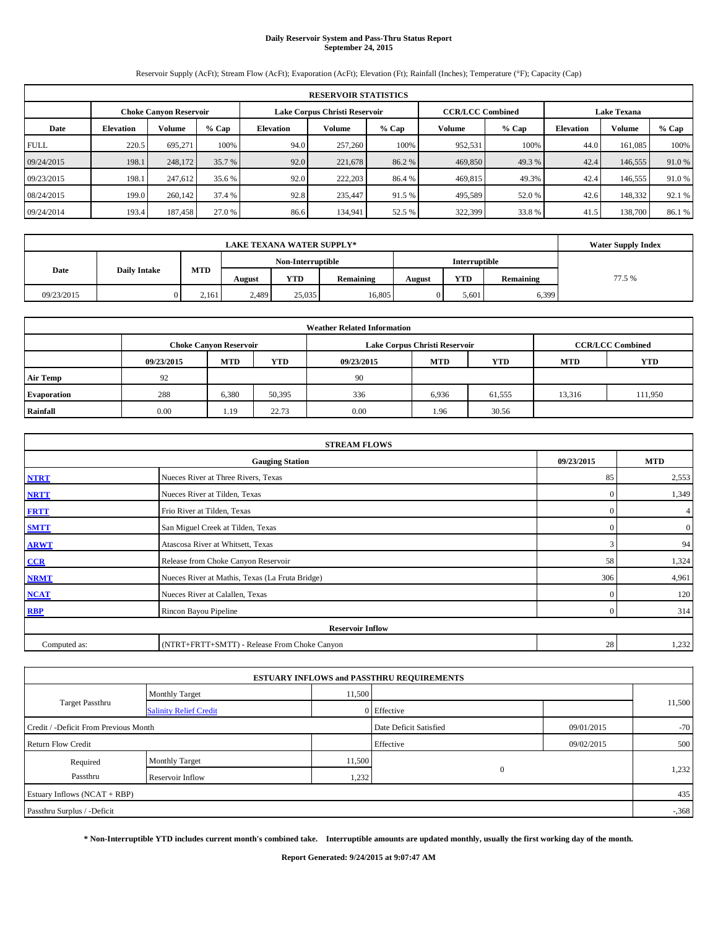# **Daily Reservoir System and Pass-Thru Status Report September 24, 2015**

Reservoir Supply (AcFt); Stream Flow (AcFt); Evaporation (AcFt); Elevation (Ft); Rainfall (Inches); Temperature (°F); Capacity (Cap)

|             | <b>RESERVOIR STATISTICS</b>   |         |        |                               |         |         |                         |         |                    |         |         |  |  |
|-------------|-------------------------------|---------|--------|-------------------------------|---------|---------|-------------------------|---------|--------------------|---------|---------|--|--|
|             | <b>Choke Canvon Reservoir</b> |         |        | Lake Corpus Christi Reservoir |         |         | <b>CCR/LCC Combined</b> |         | <b>Lake Texana</b> |         |         |  |  |
| Date        | <b>Elevation</b>              | Volume  | % Cap  | Elevation                     | Volume  | $%$ Cap | Volume                  | $%$ Cap | <b>Elevation</b>   | Volume  | $%$ Cap |  |  |
| <b>FULL</b> | 220.5                         | 695,271 | 100%   | 94.0                          | 257,260 | 100%    | 952,531                 | 100%    | 44.0               | 161.085 | 100%    |  |  |
| 09/24/2015  | 198.1                         | 248,172 | 35.7 % | 92.0                          | 221,678 | 86.2%   | 469,850                 | 49.3 %  | 42.4               | 146,555 | 91.0 %  |  |  |
| 09/23/2015  | 198.1                         | 247,612 | 35.6 % | 92.0                          | 222,203 | 86.4 %  | 469,815                 | 49.3%   | 42.4               | 146,555 | 91.0 %  |  |  |
| 08/24/2015  | 199.0                         | 260,142 | 37.4 % | 92.8                          | 235,447 | 91.5 %  | 495,589                 | 52.0 %  | 42.6               | 148,332 | 92.1 %  |  |  |
| 09/24/2014  | 193.4                         | 187,458 | 27.0 % | 86.6                          | 134,941 | 52.5 %  | 322,399                 | 33.8%   | 41.5               | 138,700 | 86.1%   |  |  |

|            | <b>Water Supply Index</b> |       |        |                   |           |        |               |           |        |
|------------|---------------------------|-------|--------|-------------------|-----------|--------|---------------|-----------|--------|
|            |                           |       |        | Non-Interruptible |           |        | Interruptible |           |        |
| Date       | <b>Daily Intake</b>       | MTD   | August | <b>YTD</b>        | Remaining | August | <b>YTD</b>    | Remaining | 77.5 % |
| 09/23/2015 |                           | 2,161 | 2,489  | 25,035            | 16,805    |        | 5,601         | 6,399     |        |

| <b>Weather Related Information</b> |            |                               |            |            |                               |                         |            |            |  |  |
|------------------------------------|------------|-------------------------------|------------|------------|-------------------------------|-------------------------|------------|------------|--|--|
|                                    |            | <b>Choke Canyon Reservoir</b> |            |            | Lake Corpus Christi Reservoir | <b>CCR/LCC Combined</b> |            |            |  |  |
|                                    | 09/23/2015 | <b>MTD</b>                    | <b>YTD</b> | 09/23/2015 | <b>MTD</b>                    | <b>YTD</b>              | <b>MTD</b> | <b>YTD</b> |  |  |
| <b>Air Temp</b>                    | 92         |                               |            | 90         |                               |                         |            |            |  |  |
| <b>Evaporation</b>                 | 288        | 6,380                         | 50,395     | 336        | 6,936                         | 61,555                  | 13,316     | 111,950    |  |  |
| Rainfall                           | 0.00       | 1.19                          | 22.73      | 0.00       | 1.96                          | 30.56                   |            |            |  |  |

|              | <b>STREAM FLOWS</b>                             |                |                  |  |  |  |  |  |  |  |  |
|--------------|-------------------------------------------------|----------------|------------------|--|--|--|--|--|--|--|--|
|              | <b>Gauging Station</b>                          | 09/23/2015     | <b>MTD</b>       |  |  |  |  |  |  |  |  |
| <b>NTRT</b>  | Nueces River at Three Rivers, Texas             | 85             | 2,553            |  |  |  |  |  |  |  |  |
| <b>NRTT</b>  | Nueces River at Tilden, Texas                   | $\mathbf{0}$   | 1,349            |  |  |  |  |  |  |  |  |
| <b>FRTT</b>  | Frio River at Tilden, Texas                     | $\mathbf{0}$   | 4                |  |  |  |  |  |  |  |  |
| <b>SMTT</b>  | San Miguel Creek at Tilden, Texas               | $\Omega$       | $\boldsymbol{0}$ |  |  |  |  |  |  |  |  |
| <b>ARWT</b>  | Atascosa River at Whitsett, Texas               | 3              | 94               |  |  |  |  |  |  |  |  |
| CCR          | Release from Choke Canyon Reservoir             | 58             | 1,324            |  |  |  |  |  |  |  |  |
| <b>NRMT</b>  | Nueces River at Mathis, Texas (La Fruta Bridge) | 306            | 4,961            |  |  |  |  |  |  |  |  |
| <b>NCAT</b>  | Nueces River at Calallen, Texas                 | $\Omega$       | 120              |  |  |  |  |  |  |  |  |
| <b>RBP</b>   | Rincon Bayou Pipeline                           | $\overline{0}$ | 314              |  |  |  |  |  |  |  |  |
|              | <b>Reservoir Inflow</b>                         |                |                  |  |  |  |  |  |  |  |  |
| Computed as: | (NTRT+FRTT+SMTT) - Release From Choke Canyon    | 28             | 1,232            |  |  |  |  |  |  |  |  |

|                                       |                               |                        | <b>ESTUARY INFLOWS and PASSTHRU REQUIREMENTS</b> |            |          |  |
|---------------------------------------|-------------------------------|------------------------|--------------------------------------------------|------------|----------|--|
|                                       | <b>Monthly Target</b>         | 11,500                 |                                                  |            |          |  |
| <b>Target Passthru</b>                | <b>Salinity Relief Credit</b> |                        | 0 Effective                                      |            | 11,500   |  |
| Credit / -Deficit From Previous Month |                               | Date Deficit Satisfied | 09/01/2015                                       | $-70$      |          |  |
| <b>Return Flow Credit</b>             |                               |                        | Effective                                        | 09/02/2015 | 500      |  |
| Required                              | <b>Monthly Target</b>         | 11,500                 |                                                  |            |          |  |
| Passthru                              | Reservoir Inflow              | 1,232                  | $\mathbf{0}$                                     |            | 1,232    |  |
| Estuary Inflows (NCAT + RBP)          |                               |                        |                                                  |            | 435      |  |
| Passthru Surplus / -Deficit           |                               |                        |                                                  |            | $-0.368$ |  |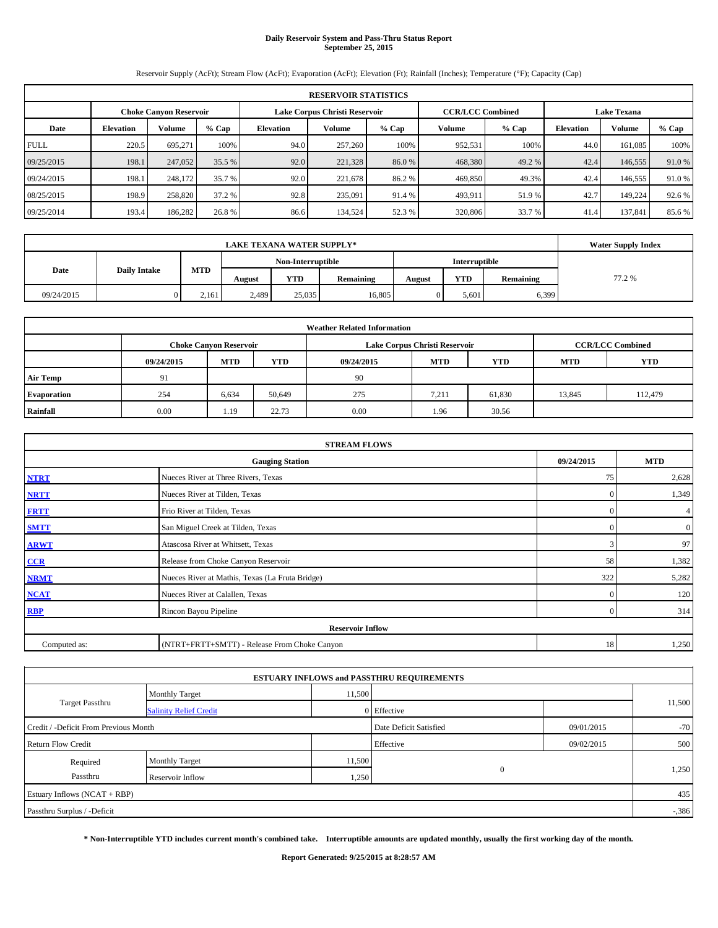# **Daily Reservoir System and Pass-Thru Status Report September 25, 2015**

Reservoir Supply (AcFt); Stream Flow (AcFt); Evaporation (AcFt); Elevation (Ft); Rainfall (Inches); Temperature (°F); Capacity (Cap)

| <b>RESERVOIR STATISTICS</b> |                                                                                                                 |         |        |           |         |         |         |         |                  |         |         |  |
|-----------------------------|-----------------------------------------------------------------------------------------------------------------|---------|--------|-----------|---------|---------|---------|---------|------------------|---------|---------|--|
|                             | Lake Corpus Christi Reservoir<br><b>CCR/LCC Combined</b><br><b>Lake Texana</b><br><b>Choke Canvon Reservoir</b> |         |        |           |         |         |         |         |                  |         |         |  |
| Date                        | <b>Elevation</b>                                                                                                | Volume  | % Cap  | Elevation | Volume  | $%$ Cap | Volume  | $%$ Cap | <b>Elevation</b> | Volume  | $%$ Cap |  |
| <b>FULL</b>                 | 220.5                                                                                                           | 695,271 | 100%   | 94.0      | 257,260 | 100%    | 952,531 | 100%    | 44.0             | 161.085 | 100%    |  |
| 09/25/2015                  | 198.1                                                                                                           | 247,052 | 35.5 % | 92.0      | 221,328 | 86.0%   | 468,380 | 49.2 %  | 42.4             | 146,555 | 91.0 %  |  |
| 09/24/2015                  | 198.1                                                                                                           | 248,172 | 35.7 % | 92.0      | 221.678 | 86.2%   | 469,850 | 49.3%   | 42.4             | 146,555 | 91.0 %  |  |
| 08/25/2015                  | 198.9                                                                                                           | 258,820 | 37.2 % | 92.8      | 235,091 | 91.4 %  | 493,911 | 51.9%   | 42.7             | 149.224 | 92.6 %  |  |
| 09/25/2014                  | 193.4                                                                                                           | 186,282 | 26.8%  | 86.6      | 134,524 | 52.3 %  | 320,806 | 33.7 %  | 41.4             | 137,841 | 85.6%   |  |

|                             | <b>LAKE TEXANA WATER SUPPLY*</b> |        |                   |           |        |               |           |        |  |  |  |
|-----------------------------|----------------------------------|--------|-------------------|-----------|--------|---------------|-----------|--------|--|--|--|
|                             | MTD                              |        | Non-Interruptible |           |        | Interruptible |           |        |  |  |  |
| Date<br><b>Daily Intake</b> |                                  | August | <b>YTD</b>        | Remaining | August | <b>YTD</b>    | Remaining | 77.2 % |  |  |  |
| 09/24/2015                  |                                  | 2.161  | 2,489             | 25,035    | 16.805 |               | 5,601     | 6,399  |  |  |  |

| <b>Weather Related Information</b> |            |                               |            |            |                               |                         |        |         |  |  |  |
|------------------------------------|------------|-------------------------------|------------|------------|-------------------------------|-------------------------|--------|---------|--|--|--|
|                                    |            | <b>Choke Canyon Reservoir</b> |            |            | Lake Corpus Christi Reservoir | <b>CCR/LCC Combined</b> |        |         |  |  |  |
|                                    | 09/24/2015 | <b>MTD</b>                    | <b>YTD</b> | 09/24/2015 | <b>YTD</b>                    |                         |        |         |  |  |  |
| <b>Air Temp</b>                    | 91         |                               |            | 90         |                               |                         |        |         |  |  |  |
| <b>Evaporation</b>                 | 254        | 6,634                         | 50,649     | 275        | 7,211                         | 61,830                  | 13,845 | 112,479 |  |  |  |
| Rainfall                           | 0.00       | 1.19                          | 22.73      | 0.00       | 1.96                          | 30.56                   |        |         |  |  |  |

| <b>STREAM FLOWS</b> |                                                 |                |                  |  |  |  |  |  |  |
|---------------------|-------------------------------------------------|----------------|------------------|--|--|--|--|--|--|
|                     | <b>Gauging Station</b>                          | 09/24/2015     | <b>MTD</b>       |  |  |  |  |  |  |
| <b>NTRT</b>         | Nueces River at Three Rivers, Texas             | 75             | 2,628            |  |  |  |  |  |  |
| <b>NRTT</b>         | Nueces River at Tilden, Texas                   | $\mathbf{0}$   | 1,349            |  |  |  |  |  |  |
| <b>FRTT</b>         | Frio River at Tilden, Texas                     | $\mathbf{0}$   | 4                |  |  |  |  |  |  |
| <b>SMTT</b>         | San Miguel Creek at Tilden, Texas               | $\Omega$       | $\boldsymbol{0}$ |  |  |  |  |  |  |
| <b>ARWT</b>         | Atascosa River at Whitsett, Texas               | 3              | 97               |  |  |  |  |  |  |
| CCR                 | Release from Choke Canyon Reservoir             | 58             | 1,382            |  |  |  |  |  |  |
| <b>NRMT</b>         | Nueces River at Mathis, Texas (La Fruta Bridge) | 322            | 5,282            |  |  |  |  |  |  |
| <b>NCAT</b>         | Nueces River at Calallen, Texas                 | $\Omega$       | 120              |  |  |  |  |  |  |
| <b>RBP</b>          | Rincon Bayou Pipeline                           | $\overline{0}$ | 314              |  |  |  |  |  |  |
|                     | <b>Reservoir Inflow</b>                         |                |                  |  |  |  |  |  |  |
| Computed as:        | (NTRT+FRTT+SMTT) - Release From Choke Canyon    |                |                  |  |  |  |  |  |  |

|                                       |                               |        | <b>ESTUARY INFLOWS and PASSTHRU REQUIREMENTS</b> |            |        |  |
|---------------------------------------|-------------------------------|--------|--------------------------------------------------|------------|--------|--|
|                                       | <b>Monthly Target</b>         | 11,500 |                                                  |            |        |  |
| <b>Target Passthru</b>                | <b>Salinity Relief Credit</b> |        | 0 Effective                                      |            | 11,500 |  |
| Credit / -Deficit From Previous Month |                               |        | Date Deficit Satisfied                           | 09/01/2015 | $-70$  |  |
| <b>Return Flow Credit</b>             |                               |        | Effective                                        | 09/02/2015 | 500    |  |
| Required                              | Monthly Target                | 11,500 |                                                  |            |        |  |
| Passthru                              | Reservoir Inflow              | 1,250  | $\mathbf{0}$                                     |            | 1,250  |  |
| Estuary Inflows (NCAT + RBP)          |                               |        |                                                  |            | 435    |  |
| Passthru Surplus / -Deficit           |                               |        |                                                  |            | $-386$ |  |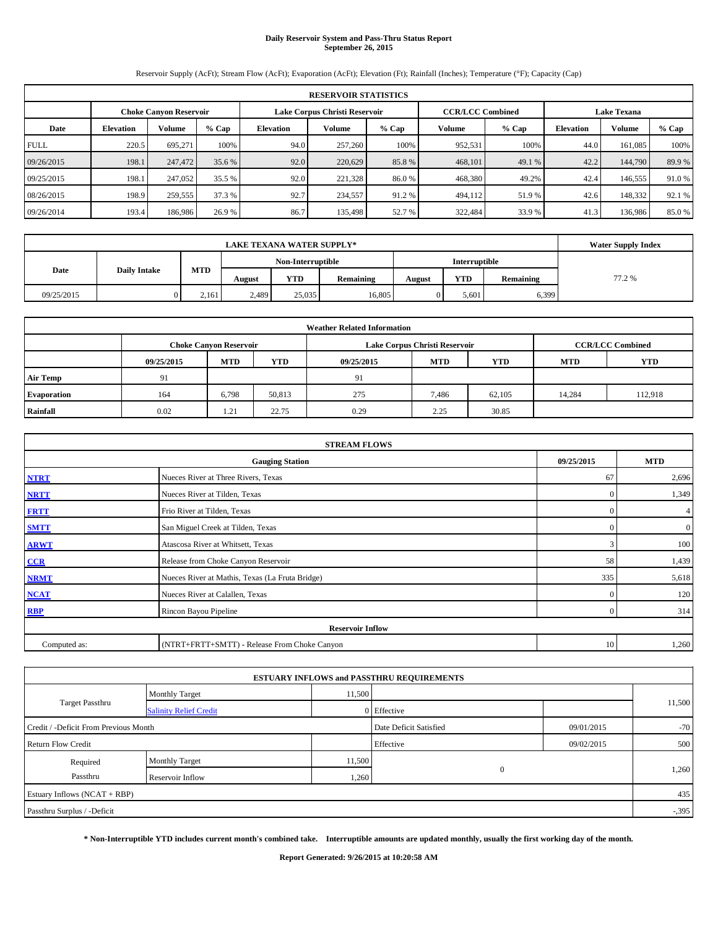# **Daily Reservoir System and Pass-Thru Status Report September 26, 2015**

Reservoir Supply (AcFt); Stream Flow (AcFt); Evaporation (AcFt); Elevation (Ft); Rainfall (Inches); Temperature (°F); Capacity (Cap)

| <b>RESERVOIR STATISTICS</b> |                                                                                                          |         |        |                  |         |         |         |        |                  |         |        |  |
|-----------------------------|----------------------------------------------------------------------------------------------------------|---------|--------|------------------|---------|---------|---------|--------|------------------|---------|--------|--|
|                             | Lake Corpus Christi Reservoir<br><b>CCR/LCC Combined</b><br><b>Lake Texana</b><br>Choke Canvon Reservoir |         |        |                  |         |         |         |        |                  |         |        |  |
| Date                        | <b>Volume</b><br>$%$ Cap<br><b>Elevation</b>                                                             |         |        | <b>Elevation</b> | Volume  | $%$ Cap | Volume  | % Cap  | <b>Elevation</b> | Volume  | % Cap  |  |
| <b>FULL</b>                 | 220.5                                                                                                    | 695.271 | 100%   | 94.0             | 257,260 | 100%    | 952,531 | 100%   | 44.0             | 161.085 | 100%   |  |
| 09/26/2015                  | 198.1                                                                                                    | 247,472 | 35.6 % | 92.0             | 220,629 | 85.8%   | 468,101 | 49.1 % | 42.2             | 144,790 | 89.9%  |  |
| 09/25/2015                  | 198.1                                                                                                    | 247,052 | 35.5 % | 92.0             | 221,328 | 86.0%   | 468,380 | 49.2%  | 42.4             | 146,555 | 91.0%  |  |
| 08/26/2015                  | 198.9                                                                                                    | 259,555 | 37.3 % | 92.7             | 234,557 | 91.2%   | 494,112 | 51.9%  | 42.6             | 148,332 | 92.1 % |  |
| 09/26/2014                  | 193.4                                                                                                    | 186,986 | 26.9%  | 86.7             | 135,498 | 52.7 %  | 322,484 | 33.9 % | 41.3             | 136,986 | 85.0%  |  |

|                             | <b>LAKE TEXANA WATER SUPPLY*</b> |            |                   |            |                  |                      |       |           |        |  |  |
|-----------------------------|----------------------------------|------------|-------------------|------------|------------------|----------------------|-------|-----------|--------|--|--|
|                             |                                  |            | Non-Interruptible |            |                  | <b>Interruptible</b> |       |           |        |  |  |
| Date<br><b>Daily Intake</b> |                                  | <b>MTD</b> | August            | <b>YTD</b> | <b>Remaining</b> | August               | YTD   | Remaining | 77.2 % |  |  |
| 09/25/2015                  |                                  | 2.161      | 2,489             | 25.035     | 16.805           |                      | 5,601 | 6,399     |        |  |  |

| <b>Weather Related Information</b> |            |                               |        |                                                      |                               |                         |        |         |  |  |  |
|------------------------------------|------------|-------------------------------|--------|------------------------------------------------------|-------------------------------|-------------------------|--------|---------|--|--|--|
|                                    |            | <b>Choke Canyon Reservoir</b> |        |                                                      | Lake Corpus Christi Reservoir | <b>CCR/LCC Combined</b> |        |         |  |  |  |
|                                    | 09/25/2015 | <b>MTD</b>                    | YTD    | <b>MTD</b><br><b>YTD</b><br>09/25/2015<br><b>MTD</b> |                               |                         |        |         |  |  |  |
| <b>Air Temp</b>                    | 91         |                               |        | 91                                                   |                               |                         |        |         |  |  |  |
| Evaporation                        | 164        | 6.798                         | 50,813 | 275                                                  | 7.486                         | 62,105                  | 14,284 | 112,918 |  |  |  |
| Rainfall                           | 0.02       | 1.21                          | 22.75  | 0.29                                                 | 2.25                          | 30.85                   |        |         |  |  |  |

| <b>STREAM FLOWS</b> |                                                    |                |                  |  |  |  |  |  |  |
|---------------------|----------------------------------------------------|----------------|------------------|--|--|--|--|--|--|
|                     | 09/25/2015<br><b>MTD</b><br><b>Gauging Station</b> |                |                  |  |  |  |  |  |  |
| <b>NTRT</b>         | Nueces River at Three Rivers, Texas                | 67             | 2,696            |  |  |  |  |  |  |
| <b>NRTT</b>         | Nueces River at Tilden, Texas                      | $\mathbf{0}$   | 1,349            |  |  |  |  |  |  |
| <b>FRTT</b>         | Frio River at Tilden, Texas                        | $\mathbf{0}$   | 4                |  |  |  |  |  |  |
| <b>SMTT</b>         | San Miguel Creek at Tilden, Texas                  | $\Omega$       | $\boldsymbol{0}$ |  |  |  |  |  |  |
| <b>ARWT</b>         | Atascosa River at Whitsett, Texas                  | 3              | 100              |  |  |  |  |  |  |
| CCR                 | Release from Choke Canyon Reservoir                | 58             | 1,439            |  |  |  |  |  |  |
| <b>NRMT</b>         | Nueces River at Mathis, Texas (La Fruta Bridge)    | 335            | 5,618            |  |  |  |  |  |  |
| <b>NCAT</b>         | Nueces River at Calallen, Texas                    | $\Omega$       | 120              |  |  |  |  |  |  |
| <b>RBP</b>          | Rincon Bayou Pipeline                              | $\overline{0}$ | 314              |  |  |  |  |  |  |
|                     | <b>Reservoir Inflow</b>                            |                |                  |  |  |  |  |  |  |
| Computed as:        | (NTRT+FRTT+SMTT) - Release From Choke Canyon       |                |                  |  |  |  |  |  |  |

|                                       |                               |        | <b>ESTUARY INFLOWS and PASSTHRU REQUIREMENTS</b> |            |        |  |
|---------------------------------------|-------------------------------|--------|--------------------------------------------------|------------|--------|--|
|                                       | <b>Monthly Target</b>         | 11,500 |                                                  |            |        |  |
| <b>Target Passthru</b>                | <b>Salinity Relief Credit</b> |        | 0 Effective                                      |            | 11,500 |  |
| Credit / -Deficit From Previous Month |                               |        | Date Deficit Satisfied                           | 09/01/2015 | $-70$  |  |
| <b>Return Flow Credit</b>             |                               |        | Effective                                        | 09/02/2015 | 500    |  |
| Required                              | <b>Monthly Target</b>         | 11,500 |                                                  |            |        |  |
| Passthru                              | Reservoir Inflow              | 1,260  | $\mathbf{0}$                                     |            | 1,260  |  |
| Estuary Inflows (NCAT + RBP)          |                               |        |                                                  |            | 435    |  |
| Passthru Surplus / -Deficit           |                               |        |                                                  |            | $-395$ |  |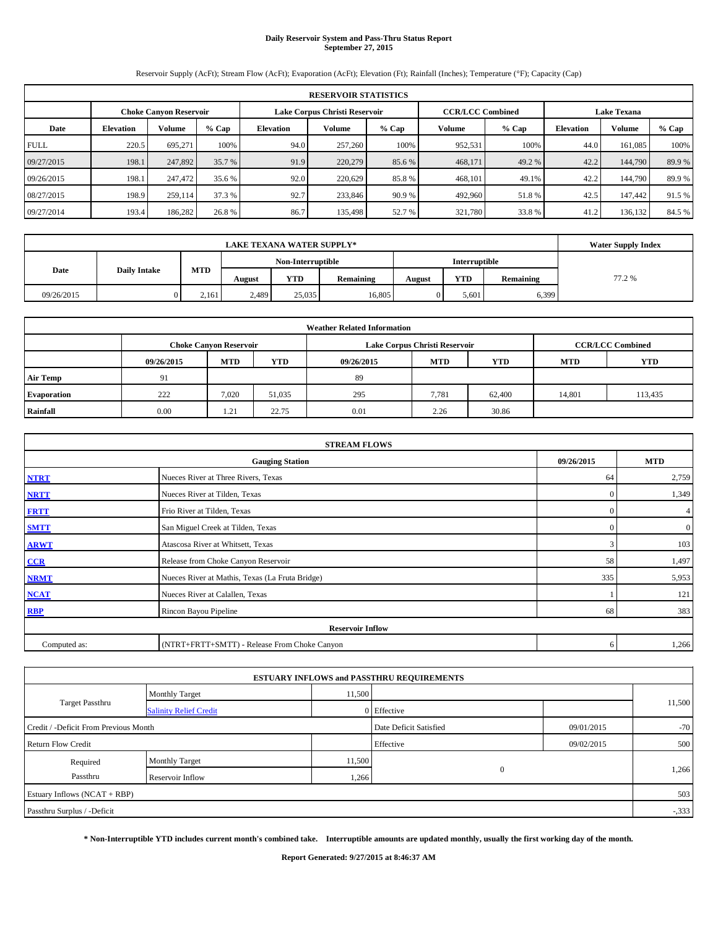# **Daily Reservoir System and Pass-Thru Status Report September 27, 2015**

Reservoir Supply (AcFt); Stream Flow (AcFt); Evaporation (AcFt); Elevation (Ft); Rainfall (Inches); Temperature (°F); Capacity (Cap)

| <b>RESERVOIR STATISTICS</b> |                        |                         |                    |           |         |         |         |         |           |         |        |
|-----------------------------|------------------------|-------------------------|--------------------|-----------|---------|---------|---------|---------|-----------|---------|--------|
|                             | Choke Canvon Reservoir | <b>CCR/LCC Combined</b> | <b>Lake Texana</b> |           |         |         |         |         |           |         |        |
| Date                        | <b>Elevation</b>       | <b>Volume</b>           | $%$ Cap            | Elevation | Volume  | $%$ Cap | Volume  | $%$ Cap | Elevation | Volume  | % Cap  |
| <b>FULL</b>                 | 220.5                  | 695.271                 | 100%               | 94.0      | 257,260 | 100%    | 952,531 | 100%    | 44.0      | 161.085 | 100%   |
| 09/27/2015                  | 198.1                  | 247,892                 | 35.7 %             | 91.9      | 220,279 | 85.6%   | 468,171 | 49.2 %  | 42.2      | 144,790 | 89.9%  |
| 09/26/2015                  | 198.1                  | 247,472                 | 35.6 %             | 92.0      | 220,629 | 85.8%   | 468,101 | 49.1%   | 42.2      | 144,790 | 89.9%  |
| 08/27/2015                  | 198.9                  | 259,114                 | 37.3 %             | 92.7      | 233,846 | 90.9 %  | 492,960 | 51.8%   | 42.5      | 147,442 | 91.5 % |
| 09/27/2014                  | 193.4                  | 186,282                 | 26.8%              | 86.7      | 135,498 | 52.7 %  | 321,780 | 33.8%   | 41.2      | 136,132 | 84.5 % |

|                             | <b>LAKE TEXANA WATER SUPPLY*</b> |       |                   |            |           |               |            |           |        |  |  |
|-----------------------------|----------------------------------|-------|-------------------|------------|-----------|---------------|------------|-----------|--------|--|--|
|                             |                                  |       | Non-Interruptible |            |           | Interruptible |            |           |        |  |  |
| Date<br><b>Daily Intake</b> |                                  | MTD   | August            | <b>YTD</b> | Remaining | August        | <b>YTD</b> | Remaining | 77.2 % |  |  |
| 09/26/2015                  |                                  | 2.161 | 2,489             | 25,035     | 16.805    |               | 5,601      | 6,399     |        |  |  |

| <b>Weather Related Information</b> |            |                               |        |            |                               |                         |            |            |  |  |
|------------------------------------|------------|-------------------------------|--------|------------|-------------------------------|-------------------------|------------|------------|--|--|
|                                    |            | <b>Choke Canyon Reservoir</b> |        |            | Lake Corpus Christi Reservoir | <b>CCR/LCC Combined</b> |            |            |  |  |
|                                    | 09/26/2015 | <b>MTD</b>                    | YTD    | 09/26/2015 | <b>MTD</b>                    | <b>YTD</b>              | <b>MTD</b> | <b>YTD</b> |  |  |
| <b>Air Temp</b>                    | 91         |                               |        | 89         |                               |                         |            |            |  |  |
| Evaporation                        | 222        | 7.020                         | 51,035 | 295        | 7,781                         | 62,400                  | 14,801     | 113,435    |  |  |
| Rainfall                           | 0.00       | 1.21                          | 22.75  | 0.01       | 2.26                          | 30.86                   |            |            |  |  |

| <b>STREAM FLOWS</b> |                                                 |              |                  |  |  |  |  |  |  |
|---------------------|-------------------------------------------------|--------------|------------------|--|--|--|--|--|--|
|                     | <b>Gauging Station</b>                          | 09/26/2015   | <b>MTD</b>       |  |  |  |  |  |  |
| <b>NTRT</b>         | Nueces River at Three Rivers, Texas             | 64           | 2,759            |  |  |  |  |  |  |
| <b>NRTT</b>         | Nueces River at Tilden, Texas                   | $\mathbf{0}$ | 1,349            |  |  |  |  |  |  |
| <b>FRTT</b>         | Frio River at Tilden, Texas                     | $\mathbf{0}$ | 4                |  |  |  |  |  |  |
| <b>SMTT</b>         | San Miguel Creek at Tilden, Texas               | $\mathbf{0}$ | $\boldsymbol{0}$ |  |  |  |  |  |  |
| <b>ARWT</b>         | Atascosa River at Whitsett, Texas               | 3            | 103              |  |  |  |  |  |  |
| $CCR$               | Release from Choke Canyon Reservoir             | 58           | 1,497            |  |  |  |  |  |  |
| <b>NRMT</b>         | Nueces River at Mathis, Texas (La Fruta Bridge) | 335          | 5,953            |  |  |  |  |  |  |
| <b>NCAT</b>         | Nueces River at Calallen, Texas                 |              | 121              |  |  |  |  |  |  |
| <b>RBP</b>          | Rincon Bayou Pipeline                           | 68           | 383              |  |  |  |  |  |  |
|                     | <b>Reservoir Inflow</b>                         |              |                  |  |  |  |  |  |  |
| Computed as:        | (NTRT+FRTT+SMTT) - Release From Choke Canyon    | 6            | 1,266            |  |  |  |  |  |  |

|                                       |                               |        | <b>ESTUARY INFLOWS and PASSTHRU REQUIREMENTS</b> |            |        |
|---------------------------------------|-------------------------------|--------|--------------------------------------------------|------------|--------|
|                                       | <b>Monthly Target</b>         | 11,500 |                                                  |            |        |
| <b>Target Passthru</b>                | <b>Salinity Relief Credit</b> |        | 0 Effective                                      |            | 11,500 |
| Credit / -Deficit From Previous Month |                               |        | Date Deficit Satisfied                           | 09/01/2015 | $-70$  |
| <b>Return Flow Credit</b>             |                               |        | Effective                                        | 09/02/2015 | 500    |
| Required                              | Monthly Target                | 11,500 |                                                  |            |        |
| Passthru                              | Reservoir Inflow              | 1,266  | $\mathbf{0}$                                     |            | 1,266  |
| Estuary Inflows (NCAT + RBP)          |                               |        |                                                  |            | 503    |
| Passthru Surplus / -Deficit           |                               |        |                                                  |            | $-333$ |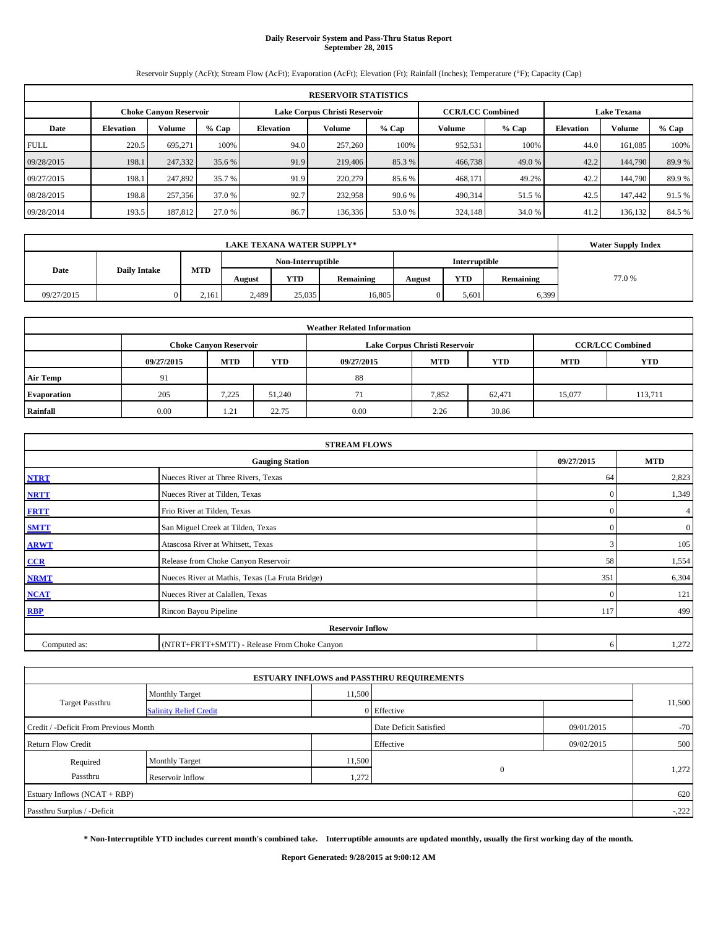# **Daily Reservoir System and Pass-Thru Status Report September 28, 2015**

Reservoir Supply (AcFt); Stream Flow (AcFt); Evaporation (AcFt); Elevation (Ft); Rainfall (Inches); Temperature (°F); Capacity (Cap)

| <b>RESERVOIR STATISTICS</b> |                  |                        |         |                  |         |                                                          |         |        |                  |                    |        |
|-----------------------------|------------------|------------------------|---------|------------------|---------|----------------------------------------------------------|---------|--------|------------------|--------------------|--------|
|                             |                  | Choke Canvon Reservoir |         |                  |         | Lake Corpus Christi Reservoir<br><b>CCR/LCC Combined</b> |         |        |                  | <b>Lake Texana</b> |        |
| Date                        | <b>Elevation</b> | <b>Volume</b>          | $%$ Cap | <b>Elevation</b> | Volume  | $%$ Cap                                                  | Volume  | % Cap  | <b>Elevation</b> | Volume             | % Cap  |
| <b>FULL</b>                 | 220.5            | 695.271                | 100%    | 94.0             | 257,260 | 100%                                                     | 952,531 | 100%   | 44.0             | 161.085            | 100%   |
| 09/28/2015                  | 198.1            | 247,332                | 35.6 %  | 91.9             | 219,406 | 85.3 %                                                   | 466,738 | 49.0 % | 42.2             | 144,790            | 89.9%  |
| 09/27/2015                  | 198.1            | 247,892                | 35.7 %  | 91.9             | 220,279 | 85.6 %                                                   | 468,171 | 49.2%  | 42.2             | 144,790            | 89.9%  |
| 08/28/2015                  | 198.8            | 257,356                | 37.0 %  | 92.7             | 232,958 | 90.6 %                                                   | 490,314 | 51.5 % | 42.5             | 147,442            | 91.5 % |
| 09/28/2014                  | 193.5            | 187,812                | 27.0 %  | 86.7             | 136,336 | 53.0 %                                                   | 324,148 | 34.0 % | 41.2             | 136,132            | 84.5 % |

|            | <b>Water Supply Index</b> |            |        |                   |                  |        |                      |           |       |
|------------|---------------------------|------------|--------|-------------------|------------------|--------|----------------------|-----------|-------|
|            |                           |            |        | Non-Interruptible |                  |        | <b>Interruptible</b> |           |       |
| Date       | <b>Daily Intake</b>       | <b>MTD</b> | August | <b>YTD</b>        | <b>Remaining</b> | August | YTD                  | Remaining | 77.0% |
| 09/27/2015 |                           | 2.161      | 2,489  | 25.035            | 16.805           |        | 5,601                | 6,399     |       |

| <b>Weather Related Information</b> |            |                               |        |            |                               |                         |                          |         |  |  |
|------------------------------------|------------|-------------------------------|--------|------------|-------------------------------|-------------------------|--------------------------|---------|--|--|
|                                    |            | <b>Choke Canyon Reservoir</b> |        |            | Lake Corpus Christi Reservoir | <b>CCR/LCC Combined</b> |                          |         |  |  |
|                                    | 09/27/2015 | <b>MTD</b>                    | YTD    | 09/27/2015 | <b>MTD</b>                    | <b>YTD</b>              | <b>YTD</b><br><b>MTD</b> |         |  |  |
| <b>Air Temp</b>                    | 91         |                               |        | 88         |                               |                         |                          |         |  |  |
| <b>Evaporation</b>                 | 205        | 7,225                         | 51,240 | 71         | 7,852                         | 62,471                  | 15,077                   | 113,711 |  |  |
| Rainfall                           | 0.00       | 1.21                          | 22.75  | 0.00       | 2.26                          | 30.86                   |                          |         |  |  |

| <b>STREAM FLOWS</b> |                                                 |              |              |  |  |  |  |  |  |  |
|---------------------|-------------------------------------------------|--------------|--------------|--|--|--|--|--|--|--|
|                     | <b>Gauging Station</b>                          | 09/27/2015   | <b>MTD</b>   |  |  |  |  |  |  |  |
| <b>NTRT</b>         | Nueces River at Three Rivers, Texas             | 64           | 2,823        |  |  |  |  |  |  |  |
| <b>NRTT</b>         | Nueces River at Tilden, Texas                   | $\mathbf{0}$ | 1,349        |  |  |  |  |  |  |  |
| <b>FRTT</b>         | Frio River at Tilden, Texas                     | $\mathbf{0}$ | 4            |  |  |  |  |  |  |  |
| <b>SMTT</b>         | San Miguel Creek at Tilden, Texas               | $\Omega$     | $\mathbf{0}$ |  |  |  |  |  |  |  |
| <b>ARWT</b>         | Atascosa River at Whitsett, Texas               | 3            | 105          |  |  |  |  |  |  |  |
| CCR                 | Release from Choke Canyon Reservoir             | 58           | 1,554        |  |  |  |  |  |  |  |
| <b>NRMT</b>         | Nueces River at Mathis, Texas (La Fruta Bridge) | 351          | 6,304        |  |  |  |  |  |  |  |
| <b>NCAT</b>         | Nueces River at Calallen, Texas                 | $\mathbf{0}$ | 121          |  |  |  |  |  |  |  |
| <b>RBP</b>          | Rincon Bayou Pipeline                           | 117          | 499          |  |  |  |  |  |  |  |
|                     | <b>Reservoir Inflow</b>                         |              |              |  |  |  |  |  |  |  |
| Computed as:        | (NTRT+FRTT+SMTT) - Release From Choke Canyon    | 6            | 1,272        |  |  |  |  |  |  |  |

|                                       |                               |        | <b>ESTUARY INFLOWS and PASSTHRU REQUIREMENTS</b> |            |         |
|---------------------------------------|-------------------------------|--------|--------------------------------------------------|------------|---------|
|                                       | <b>Monthly Target</b>         | 11,500 |                                                  |            |         |
| <b>Target Passthru</b>                | <b>Salinity Relief Credit</b> |        | 0 Effective                                      |            | 11,500  |
| Credit / -Deficit From Previous Month |                               |        | Date Deficit Satisfied                           | 09/01/2015 | $-70$   |
| <b>Return Flow Credit</b>             |                               |        | Effective                                        | 09/02/2015 | 500     |
| Required                              | <b>Monthly Target</b>         | 11,500 |                                                  |            |         |
| Passthru                              | Reservoir Inflow              | 1,272  | $\mathbf{0}$                                     |            | 1,272   |
| Estuary Inflows (NCAT + RBP)          |                               |        |                                                  |            | 620     |
| Passthru Surplus / -Deficit           |                               |        |                                                  |            | $-.222$ |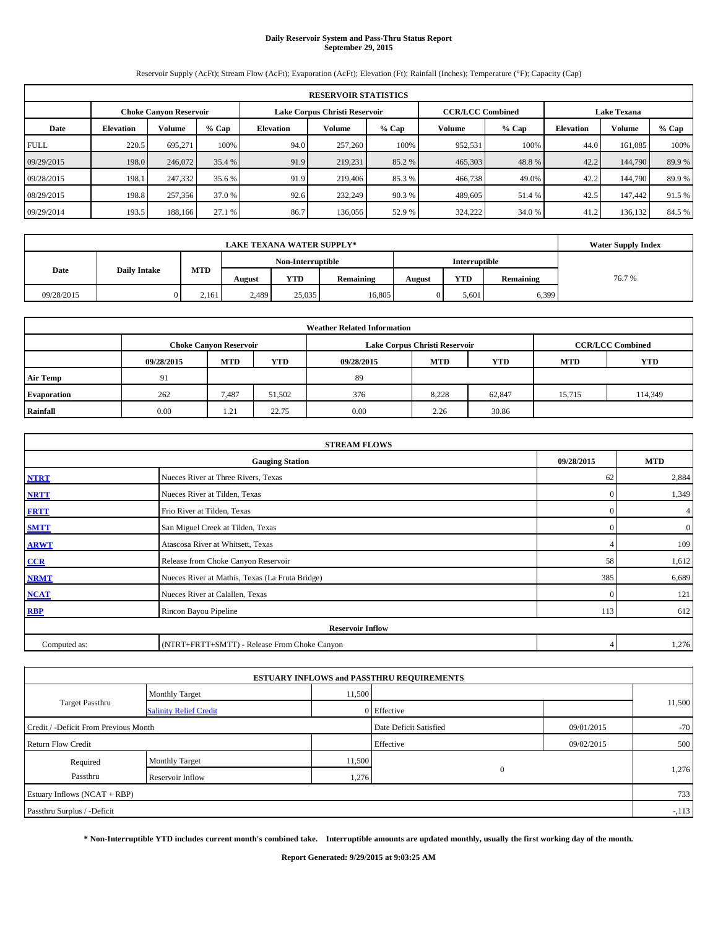# **Daily Reservoir System and Pass-Thru Status Report September 29, 2015**

Reservoir Supply (AcFt); Stream Flow (AcFt); Evaporation (AcFt); Elevation (Ft); Rainfall (Inches); Temperature (°F); Capacity (Cap)

| <b>RESERVOIR STATISTICS</b> |                  |                        |         |           |                               |         |         |                         |                    |         |        |
|-----------------------------|------------------|------------------------|---------|-----------|-------------------------------|---------|---------|-------------------------|--------------------|---------|--------|
|                             |                  | Choke Canvon Reservoir |         |           | Lake Corpus Christi Reservoir |         |         | <b>CCR/LCC Combined</b> | <b>Lake Texana</b> |         |        |
| Date                        | <b>Elevation</b> | <b>Volume</b>          | $%$ Cap | Elevation | Volume                        | $%$ Cap | Volume  | $%$ Cap                 | Elevation          | Volume  | % Cap  |
| <b>FULL</b>                 | 220.5            | 695.271                | 100%    | 94.0      | 257,260                       | 100%    | 952,531 | 100%                    | 44.0               | 161.085 | 100%   |
| 09/29/2015                  | 198.0            | 246,072                | 35.4 %  | 91.9      | 219,231                       | 85.2%   | 465,303 | 48.8%                   | 42.2               | 144,790 | 89.9%  |
| 09/28/2015                  | 198.1            | 247,332                | 35.6 %  | 91.9      | 219,406                       | 85.3 %  | 466,738 | 49.0%                   | 42.2               | 144,790 | 89.9%  |
| 08/29/2015                  | 198.8            | 257,356                | 37.0 %  | 92.6      | 232,249                       | 90.3%   | 489,605 | 51.4 %                  | 42.5               | 147,442 | 91.5 % |
| 09/29/2014                  | 193.5            | 188,166                | 27.1 %  | 86.7      | 136,056                       | 52.9%   | 324,222 | 34.0 %                  | 41.2               | 136,132 | 84.5 % |

|            | <b>Water Supply Index</b> |            |        |                   |                  |        |                      |           |       |
|------------|---------------------------|------------|--------|-------------------|------------------|--------|----------------------|-----------|-------|
|            |                           |            |        | Non-Interruptible |                  |        | <b>Interruptible</b> |           |       |
| Date       | <b>Daily Intake</b>       | <b>MTD</b> | August | <b>YTD</b>        | <b>Remaining</b> | August | YTD                  | Remaining | 76.7% |
| 09/28/2015 |                           | 2.161      | 2,489  | 25.035            | 16.805           |        | 5,601                | 6,399     |       |

| <b>Weather Related Information</b> |            |                               |        |            |                               |                         |            |            |  |  |
|------------------------------------|------------|-------------------------------|--------|------------|-------------------------------|-------------------------|------------|------------|--|--|
|                                    |            | <b>Choke Canyon Reservoir</b> |        |            | Lake Corpus Christi Reservoir | <b>CCR/LCC Combined</b> |            |            |  |  |
|                                    | 09/28/2015 | <b>MTD</b>                    | YTD    | 09/28/2015 | <b>MTD</b>                    | <b>YTD</b>              | <b>MTD</b> | <b>YTD</b> |  |  |
| <b>Air Temp</b>                    | 91         |                               |        | 89         |                               |                         |            |            |  |  |
| <b>Evaporation</b>                 | 262        | 7,487                         | 51,502 | 376        | 8.228                         | 62,847                  | 15,715     | 114,349    |  |  |
| Rainfall                           | 0.00       | 1.21                          | 22.75  | 0.00       | 2.26                          | 30.86                   |            |            |  |  |

| <b>STREAM FLOWS</b> |                                                 |              |                  |  |  |  |  |  |  |
|---------------------|-------------------------------------------------|--------------|------------------|--|--|--|--|--|--|
|                     | <b>Gauging Station</b>                          |              |                  |  |  |  |  |  |  |
| <b>NTRT</b>         | Nueces River at Three Rivers, Texas             | 62           | 2,884            |  |  |  |  |  |  |
| <b>NRTT</b>         | Nueces River at Tilden, Texas                   | $\mathbf{0}$ | 1,349            |  |  |  |  |  |  |
| <b>FRTT</b>         | Frio River at Tilden, Texas                     | $\mathbf{0}$ | 4                |  |  |  |  |  |  |
| <b>SMTT</b>         | San Miguel Creek at Tilden, Texas               | $\Omega$     | $\boldsymbol{0}$ |  |  |  |  |  |  |
| <b>ARWT</b>         | Atascosa River at Whitsett, Texas               |              | 109              |  |  |  |  |  |  |
| $CCR$               | Release from Choke Canyon Reservoir             | 58           | 1,612            |  |  |  |  |  |  |
| <b>NRMT</b>         | Nueces River at Mathis, Texas (La Fruta Bridge) | 385          | 6,689            |  |  |  |  |  |  |
| <b>NCAT</b>         | Nueces River at Calallen, Texas                 | $\Omega$     | 121              |  |  |  |  |  |  |
| <b>RBP</b>          | Rincon Bayou Pipeline                           | 113          | 612              |  |  |  |  |  |  |
|                     | <b>Reservoir Inflow</b>                         |              |                  |  |  |  |  |  |  |
| Computed as:        | (NTRT+FRTT+SMTT) - Release From Choke Canyon    | 4            | 1,276            |  |  |  |  |  |  |

|                                       |                               |        | <b>ESTUARY INFLOWS and PASSTHRU REQUIREMENTS</b> |            |        |
|---------------------------------------|-------------------------------|--------|--------------------------------------------------|------------|--------|
|                                       | <b>Monthly Target</b>         | 11,500 |                                                  |            | 11,500 |
| Target Passthru                       | <b>Salinity Relief Credit</b> |        | 0 Effective                                      |            |        |
| Credit / -Deficit From Previous Month |                               |        | Date Deficit Satisfied                           | 09/01/2015 | $-70$  |
| <b>Return Flow Credit</b>             |                               |        | Effective                                        | 09/02/2015 | 500    |
| Required                              | <b>Monthly Target</b>         | 11,500 |                                                  |            |        |
| Passthru                              | Reservoir Inflow              | 1,276  | $\mathbf{0}$                                     |            | 1,276  |
| Estuary Inflows (NCAT + RBP)          |                               |        |                                                  |            | 733    |
| Passthru Surplus / -Deficit           |                               |        |                                                  |            | $-113$ |